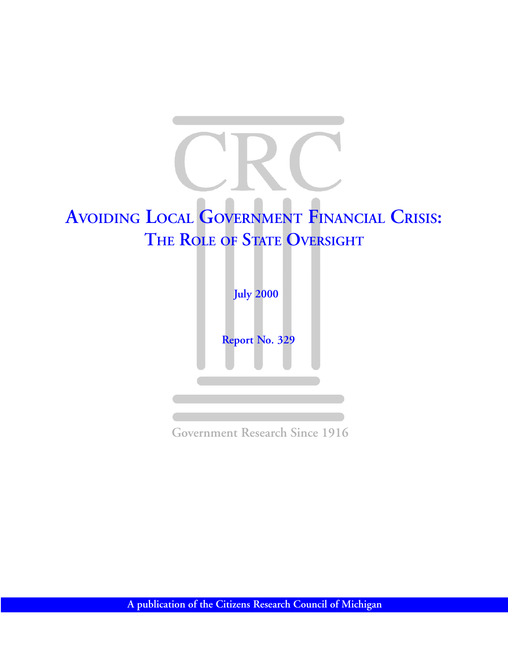



**Government Research Since 1916**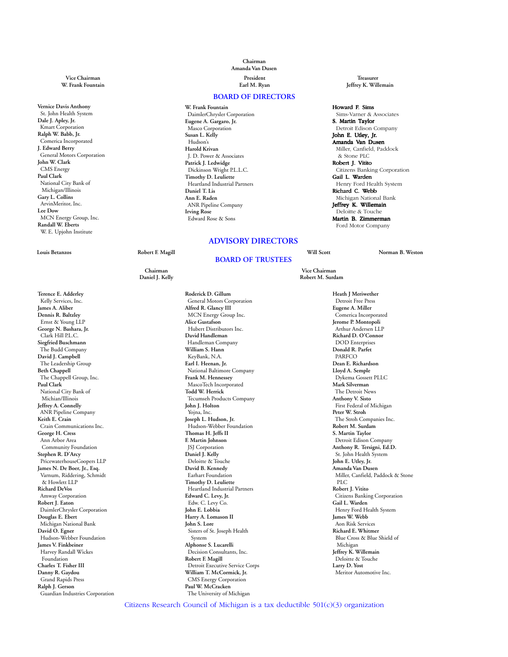**Vernice Davis Anthony** St. John Health System **Dale J. Apley, Jr.** Kmart Corporation **Ralph W. Babb, Jr.** Comerica Incorporated **J. Edward Berry** General Motors Corporation **John W. Clark** CMS Energy **Paul Clark** National City Bank of Michigan/Illinois **Gary L. Collins** ArvinMeritor, Inc. **Lee Dow** MCN Energy Group, Inc. **Randall W. Eberts** W. E. Upjohn Institute

**Terence E. Adderley** Kelly Services, Inc. **James A. Aliber Dennis R. Baltzley** Ernst & Young LLP **George N. Bashara, Jr.** Clark Hill P.L.C. **Siegfried Buschmann** The Budd Company **David J. Campbell** The Leadership Group **Beth Chappell** The Chappell Group, Inc. **Paul Clark** National City Bank of Michian/Illinois **Jeffrey A. Connelly** ANR Pipeline Company **Keith E. Crain** Crain Communications Inc. **George H. Cress** Ann Arbor Area Community Foundation **Stephen R. D'Arcy** PricewaterhouseCoopers LLP **James N. De Boer, Jr., Esq.** Varnum, Riddering, Schmidt & Howlett LLP **Richard DeVos** Amway Corporation **Robert J. Eaton** DaimlerChrysler Corporation **Douglas E. Ebert** Michigan National Bank **David O. Egner** Hudson-Webber Foundation **James V. Finkbeiner** Harvey Randall Wickes Foundation **Charles T. Fisher III Danny R. Gaydou** Grand Rapids Press **Ralph J. Gerson** Guardian Industries Corporation

### **Chairman Amanda Van Dusen Vice Chairman President Treasurer**

#### **BOARD OF DIRECTORS**

**W. Frank Fountain** DaimlerChrysler Corporation **Eugene A. Gargaro, Jr.** Masco Corporation **Susan L. Kelly** Hudson's **Harold Krivan** J. D. Power & Associates **Patrick J. Ledwidge** Dickinson Wright P.L.L.C. **Timothy D. Leuliette** Heartland Industrial Partners **Daniel T. Lis Ann E. Raden** ANR Pipeline Company **Irving Rose** Edward Rose & Sons

#### **ADVISORY DIRECTORS**

#### **BOARD OF TRUSTEES**

Daniel J. Kelly

**Roderick D. Gillum** General Motors Corporation **Alfred R. Glancy III** MCN Energy Group Inc. **Alice Gustafson** Hubert Distributors Inc. **David Handleman** Handleman Company **William S. Hann** KeyBank, N.A. **Earl I. Heenan, Jr.** National Baltimore Company **Frank M. Hennessey** MascoTech Incorporated **Todd W. Herrick** Tecumseh Products Company **John J. Holton** Yojna, Inc. **Joseph L. Hudson, Jr.** Hudson-Webber Foundation **Thomas H. Jeffs II F. Martin Johnson** JSJ Corporation **Daniel J. Kelly** Deloitte & Touche **David B. Kennedy** Earhart Foundation **Timothy D. Leuliette** Heartland Industrial Partners **Edward C. Levy, Jr.** Edw. C. Levy Co. **John E. Lobbia Harry A. Lomason II John S. Lore** Sisters of St. Joseph Health System **Alphonse S. Lucarelli** Decision Consultants, Inc. **Robert F. Magill** Detroit Executive Service Corps **William T. McCormick, Jr.** CMS Energy Corporation **Paul W. McCracken** The University of Michigan

**W. Frank Fountain Earl M. Ryan Jeffrey K. Willemain**

#### Howard F. Sims

 Sims-Varner & Associates S. Martin Taylor Detroit Edison Company John E. Utley, Jr. Amanda Van Dusen Miller, Canfield, Paddock & Stone PLC Robert J. Vitito Citizens Banking Corporation Gail L. Warden Henry Ford Health System Richard C. Webb Michigan National Bank Jeffrey K. Willemain Deloitte & Touche Martin B. Zimmerman Ford Motor Company

**Louis Betanzos Robert F. Magill Will Scott Norman B. Weston**

**Chairman Vice Chairman**

**Heath J Meriwether** Detroit Free Press **Eugene A. Miller** Comerica Incorporated **Jerome P. Montopoli** Arthur Andersen LLP **Richard D. O'Connor** DOD Enterprises **Donald R. Parfet** PARFCO **Dean E. Richardson Lloyd A. Semple** Dykema Gossett PLLC **Mark Silverman** The Detroit News **Anthony V. Sisto** First Federal of Michigan **Peter W. Stroh** The Stroh Companies Inc. **Robert M. Surdam S. Martin Taylor** Detroit Edison Company **Anthony R. Tersigni, Ed.D.** St. John Health System **John E. Utley, Jr. Amanda Van Dusen** Miller, Canfield, Paddock & Stone PLC **Robert J. Vitito** Citizens Banking Corporation **Gail L. Warden** Henry Ford Health System **James W. Webb** Aon Risk Services **Richard E. Whitmer** Blue Cross & Blue Shield of Michigan **Jeffrey K. Willemain** Deloitte & Touche **Larry D. Yost** Meritor Automotive Inc.

Citizens Research Council of Michigan is a tax deductible 501(c)(3) organization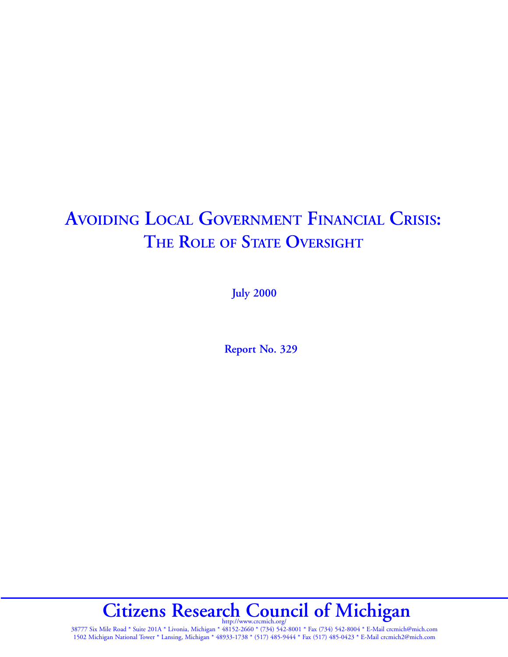# **AVOIDING LOCAL GOVERNMENT FINANCIAL CRISIS: THE ROLE OF STATE OVERSIGHT**

**July 2000**

**Report No. 329**

Citizens Research Council of Michigan

38777 Six Mile Road \* Suite 201A \* Livonia, Michigan \* 48152-2660 \* (734) 542-8001 \* Fax (734) 542-8004 \* E-Mail crcmich@mich.com 1502 Michigan National Tower \* Lansing, Michigan \* 48933-1738 \* (517) 485-9444 \* Fax (517) 485-0423 \* E-Mail crcmich2@mich.com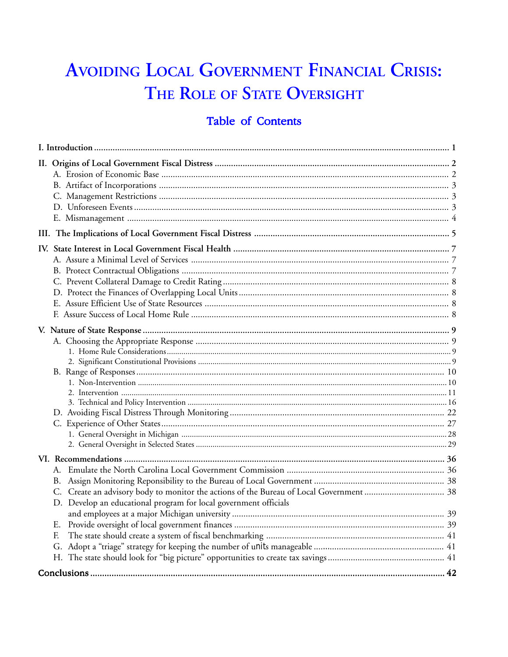# AVOIDING LOCAL GOVERNMENT FINANCIAL CRISIS: THE ROLE OF STATE OVERSIGHT

# Table of Contents

| В.<br>D. Develop an educational program for local government officials<br>Е.<br>F. |  |
|------------------------------------------------------------------------------------|--|
|                                                                                    |  |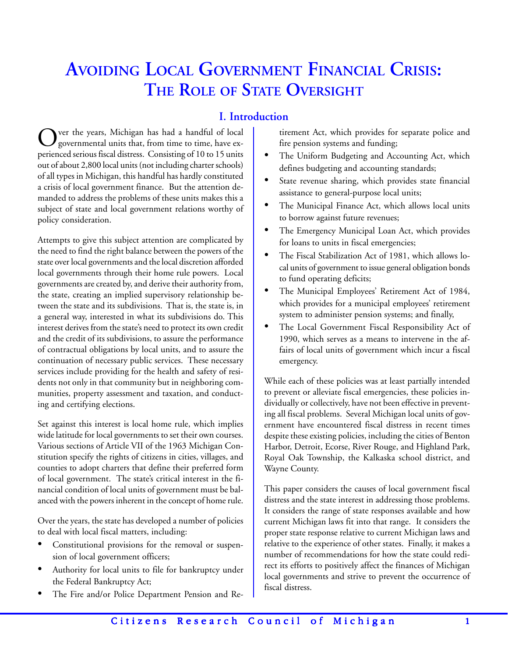# **AVOIDING LOCAL GOVERNMENT FINANCIAL CRISIS: THE ROLE OF STATE OVERSIGHT**

# **I. Introduction**

Over the years, Michigan has had a handful of local<br>governmental units that, from time to time, have experienced serious fiscal distress. Consisting of 10 to 15 units out of about 2,800 local units (not including charter schools) of all types in Michigan, this handful has hardly constituted a crisis of local government finance. But the attention demanded to address the problems of these units makes this a subject of state and local government relations worthy of policy consideration.

Attempts to give this subject attention are complicated by the need to find the right balance between the powers of the state over local governments and the local discretion afforded local governments through their home rule powers. Local governments are created by, and derive their authority from, the state, creating an implied supervisory relationship between the state and its subdivisions. That is, the state is, in a general way, interested in what its subdivisions do. This interest derives from the state's need to protect its own credit and the credit of its subdivisions, to assure the performance of contractual obligations by local units, and to assure the continuation of necessary public services. These necessary services include providing for the health and safety of residents not only in that community but in neighboring communities, property assessment and taxation, and conducting and certifying elections.

Set against this interest is local home rule, which implies wide latitude for local governments to set their own courses. Various sections of Article VII of the 1963 Michigan Constitution specify the rights of citizens in cities, villages, and counties to adopt charters that define their preferred form of local government. The state's critical interest in the financial condition of local units of government must be balanced with the powers inherent in the concept of home rule.

Over the years, the state has developed a number of policies to deal with local fiscal matters, including:

- Constitutional provisions for the removal or suspension of local government officers;
- Authority for local units to file for bankruptcy under the Federal Bankruptcy Act;
- The Fire and/or Police Department Pension and Re-

tirement Act, which provides for separate police and fire pension systems and funding;

- The Uniform Budgeting and Accounting Act, which defines budgeting and accounting standards;
- State revenue sharing, which provides state financial assistance to general-purpose local units;
- The Municipal Finance Act, which allows local units to borrow against future revenues;
- The Emergency Municipal Loan Act, which provides for loans to units in fiscal emergencies;
- The Fiscal Stabilization Act of 1981, which allows local units of government to issue general obligation bonds to fund operating deficits;
- The Municipal Employees' Retirement Act of 1984, which provides for a municipal employees' retirement system to administer pension systems; and finally,
- The Local Government Fiscal Responsibility Act of 1990, which serves as a means to intervene in the affairs of local units of government which incur a fiscal emergency.

While each of these policies was at least partially intended to prevent or alleviate fiscal emergencies, these policies individually or collectively, have not been effective in preventing all fiscal problems. Several Michigan local units of government have encountered fiscal distress in recent times despite these existing policies, including the cities of Benton Harbor, Detroit, Ecorse, River Rouge, and Highland Park, Royal Oak Township, the Kalkaska school district, and Wayne County.

This paper considers the causes of local government fiscal distress and the state interest in addressing those problems. It considers the range of state responses available and how current Michigan laws fit into that range. It considers the proper state response relative to current Michigan laws and relative to the experience of other states. Finally, it makes a number of recommendations for how the state could redirect its efforts to positively affect the finances of Michigan local governments and strive to prevent the occurrence of fiscal distress.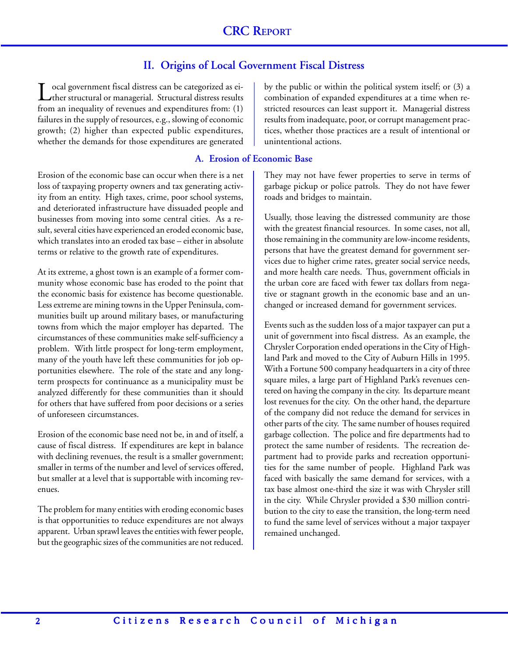# **II. Origins of Local Government Fiscal Distress**

ocal government fiscal distress can be categorized as either structural or managerial. Structural distress results from an inequality of revenues and expenditures from: (1) failures in the supply of resources, e.g., slowing of economic growth; (2) higher than expected public expenditures, whether the demands for those expenditures are generated

### **A. Erosion of Economic Base**

Erosion of the economic base can occur when there is a net loss of taxpaying property owners and tax generating activity from an entity. High taxes, crime, poor school systems, and deteriorated infrastructure have dissuaded people and businesses from moving into some central cities. As a result, several cities have experienced an eroded economic base, which translates into an eroded tax base – either in absolute terms or relative to the growth rate of expenditures.

At its extreme, a ghost town is an example of a former community whose economic base has eroded to the point that the economic basis for existence has become questionable. Less extreme are mining towns in the Upper Peninsula, communities built up around military bases, or manufacturing towns from which the major employer has departed. The circumstances of these communities make self-sufficiency a problem. With little prospect for long-term employment, many of the youth have left these communities for job opportunities elsewhere. The role of the state and any longterm prospects for continuance as a municipality must be analyzed differently for these communities than it should for others that have suffered from poor decisions or a series of unforeseen circumstances.

Erosion of the economic base need not be, in and of itself, a cause of fiscal distress. If expenditures are kept in balance with declining revenues, the result is a smaller government; smaller in terms of the number and level of services offered, but smaller at a level that is supportable with incoming revenues.

The problem for many entities with eroding economic bases is that opportunities to reduce expenditures are not always apparent. Urban sprawl leaves the entities with fewer people, but the geographic sizes of the communities are not reduced. by the public or within the political system itself; or (3) a combination of expanded expenditures at a time when restricted resources can least support it. Managerial distress results from inadequate, poor, or corrupt management practices, whether those practices are a result of intentional or unintentional actions.

They may not have fewer properties to serve in terms of garbage pickup or police patrols. They do not have fewer roads and bridges to maintain.

Usually, those leaving the distressed community are those with the greatest financial resources. In some cases, not all, those remaining in the community are low-income residents, persons that have the greatest demand for government services due to higher crime rates, greater social service needs, and more health care needs. Thus, government officials in the urban core are faced with fewer tax dollars from negative or stagnant growth in the economic base and an unchanged or increased demand for government services.

Events such as the sudden loss of a major taxpayer can put a unit of government into fiscal distress. As an example, the Chrysler Corporation ended operations in the City of Highland Park and moved to the City of Auburn Hills in 1995. With a Fortune 500 company headquarters in a city of three square miles, a large part of Highland Park's revenues centered on having the company in the city. Its departure meant lost revenues for the city. On the other hand, the departure of the company did not reduce the demand for services in other parts of the city. The same number of houses required garbage collection. The police and fire departments had to protect the same number of residents. The recreation department had to provide parks and recreation opportunities for the same number of people. Highland Park was faced with basically the same demand for services, with a tax base almost one-third the size it was with Chrysler still in the city. While Chrysler provided a \$30 million contribution to the city to ease the transition, the long-term need to fund the same level of services without a major taxpayer remained unchanged.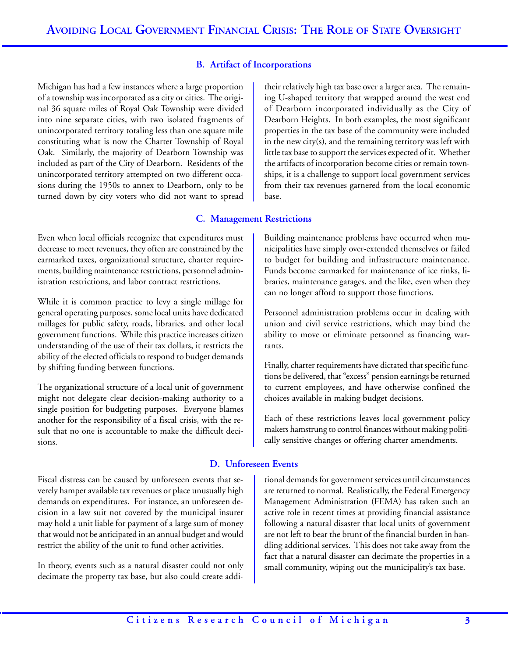### **B. Artifact of Incorporations**

Michigan has had a few instances where a large proportion of a township was incorporated as a city or cities. The original 36 square miles of Royal Oak Township were divided into nine separate cities, with two isolated fragments of unincorporated territory totaling less than one square mile constituting what is now the Charter Township of Royal Oak. Similarly, the majority of Dearborn Township was included as part of the City of Dearborn. Residents of the unincorporated territory attempted on two different occasions during the 1950s to annex to Dearborn, only to be turned down by city voters who did not want to spread

Even when local officials recognize that expenditures must decrease to meet revenues, they often are constrained by the earmarked taxes, organizational structure, charter requirements, building maintenance restrictions, personnel administration restrictions, and labor contract restrictions.

While it is common practice to levy a single millage for general operating purposes, some local units have dedicated millages for public safety, roads, libraries, and other local government functions. While this practice increases citizen understanding of the use of their tax dollars, it restricts the ability of the elected officials to respond to budget demands by shifting funding between functions.

The organizational structure of a local unit of government might not delegate clear decision-making authority to a single position for budgeting purposes. Everyone blames another for the responsibility of a fiscal crisis, with the result that no one is accountable to make the difficult decisions.

Fiscal distress can be caused by unforeseen events that severely hamper available tax revenues or place unusually high demands on expenditures. For instance, an unforeseen decision in a law suit not covered by the municipal insurer may hold a unit liable for payment of a large sum of money that would not be anticipated in an annual budget and would restrict the ability of the unit to fund other activities.

In theory, events such as a natural disaster could not only decimate the property tax base, but also could create additheir relatively high tax base over a larger area. The remaining U-shaped territory that wrapped around the west end of Dearborn incorporated individually as the City of Dearborn Heights. In both examples, the most significant properties in the tax base of the community were included in the new city(s), and the remaining territory was left with little tax base to support the services expected of it. Whether the artifacts of incorporation become cities or remain townships, it is a challenge to support local government services from their tax revenues garnered from the local economic base.

#### **C. Management Restrictions**

Building maintenance problems have occurred when municipalities have simply over-extended themselves or failed to budget for building and infrastructure maintenance. Funds become earmarked for maintenance of ice rinks, libraries, maintenance garages, and the like, even when they can no longer afford to support those functions.

Personnel administration problems occur in dealing with union and civil service restrictions, which may bind the ability to move or eliminate personnel as financing warrants.

Finally, charter requirements have dictated that specific functions be delivered, that "excess" pension earnings be returned to current employees, and have otherwise confined the choices available in making budget decisions.

Each of these restrictions leaves local government policy makers hamstrung to control finances without making politically sensitive changes or offering charter amendments.

#### **D. Unforeseen Events**

tional demands for government services until circumstances are returned to normal. Realistically, the Federal Emergency Management Administration (FEMA) has taken such an active role in recent times at providing financial assistance following a natural disaster that local units of government are not left to bear the brunt of the financial burden in handling additional services. This does not take away from the fact that a natural disaster can decimate the properties in a small community, wiping out the municipality's tax base.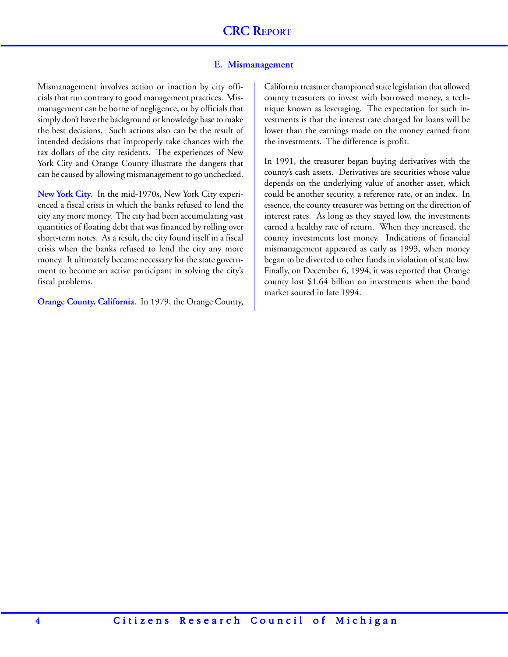#### **E. Mismanagement**

Mismanagement involves action or inaction by city officials that run contrary to good management practices. Mismanagement can be borne of negligence, or by officials that simply don't have the background or knowledge base to make the best decisions. Such actions also can be the result of intended decisions that improperly take chances with the tax dollars of the city residents. The experiences of New York City and Orange County illustrate the dangers that can be caused by allowing mismanagement to go unchecked.

**New York City.** In the mid-1970s, New York City experienced a fiscal crisis in which the banks refused to lend the city any more money. The city had been accumulating vast quantities of floating debt that was financed by rolling over short-term notes. As a result, the city found itself in a fiscal crisis when the banks refused to lend the city any more money. It ultimately became necessary for the state government to become an active participant in solving the city's fiscal problems.

**Orange County, California.** In 1979, the Orange County,

California treasurer championed state legislation that allowed county treasurers to invest with borrowed money, a technique known as leveraging. The expectation for such investments is that the interest rate charged for loans will be lower than the earnings made on the money earned from the investments. The difference is profit.

In 1991, the treasurer began buying derivatives with the county's cash assets. Derivatives are securities whose value depends on the underlying value of another asset, which could be another security, a reference rate, or an index. In essence, the county treasurer was betting on the direction of interest rates. As long as they stayed low, the investments earned a healthy rate of return. When they increased, the county investments lost money. Indications of financial mismanagement appeared as early as 1993, when money began to be diverted to other funds in violation of state law. Finally, on December 6, 1994, it was reported that Orange county lost \$1.64 billion on investments when the bond market soured in late 1994.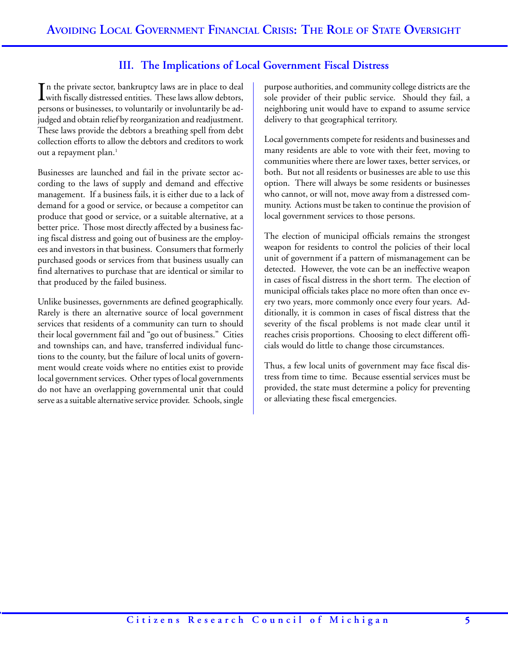# **III. The Implications of Local Government Fiscal Distress**

In the private sector, bankruptcy laws are in place to deal<br>with fiscally distressed entities. These laws allow debtors, In the private sector, bankruptcy laws are in place to deal persons or businesses, to voluntarily or involuntarily be adjudged and obtain relief by reorganization and readjustment. These laws provide the debtors a breathing spell from debt collection efforts to allow the debtors and creditors to work out a repayment plan.<sup>1</sup>

Businesses are launched and fail in the private sector according to the laws of supply and demand and effective management. If a business fails, it is either due to a lack of demand for a good or service, or because a competitor can produce that good or service, or a suitable alternative, at a better price. Those most directly affected by a business facing fiscal distress and going out of business are the employees and investors in that business. Consumers that formerly purchased goods or services from that business usually can find alternatives to purchase that are identical or similar to that produced by the failed business.

Unlike businesses, governments are defined geographically. Rarely is there an alternative source of local government services that residents of a community can turn to should their local government fail and "go out of business." Cities and townships can, and have, transferred individual functions to the county, but the failure of local units of government would create voids where no entities exist to provide local government services. Other types of local governments do not have an overlapping governmental unit that could serve as a suitable alternative service provider. Schools, single

purpose authorities, and community college districts are the sole provider of their public service. Should they fail, a neighboring unit would have to expand to assume service delivery to that geographical territory.

Local governments compete for residents and businesses and many residents are able to vote with their feet, moving to communities where there are lower taxes, better services, or both. But not all residents or businesses are able to use this option. There will always be some residents or businesses who cannot, or will not, move away from a distressed community. Actions must be taken to continue the provision of local government services to those persons.

The election of municipal officials remains the strongest weapon for residents to control the policies of their local unit of government if a pattern of mismanagement can be detected. However, the vote can be an ineffective weapon in cases of fiscal distress in the short term. The election of municipal officials takes place no more often than once every two years, more commonly once every four years. Additionally, it is common in cases of fiscal distress that the severity of the fiscal problems is not made clear until it reaches crisis proportions. Choosing to elect different officials would do little to change those circumstances.

Thus, a few local units of government may face fiscal distress from time to time. Because essential services must be provided, the state must determine a policy for preventing or alleviating these fiscal emergencies.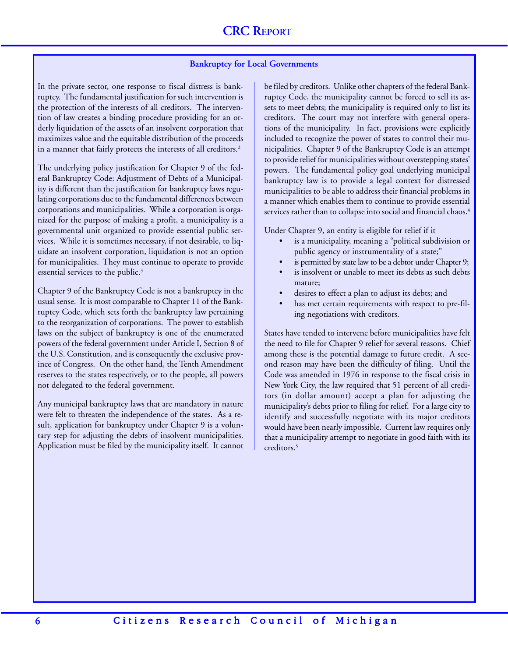#### **Bankruptcy for Local Governments**

In the private sector, one response to fiscal distress is bankruptcy. The fundamental justification for such intervention is the protection of the interests of all creditors. The intervention of law creates a binding procedure providing for an orderly liquidation of the assets of an insolvent corporation that maximizes value and the equitable distribution of the proceeds in a manner that fairly protects the interests of all creditors.<sup>2</sup>

The underlying policy justification for Chapter 9 of the federal Bankruptcy Code: Adjustment of Debts of a Municipality is different than the justification for bankruptcy laws regulating corporations due to the fundamental differences between corporations and municipalities. While a corporation is organized for the purpose of making a profit, a municipality is a governmental unit organized to provide essential public services. While it is sometimes necessary, if not desirable, to liquidate an insolvent corporation, liquidation is not an option for municipalities. They must continue to operate to provide essential services to the public.<sup>3</sup>

Chapter 9 of the Bankruptcy Code is not a bankruptcy in the usual sense. It is most comparable to Chapter 11 of the Bankruptcy Code, which sets forth the bankruptcy law pertaining to the reorganization of corporations. The power to establish laws on the subject of bankruptcy is one of the enumerated powers of the federal government under Article I, Section 8 of the U.S. Constitution, and is consequently the exclusive province of Congress. On the other hand, the Tenth Amendment reserves to the states respectively, or to the people, all powers not delegated to the federal government.

Any municipal bankruptcy laws that are mandatory in nature were felt to threaten the independence of the states. As a result, application for bankruptcy under Chapter 9 is a voluntary step for adjusting the debts of insolvent municipalities. Application must be filed by the municipality itself. It cannot be filed by creditors. Unlike other chapters of the federal Bankruptcy Code, the municipality cannot be forced to sell its assets to meet debts; the municipality is required only to list its creditors. The court may not interfere with general operations of the municipality. In fact, provisions were explicitly included to recognize the power of states to control their municipalities. Chapter 9 of the Bankruptcy Code is an attempt to provide relief for municipalities without overstepping states' powers. The fundamental policy goal underlying municipal bankruptcy law is to provide a legal context for distressed municipalities to be able to address their financial problems in a manner which enables them to continue to provide essential services rather than to collapse into social and financial chaos.<sup>4</sup>

Under Chapter 9, an entity is eligible for relief if it

- is a municipality, meaning a "political subdivision or public agency or instrumentality of a state;"
- is permitted by state law to be a debtor under Chapter 9;
- is insolvent or unable to meet its debts as such debts mature;
- desires to effect a plan to adjust its debts; and
- has met certain requirements with respect to pre-filing negotiations with creditors.

States have tended to intervene before municipalities have felt the need to file for Chapter 9 relief for several reasons. Chief among these is the potential damage to future credit. A second reason may have been the difficulty of filing. Until the Code was amended in 1976 in response to the fiscal crisis in New York City, the law required that 51 percent of all creditors (in dollar amount) accept a plan for adjusting the municipality's debts prior to filing for relief. For a large city to identify and successfully negotiate with its major creditors would have been nearly impossible. Current law requires only that a municipality attempt to negotiate in good faith with its creditors<sup>5</sup>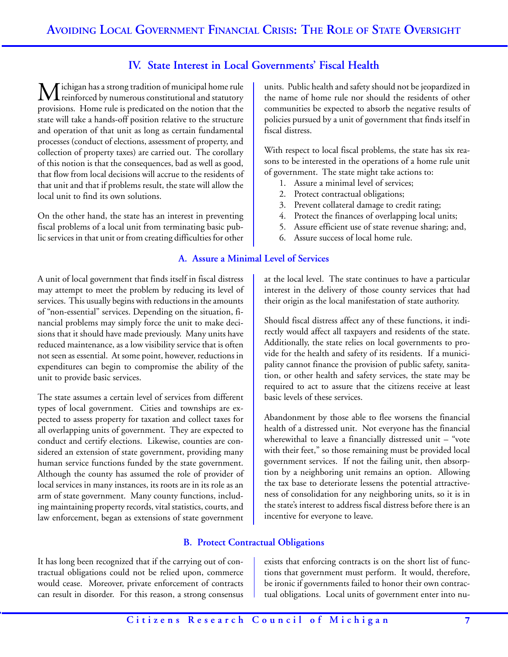# **IV. State Interest in Local Governments' Fiscal Health**

Michigan has a strong tradition of municipal home rule<br>reinforced by numerous constitutional and statutory provisions. Home rule is predicated on the notion that the state will take a hands-off position relative to the structure and operation of that unit as long as certain fundamental processes (conduct of elections, assessment of property, and collection of property taxes) are carried out. The corollary of this notion is that the consequences, bad as well as good, that flow from local decisions will accrue to the residents of that unit and that if problems result, the state will allow the local unit to find its own solutions.

On the other hand, the state has an interest in preventing fiscal problems of a local unit from terminating basic public services in that unit or from creating difficulties for other

A unit of local government that finds itself in fiscal distress may attempt to meet the problem by reducing its level of services. This usually begins with reductions in the amounts of "non-essential" services. Depending on the situation, financial problems may simply force the unit to make decisions that it should have made previously. Many units have reduced maintenance, as a low visibility service that is often not seen as essential. At some point, however, reductions in expenditures can begin to compromise the ability of the unit to provide basic services.

The state assumes a certain level of services from different types of local government. Cities and townships are expected to assess property for taxation and collect taxes for all overlapping units of government. They are expected to conduct and certify elections. Likewise, counties are considered an extension of state government, providing many human service functions funded by the state government. Although the county has assumed the role of provider of local services in many instances, its roots are in its role as an arm of state government. Many county functions, including maintaining property records, vital statistics, courts, and law enforcement, began as extensions of state government units. Public health and safety should not be jeopardized in the name of home rule nor should the residents of other communities be expected to absorb the negative results of policies pursued by a unit of government that finds itself in fiscal distress.

With respect to local fiscal problems, the state has six reasons to be interested in the operations of a home rule unit of government. The state might take actions to:

- 1. Assure a minimal level of services;
- 2. Protect contractual obligations;
- 3. Prevent collateral damage to credit rating;
- 4. Protect the finances of overlapping local units;
- 5. Assure efficient use of state revenue sharing; and,
- 6. Assure success of local home rule.

# **A. Assure a Minimal Level of Services**

at the local level. The state continues to have a particular interest in the delivery of those county services that had their origin as the local manifestation of state authority.

Should fiscal distress affect any of these functions, it indirectly would affect all taxpayers and residents of the state. Additionally, the state relies on local governments to provide for the health and safety of its residents. If a municipality cannot finance the provision of public safety, sanitation, or other health and safety services, the state may be required to act to assure that the citizens receive at least basic levels of these services.

Abandonment by those able to flee worsens the financial health of a distressed unit. Not everyone has the financial wherewithal to leave a financially distressed unit – "vote with their feet," so those remaining must be provided local government services. If not the failing unit, then absorption by a neighboring unit remains an option. Allowing the tax base to deteriorate lessens the potential attractiveness of consolidation for any neighboring units, so it is in the state's interest to address fiscal distress before there is an incentive for everyone to leave.

# **B. Protect Contractual Obligations**

It has long been recognized that if the carrying out of contractual obligations could not be relied upon, commerce would cease. Moreover, private enforcement of contracts can result in disorder. For this reason, a strong consensus exists that enforcing contracts is on the short list of functions that government must perform. It would, therefore, be ironic if governments failed to honor their own contractual obligations. Local units of government enter into nu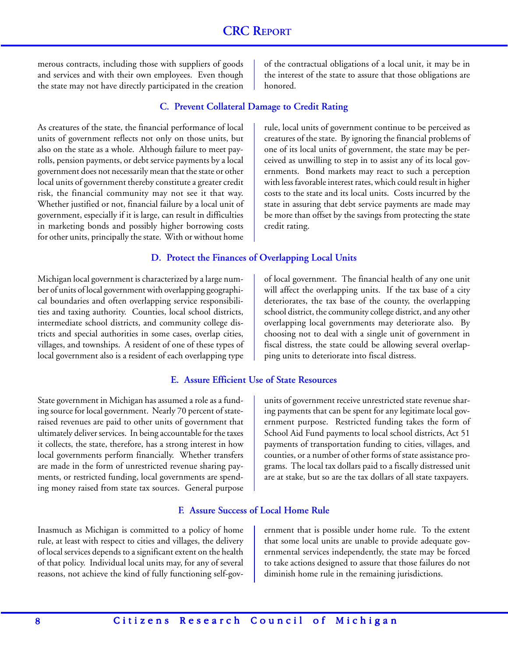merous contracts, including those with suppliers of goods and services and with their own employees. Even though the state may not have directly participated in the creation of the contractual obligations of a local unit, it may be in the interest of the state to assure that those obligations are honored.

rule, local units of government continue to be perceived as creatures of the state. By ignoring the financial problems of one of its local units of government, the state may be perceived as unwilling to step in to assist any of its local governments. Bond markets may react to such a perception with less favorable interest rates, which could result in higher costs to the state and its local units. Costs incurred by the state in assuring that debt service payments are made may be more than offset by the savings from protecting the state

# **C. Prevent Collateral Damage to Credit Rating**

As creatures of the state, the financial performance of local units of government reflects not only on those units, but also on the state as a whole. Although failure to meet payrolls, pension payments, or debt service payments by a local government does not necessarily mean that the state or other local units of government thereby constitute a greater credit risk, the financial community may not see it that way. Whether justified or not, financial failure by a local unit of government, especially if it is large, can result in difficulties in marketing bonds and possibly higher borrowing costs for other units, principally the state. With or without home

# **D. Protect the Finances of Overlapping Local Units**

credit rating.

Michigan local government is characterized by a large number of units of local government with overlapping geographical boundaries and often overlapping service responsibilities and taxing authority. Counties, local school districts, intermediate school districts, and community college districts and special authorities in some cases, overlap cities, villages, and townships. A resident of one of these types of local government also is a resident of each overlapping type

# **E. Assure Efficient Use of State Resources**

State government in Michigan has assumed a role as a funding source for local government. Nearly 70 percent of stateraised revenues are paid to other units of government that ultimately deliver services. In being accountable for the taxes it collects, the state, therefore, has a strong interest in how local governments perform financially. Whether transfers are made in the form of unrestricted revenue sharing payments, or restricted funding, local governments are spending money raised from state tax sources. General purpose

Inasmuch as Michigan is committed to a policy of home rule, at least with respect to cities and villages, the delivery of local services depends to a significant extent on the health of that policy. Individual local units may, for any of several reasons, not achieve the kind of fully functioning self-govof local government. The financial health of any one unit will affect the overlapping units. If the tax base of a city deteriorates, the tax base of the county, the overlapping school district, the community college district, and any other overlapping local governments may deteriorate also. By choosing not to deal with a single unit of government in fiscal distress, the state could be allowing several overlapping units to deteriorate into fiscal distress.

units of government receive unrestricted state revenue sharing payments that can be spent for any legitimate local government purpose. Restricted funding takes the form of School Aid Fund payments to local school districts, Act 51 payments of transportation funding to cities, villages, and counties, or a number of other forms of state assistance programs. The local tax dollars paid to a fiscally distressed unit are at stake, but so are the tax dollars of all state taxpayers.

ernment that is possible under home rule. To the extent that some local units are unable to provide adequate governmental services independently, the state may be forced to take actions designed to assure that those failures do not diminish home rule in the remaining jurisdictions.

# **F. Assure Success of Local Home Rule**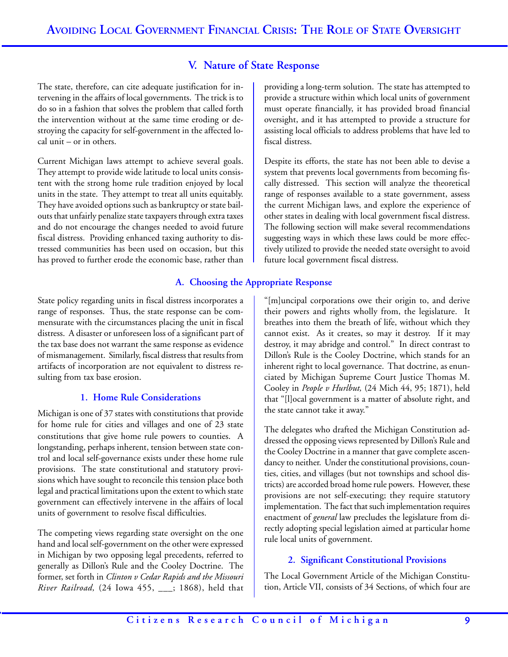# **V. Nature of State Response**

The state, therefore, can cite adequate justification for intervening in the affairs of local governments. The trick is to do so in a fashion that solves the problem that called forth the intervention without at the same time eroding or destroying the capacity for self-government in the affected local unit – or in others.

Current Michigan laws attempt to achieve several goals. They attempt to provide wide latitude to local units consistent with the strong home rule tradition enjoyed by local units in the state. They attempt to treat all units equitably. They have avoided options such as bankruptcy or state bailouts that unfairly penalize state taxpayers through extra taxes and do not encourage the changes needed to avoid future fiscal distress. Providing enhanced taxing authority to distressed communities has been used on occasion, but this has proved to further erode the economic base, rather than

State policy regarding units in fiscal distress incorporates a range of responses. Thus, the state response can be commensurate with the circumstances placing the unit in fiscal distress. A disaster or unforeseen loss of a significant part of the tax base does not warrant the same response as evidence of mismanagement. Similarly, fiscal distress that results from artifacts of incorporation are not equivalent to distress resulting from tax base erosion.

#### **1. Home Rule Considerations**

Michigan is one of 37 states with constitutions that provide for home rule for cities and villages and one of 23 state constitutions that give home rule powers to counties. A longstanding, perhaps inherent, tension between state control and local self-governance exists under these home rule provisions. The state constitutional and statutory provisions which have sought to reconcile this tension place both legal and practical limitations upon the extent to which state government can effectively intervene in the affairs of local units of government to resolve fiscal difficulties.

The competing views regarding state oversight on the one hand and local self-government on the other were expressed in Michigan by two opposing legal precedents, referred to generally as Dillon's Rule and the Cooley Doctrine. The former, set forth in *Clinton v Cedar Rapids and the Missouri River Railroad,* (24 Iowa 455, \_\_\_; 1868), held that

providing a long-term solution. The state has attempted to provide a structure within which local units of government must operate financially, it has provided broad financial oversight, and it has attempted to provide a structure for assisting local officials to address problems that have led to fiscal distress.

Despite its efforts, the state has not been able to devise a system that prevents local governments from becoming fiscally distressed. This section will analyze the theoretical range of responses available to a state government, assess the current Michigan laws, and explore the experience of other states in dealing with local government fiscal distress. The following section will make several recommendations suggesting ways in which these laws could be more effectively utilized to provide the needed state oversight to avoid future local government fiscal distress.

# **A. Choosing the Appropriate Response**

"[m]uncipal corporations owe their origin to, and derive their powers and rights wholly from, the legislature. It breathes into them the breath of life, without which they cannot exist. As it creates, so may it destroy. If it may destroy, it may abridge and control." In direct contrast to Dillon's Rule is the Cooley Doctrine, which stands for an inherent right to local governance. That doctrine, as enunciated by Michigan Supreme Court Justice Thomas M. Cooley in *People v Hurlbut,* (24 Mich 44, 95; 1871), held that "[l]ocal government is a matter of absolute right, and the state cannot take it away."

The delegates who drafted the Michigan Constitution addressed the opposing views represented by Dillon's Rule and the Cooley Doctrine in a manner that gave complete ascendancy to neither. Under the constitutional provisions, counties, cities, and villages (but not townships and school districts) are accorded broad home rule powers. However, these provisions are not self-executing; they require statutory implementation. The fact that such implementation requires enactment of *general* law precludes the legislature from directly adopting special legislation aimed at particular home rule local units of government.

# **2. Significant Constitutional Provisions**

The Local Government Article of the Michigan Constitution, Article VII, consists of 34 Sections, of which four are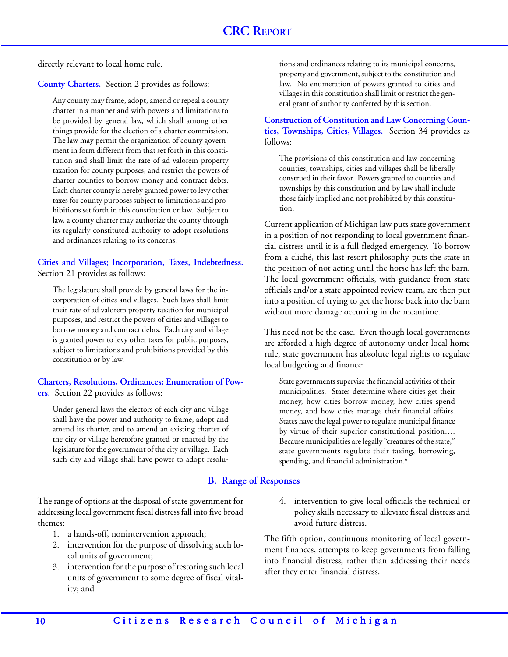directly relevant to local home rule.

**County Charters.** Section 2 provides as follows:

Any county may frame, adopt, amend or repeal a county charter in a manner and with powers and limitations to be provided by general law, which shall among other things provide for the election of a charter commission. The law may permit the organization of county government in form different from that set forth in this constitution and shall limit the rate of ad valorem property taxation for county purposes, and restrict the powers of charter counties to borrow money and contract debts. Each charter county is hereby granted power to levy other taxes for county purposes subject to limitations and prohibitions set forth in this constitution or law. Subject to law, a county charter may authorize the county through its regularly constituted authority to adopt resolutions and ordinances relating to its concerns.

**Cities and Villages; Incorporation, Taxes, Indebtedness.** Section 21 provides as follows:

The legislature shall provide by general laws for the incorporation of cities and villages. Such laws shall limit their rate of ad valorem property taxation for municipal purposes, and restrict the powers of cities and villages to borrow money and contract debts. Each city and village is granted power to levy other taxes for public purposes, subject to limitations and prohibitions provided by this constitution or by law.

# **Charters, Resolutions, Ordinances; Enumeration of Powers.** Section 22 provides as follows:

Under general laws the electors of each city and village shall have the power and authority to frame, adopt and amend its charter, and to amend an existing charter of the city or village heretofore granted or enacted by the legislature for the government of the city or village. Each such city and village shall have power to adopt resolu-

The range of options at the disposal of state government for addressing local government fiscal distress fall into five broad themes:

- 1. a hands-off, nonintervention approach;
- 2. intervention for the purpose of dissolving such local units of government;
- 3. intervention for the purpose of restoring such local units of government to some degree of fiscal vitality; and

tions and ordinances relating to its municipal concerns, property and government, subject to the constitution and law. No enumeration of powers granted to cities and villages in this constitution shall limit or restrict the general grant of authority conferred by this section.

**Construction of Constitution and Law Concerning Counties, Townships, Cities, Villages.** Section 34 provides as follows:

The provisions of this constitution and law concerning counties, townships, cities and villages shall be liberally construed in their favor. Powers granted to counties and townships by this constitution and by law shall include those fairly implied and not prohibited by this constitution.

Current application of Michigan law puts state government in a position of not responding to local government financial distress until it is a full-fledged emergency. To borrow from a cliché, this last-resort philosophy puts the state in the position of not acting until the horse has left the barn. The local government officials, with guidance from state officials and/or a state appointed review team, are then put into a position of trying to get the horse back into the barn without more damage occurring in the meantime.

This need not be the case. Even though local governments are afforded a high degree of autonomy under local home rule, state government has absolute legal rights to regulate local budgeting and finance:

State governments supervise the financial activities of their municipalities. States determine where cities get their money, how cities borrow money, how cities spend money, and how cities manage their financial affairs. States have the legal power to regulate municipal finance by virtue of their superior constitutional position…. Because municipalities are legally "creatures of the state," state governments regulate their taxing, borrowing, spending, and financial administration.<sup>6</sup>

# **B. Range of Responses**

4. intervention to give local officials the technical or policy skills necessary to alleviate fiscal distress and avoid future distress.

The fifth option, continuous monitoring of local government finances, attempts to keep governments from falling into financial distress, rather than addressing their needs after they enter financial distress.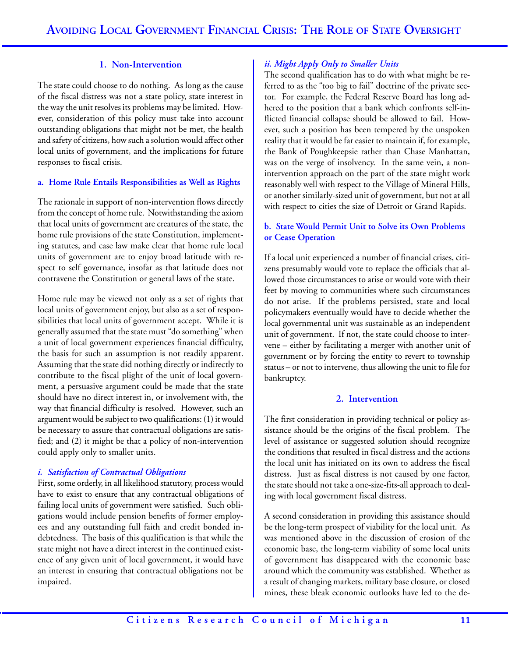### **1. Non-Intervention**

The state could choose to do nothing. As long as the cause of the fiscal distress was not a state policy, state interest in the way the unit resolves its problems may be limited. However, consideration of this policy must take into account outstanding obligations that might not be met, the health and safety of citizens, how such a solution would affect other local units of government, and the implications for future responses to fiscal crisis.

#### **a. Home Rule Entails Responsibilities as Well as Rights**

The rationale in support of non-intervention flows directly from the concept of home rule. Notwithstanding the axiom that local units of government are creatures of the state, the home rule provisions of the state Constitution, implementing statutes, and case law make clear that home rule local units of government are to enjoy broad latitude with respect to self governance, insofar as that latitude does not contravene the Constitution or general laws of the state.

Home rule may be viewed not only as a set of rights that local units of government enjoy, but also as a set of responsibilities that local units of government accept. While it is generally assumed that the state must "do something" when a unit of local government experiences financial difficulty, the basis for such an assumption is not readily apparent. Assuming that the state did nothing directly or indirectly to contribute to the fiscal plight of the unit of local government, a persuasive argument could be made that the state should have no direct interest in, or involvement with, the way that financial difficulty is resolved. However, such an argument would be subject to two qualifications: (1) it would be necessary to assure that contractual obligations are satisfied; and (2) it might be that a policy of non-intervention could apply only to smaller units.

#### *i. Satisfaction of Contractual Obligations*

First, some orderly, in all likelihood statutory, process would have to exist to ensure that any contractual obligations of failing local units of government were satisfied. Such obligations would include pension benefits of former employees and any outstanding full faith and credit bonded indebtedness. The basis of this qualification is that while the state might not have a direct interest in the continued existence of any given unit of local government, it would have an interest in ensuring that contractual obligations not be impaired.

#### *ii. Might Apply Only to Smaller Units*

The second qualification has to do with what might be referred to as the "too big to fail" doctrine of the private sector. For example, the Federal Reserve Board has long adhered to the position that a bank which confronts self-inflicted financial collapse should be allowed to fail. However, such a position has been tempered by the unspoken reality that it would be far easier to maintain if, for example, the Bank of Poughkeepsie rather than Chase Manhattan, was on the verge of insolvency. In the same vein, a nonintervention approach on the part of the state might work reasonably well with respect to the Village of Mineral Hills, or another similarly-sized unit of government, but not at all with respect to cities the size of Detroit or Grand Rapids.

### **b. State Would Permit Unit to Solve its Own Problems or Cease Operation**

If a local unit experienced a number of financial crises, citizens presumably would vote to replace the officials that allowed those circumstances to arise or would vote with their feet by moving to communities where such circumstances do not arise. If the problems persisted, state and local policymakers eventually would have to decide whether the local governmental unit was sustainable as an independent unit of government. If not, the state could choose to intervene – either by facilitating a merger with another unit of government or by forcing the entity to revert to township status – or not to intervene, thus allowing the unit to file for bankruptcy.

#### **2. Intervention**

The first consideration in providing technical or policy assistance should be the origins of the fiscal problem. The level of assistance or suggested solution should recognize the conditions that resulted in fiscal distress and the actions the local unit has initiated on its own to address the fiscal distress. Just as fiscal distress is not caused by one factor, the state should not take a one-size-fits-all approach to dealing with local government fiscal distress.

A second consideration in providing this assistance should be the long-term prospect of viability for the local unit. As was mentioned above in the discussion of erosion of the economic base, the long-term viability of some local units of government has disappeared with the economic base around which the community was established. Whether as a result of changing markets, military base closure, or closed mines, these bleak economic outlooks have led to the de-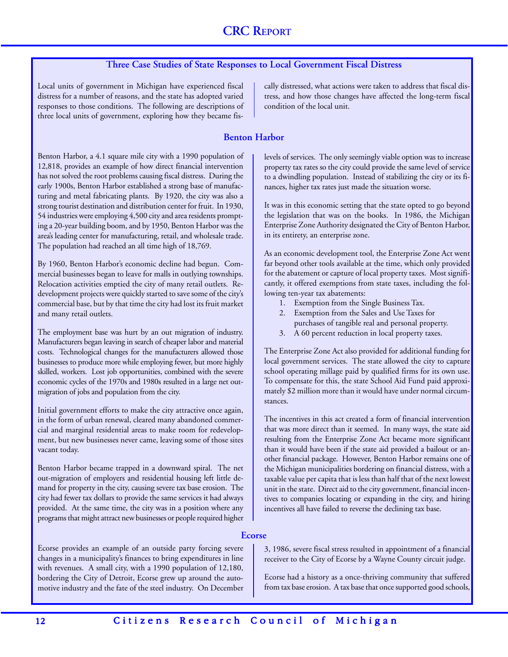# **Three Case Studies of State Responses to Local Government Fiscal Distress**

Local units of government in Michigan have experienced fiscal distress for a number of reasons, and the state has adopted varied responses to those conditions. The following are descriptions of three local units of government, exploring how they became fis-

Benton Harbor, a 4.1 square mile city with a 1990 population of 12,818, provides an example of how direct financial intervention has not solved the root problems causing fiscal distress. During the early 1900s, Benton Harbor established a strong base of manufacturing and metal fabricating plants. By 1920, the city was also a strong tourist destination and distribution center for fruit. In 1930, 54 industries were employing 4,500 city and area residents prompting a 20-year building boom, and by 1950, Benton Harbor was the area's leading center for manufacturing, retail, and wholesale trade. The population had reached an all time high of 18,769.

By 1960, Benton Harbor's economic decline had begun. Commercial businesses began to leave for malls in outlying townships. Relocation activities emptied the city of many retail outlets. Redevelopment projects were quickly started to save some of the city's commercial base, but by that time the city had lost its fruit market and many retail outlets.

The employment base was hurt by an out migration of industry. Manufacturers began leaving in search of cheaper labor and material costs. Technological changes for the manufacturers allowed those businesses to produce more while employing fewer, but more highly skilled, workers. Lost job opportunities, combined with the severe economic cycles of the 1970s and 1980s resulted in a large net outmigration of jobs and population from the city.

Initial government efforts to make the city attractive once again, in the form of urban renewal, cleared many abandoned commercial and marginal residential areas to make room for redevelopment, but new businesses never came, leaving some of those sites vacant today.

Benton Harbor became trapped in a downward spiral. The net out-migration of employers and residential housing left little demand for property in the city, causing severe tax base erosion. The city had fewer tax dollars to provide the same services it had always provided. At the same time, the city was in a position where any programs that might attract new businesses or people required higher cally distressed, what actions were taken to address that fiscal distress, and how those changes have affected the long-term fiscal condition of the local unit.

#### **Benton Harbor**

levels of services. The only seemingly viable option was to increase property tax rates so the city could provide the same level of service to a dwindling population. Instead of stabilizing the city or its finances, higher tax rates just made the situation worse.

It was in this economic setting that the state opted to go beyond the legislation that was on the books. In 1986, the Michigan Enterprise Zone Authority designated the City of Benton Harbor, in its entirety, an enterprise zone.

As an economic development tool, the Enterprise Zone Act went far beyond other tools available at the time, which only provided for the abatement or capture of local property taxes. Most significantly, it offered exemptions from state taxes, including the following ten-year tax abatements:

- 1. Exemption from the Single Business Tax.
- 2. Exemption from the Sales and Use Taxes for purchases of tangible real and personal property.
- 3. A 60 percent reduction in local property taxes.

The Enterprise Zone Act also provided for additional funding for local government services. The state allowed the city to capture school operating millage paid by qualified firms for its own use. To compensate for this, the state School Aid Fund paid approximately \$2 million more than it would have under normal circumstances.

The incentives in this act created a form of financial intervention that was more direct than it seemed. In many ways, the state aid resulting from the Enterprise Zone Act became more significant than it would have been if the state aid provided a bailout or another financial package. However, Benton Harbor remains one of the Michigan municipalities bordering on financial distress, with a taxable value per capita that is less than half that of the next lowest unit in the state. Direct aid to the city government, financial incentives to companies locating or expanding in the city, and hiring incentives all have failed to reverse the declining tax base.

#### **Ecorse**

Ecorse provides an example of an outside party forcing severe changes in a municipality's finances to bring expenditures in line with revenues. A small city, with a 1990 population of 12,180, bordering the City of Detroit, Ecorse grew up around the automotive industry and the fate of the steel industry. On December

3, 1986, severe fiscal stress resulted in appointment of a financial receiver to the City of Ecorse by a Wayne County circuit judge.

Ecorse had a history as a once-thriving community that suffered from tax base erosion. A tax base that once supported good schools,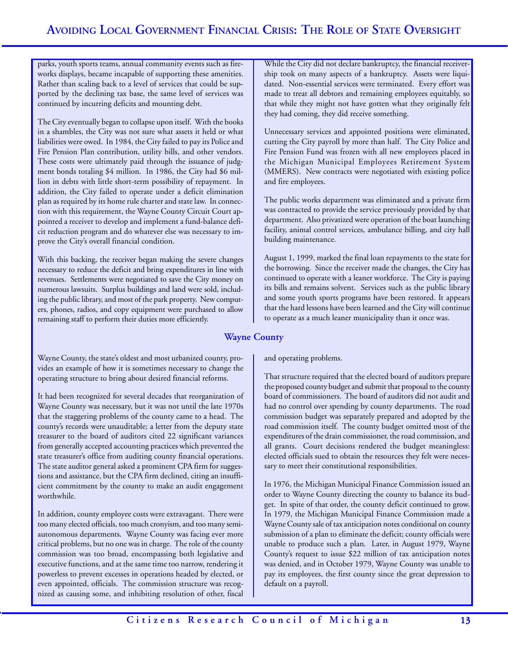parks, youth sports teams, annual community events such as fireworks displays, became incapable of supporting these amenities. Rather than scaling back to a level of services that could be supported by the declining tax base, the same level of services was continued by incurring deficits and mounting debt.

The City eventually began to collapse upon itself. With the books in a shambles, the City was not sure what assets it held or what liabilities were owed. In 1984, the City failed to pay its Police and Fire Pension Plan contribution, utility bills, and other vendors. These costs were ultimately paid through the issuance of judgment bonds totaling \$4 million. In 1986, the City had \$6 million in debts with little short-term possibility of repayment. In addition, the City failed to operate under a deficit elimination plan as required by its home rule charter and state law. In connection with this requirement, the Wayne County Circuit Court appointed a receiver to develop and implement a fund-balance deficit reduction program and do whatever else was necessary to improve the City's overall financial condition.

With this backing, the receiver began making the severe changes necessary to reduce the deficit and bring expenditures in line with revenues. Settlements were negotiated to save the City money on numerous lawsuits. Surplus buildings and land were sold, including the public library, and most of the park property. New computers, phones, radios, and copy equipment were purchased to allow remaining staff to perform their duties more efficiently.

While the City did not declare bankruptcy, the financial receivership took on many aspects of a bankruptcy. Assets were liquidated. Non-essential services were terminated. Every effort was made to treat all debtors and remaining employees equitably, so that while they might not have gotten what they originally felt they had coming, they did receive something.

Unnecessary services and appointed positions were eliminated, cutting the City payroll by more than half. The City Police and Fire Pension Fund was frozen with all new employees placed in the Michigan Municipal Employees Retirement System (MMERS). New contracts were negotiated with existing police and fire employees.

The public works department was eliminated and a private firm was contracted to provide the service previously provided by that department. Also privatized were operation of the boat launching facility, animal control services, ambulance billing, and city hall building maintenance.

August 1, 1999, marked the final loan repayments to the state for the borrowing. Since the receiver made the changes, the City has continued to operate with a leaner workforce. The City is paying its bills and remains solvent. Services such as the public library and some youth sports programs have been restored. It appears that the hard lessons have been learned and the City will continue to operate as a much leaner municipality than it once was.

# **Wayne County**

and operating problems.

That structure required that the elected board of auditors prepare the proposed county budget and submit that proposal to the county board of commissioners. The board of auditors did not audit and had no control over spending by county departments. The road commission budget was separately prepared and adopted by the road commission itself. The county budget omitted most of the expenditures of the drain commissioner, the road commission, and all grants. Court decisions rendered the budget meaningless: elected officials sued to obtain the resources they felt were necessary to meet their constitutional responsibilities.

In 1976, the Michigan Municipal Finance Commission issued an order to Wayne County directing the county to balance its budget. In spite of that order, the county deficit continued to grow. In 1979, the Michigan Municipal Finance Commission made a Wayne County sale of tax anticipation notes conditional on county submission of a plan to eliminate the deficit; county officials were unable to produce such a plan. Later, in August 1979, Wayne County's request to issue \$22 million of tax anticipation notes was denied, and in October 1979, Wayne County was unable to pay its employees, the first county since the great depression to default on a payroll.

Wayne County, the state's oldest and most urbanized county, provides an example of how it is sometimes necessary to change the operating structure to bring about desired financial reforms.

It had been recognized for several decades that reorganization of Wayne County was necessary, but it was not until the late 1970s that the staggering problems of the county came to a head. The county's records were unauditable; a letter from the deputy state treasurer to the board of auditors cited 22 significant variances from generally accepted accounting practices which prevented the state treasurer's office from auditing county financial operations. The state auditor general asked a prominent CPA firm for suggestions and assistance, but the CPA firm declined, citing an insufficient commitment by the county to make an audit engagement worthwhile.

In addition, county employee costs were extravagant. There were too many elected officials, too much cronyism, and too many semiautonomous departments. Wayne County was facing ever more critical problems, but no one was in charge. The role of the county commission was too broad, encompassing both legislative and executive functions, and at the same time too narrow, rendering it powerless to prevent excesses in operations headed by elected, or even appointed, officials. The commission structure was recognized as causing some, and inhibiting resolution of other, fiscal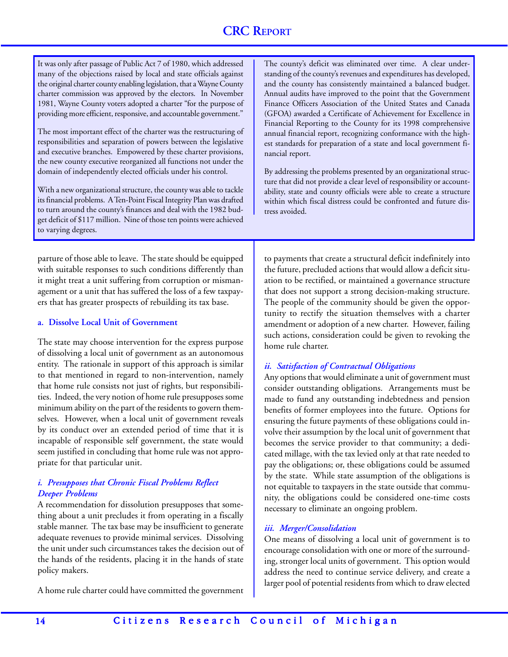It was only after passage of Public Act 7 of 1980, which addressed many of the objections raised by local and state officials against the original charter county enabling legislation, that a Wayne County charter commission was approved by the electors. In November 1981, Wayne County voters adopted a charter "for the purpose of providing more efficient, responsive, and accountable government."

The most important effect of the charter was the restructuring of responsibilities and separation of powers between the legislative and executive branches. Empowered by these charter provisions, the new county executive reorganized all functions not under the domain of independently elected officials under his control.

With a new organizational structure, the county was able to tackle its financial problems. A Ten-Point Fiscal Integrity Plan was drafted to turn around the county's finances and deal with the 1982 budget deficit of \$117 million. Nine of those ten points were achieved to varying degrees.

parture of those able to leave. The state should be equipped with suitable responses to such conditions differently than it might treat a unit suffering from corruption or mismanagement or a unit that has suffered the loss of a few taxpayers that has greater prospects of rebuilding its tax base.

#### **a. Dissolve Local Unit of Government**

The state may choose intervention for the express purpose of dissolving a local unit of government as an autonomous entity. The rationale in support of this approach is similar to that mentioned in regard to non-intervention, namely that home rule consists not just of rights, but responsibilities. Indeed, the very notion of home rule presupposes some minimum ability on the part of the residents to govern themselves. However, when a local unit of government reveals by its conduct over an extended period of time that it is incapable of responsible self government, the state would seem justified in concluding that home rule was not appropriate for that particular unit.

#### *i. Presupposes that Chronic Fiscal Problems Reflect Deeper Problems*

A recommendation for dissolution presupposes that something about a unit precludes it from operating in a fiscally stable manner. The tax base may be insufficient to generate adequate revenues to provide minimal services. Dissolving the unit under such circumstances takes the decision out of the hands of the residents, placing it in the hands of state policy makers.

A home rule charter could have committed the government

The county's deficit was eliminated over time. A clear understanding of the county's revenues and expenditures has developed, and the county has consistently maintained a balanced budget. Annual audits have improved to the point that the Government Finance Officers Association of the United States and Canada (GFOA) awarded a Certificate of Achievement for Excellence in Financial Reporting to the County for its 1998 comprehensive annual financial report, recognizing conformance with the highest standards for preparation of a state and local government financial report.

By addressing the problems presented by an organizational structure that did not provide a clear level of responsibility or accountability, state and county officials were able to create a structure within which fiscal distress could be confronted and future distress avoided.

to payments that create a structural deficit indefinitely into the future, precluded actions that would allow a deficit situation to be rectified, or maintained a governance structure that does not support a strong decision-making structure. The people of the community should be given the opportunity to rectify the situation themselves with a charter amendment or adoption of a new charter. However, failing such actions, consideration could be given to revoking the home rule charter.

#### *ii. Satisfaction of Contractual Obligations*

Any options that would eliminate a unit of government must consider outstanding obligations. Arrangements must be made to fund any outstanding indebtedness and pension benefits of former employees into the future. Options for ensuring the future payments of these obligations could involve their assumption by the local unit of government that becomes the service provider to that community; a dedicated millage, with the tax levied only at that rate needed to pay the obligations; or, these obligations could be assumed by the state. While state assumption of the obligations is not equitable to taxpayers in the state outside that community, the obligations could be considered one-time costs necessary to eliminate an ongoing problem.

#### *iii. Merger/Consolidation*

One means of dissolving a local unit of government is to encourage consolidation with one or more of the surrounding, stronger local units of government. This option would address the need to continue service delivery, and create a larger pool of potential residents from which to draw elected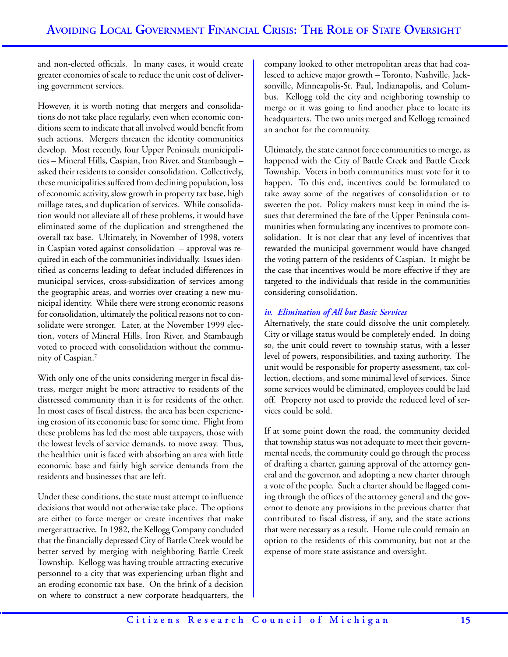and non-elected officials. In many cases, it would create greater economies of scale to reduce the unit cost of delivering government services.

However, it is worth noting that mergers and consolidations do not take place regularly, even when economic conditions seem to indicate that all involved would benefit from such actions. Mergers threaten the identity communities develop. Most recently, four Upper Peninsula municipalities – Mineral Hills, Caspian, Iron River, and Stambaugh – asked their residents to consider consolidation. Collectively, these municipalities suffered from declining population, loss of economic activity, slow growth in property tax base, high millage rates, and duplication of services. While consolidation would not alleviate all of these problems, it would have eliminated some of the duplication and strengthened the overall tax base. Ultimately, in November of 1998, voters in Caspian voted against consolidation – approval was required in each of the communities individually. Issues identified as concerns leading to defeat included differences in municipal services, cross-subsidization of services among the geographic areas, and worries over creating a new municipal identity. While there were strong economic reasons for consolidation, ultimately the political reasons not to consolidate were stronger. Later, at the November 1999 election, voters of Mineral Hills, Iron River, and Stambaugh voted to proceed with consolidation without the community of Caspian.7

With only one of the units considering merger in fiscal distress, merger might be more attractive to residents of the distressed community than it is for residents of the other. In most cases of fiscal distress, the area has been experiencing erosion of its economic base for some time. Flight from these problems has led the most able taxpayers, those with the lowest levels of service demands, to move away. Thus, the healthier unit is faced with absorbing an area with little economic base and fairly high service demands from the residents and businesses that are left.

Under these conditions, the state must attempt to influence decisions that would not otherwise take place. The options are either to force merger or create incentives that make merger attractive. In 1982, the Kellogg Company concluded that the financially depressed City of Battle Creek would be better served by merging with neighboring Battle Creek Township. Kellogg was having trouble attracting executive personnel to a city that was experiencing urban flight and an eroding economic tax base. On the brink of a decision on where to construct a new corporate headquarters, the

company looked to other metropolitan areas that had coalesced to achieve major growth – Toronto, Nashville, Jacksonville, Minneapolis-St. Paul, Indianapolis, and Columbus. Kellogg told the city and neighboring township to merge or it was going to find another place to locate its headquarters. The two units merged and Kellogg remained an anchor for the community.

Ultimately, the state cannot force communities to merge, as happened with the City of Battle Creek and Battle Creek Township. Voters in both communities must vote for it to happen. To this end, incentives could be formulated to take away some of the negatives of consolidation or to sweeten the pot. Policy makers must keep in mind the issues that determined the fate of the Upper Peninsula communities when formulating any incentives to promote consolidation. It is not clear that any level of incentives that rewarded the municipal government would have changed the voting pattern of the residents of Caspian. It might be the case that incentives would be more effective if they are targeted to the individuals that reside in the communities considering consolidation.

# *iv. Elimination of All but Basic Services*

Alternatively, the state could dissolve the unit completely. City or village status would be completely ended. In doing so, the unit could revert to township status, with a lesser level of powers, responsibilities, and taxing authority. The unit would be responsible for property assessment, tax collection, elections, and some minimal level of services. Since some services would be eliminated, employees could be laid off. Property not used to provide the reduced level of services could be sold.

If at some point down the road, the community decided that township status was not adequate to meet their governmental needs, the community could go through the process of drafting a charter, gaining approval of the attorney general and the governor, and adopting a new charter through a vote of the people. Such a charter should be flagged coming through the offices of the attorney general and the governor to denote any provisions in the previous charter that contributed to fiscal distress, if any, and the state actions that were necessary as a result. Home rule could remain an option to the residents of this community, but not at the expense of more state assistance and oversight.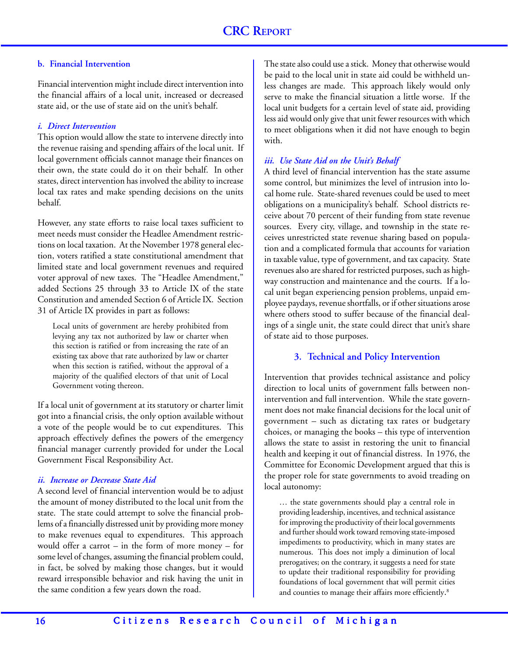### **b. Financial Intervention**

Financial intervention might include direct intervention into the financial affairs of a local unit, increased or decreased state aid, or the use of state aid on the unit's behalf.

### *i. Direct Intervention*

This option would allow the state to intervene directly into the revenue raising and spending affairs of the local unit. If local government officials cannot manage their finances on their own, the state could do it on their behalf. In other states, direct intervention has involved the ability to increase local tax rates and make spending decisions on the units behalf.

However, any state efforts to raise local taxes sufficient to meet needs must consider the Headlee Amendment restrictions on local taxation. At the November 1978 general election, voters ratified a state constitutional amendment that limited state and local government revenues and required voter approval of new taxes. The "Headlee Amendment," added Sections 25 through 33 to Article IX of the state Constitution and amended Section 6 of Article IX. Section 31 of Article IX provides in part as follows:

Local units of government are hereby prohibited from levying any tax not authorized by law or charter when this section is ratified or from increasing the rate of an existing tax above that rate authorized by law or charter when this section is ratified, without the approval of a majority of the qualified electors of that unit of Local Government voting thereon.

If a local unit of government at its statutory or charter limit got into a financial crisis, the only option available without a vote of the people would be to cut expenditures. This approach effectively defines the powers of the emergency financial manager currently provided for under the Local Government Fiscal Responsibility Act.

# *ii. Increase or Decrease State Aid*

A second level of financial intervention would be to adjust the amount of money distributed to the local unit from the state. The state could attempt to solve the financial problems of a financially distressed unit by providing more money to make revenues equal to expenditures. This approach would offer a carrot – in the form of more money – for some level of changes, assuming the financial problem could, in fact, be solved by making those changes, but it would reward irresponsible behavior and risk having the unit in the same condition a few years down the road.

The state also could use a stick. Money that otherwise would be paid to the local unit in state aid could be withheld unless changes are made. This approach likely would only serve to make the financial situation a little worse. If the local unit budgets for a certain level of state aid, providing less aid would only give that unit fewer resources with which to meet obligations when it did not have enough to begin with.

# *iii. Use State Aid on the Unit's Behalf*

A third level of financial intervention has the state assume some control, but minimizes the level of intrusion into local home rule. State-shared revenues could be used to meet obligations on a municipality's behalf. School districts receive about 70 percent of their funding from state revenue sources. Every city, village, and township in the state receives unrestricted state revenue sharing based on population and a complicated formula that accounts for variation in taxable value, type of government, and tax capacity. State revenues also are shared for restricted purposes, such as highway construction and maintenance and the courts. If a local unit began experiencing pension problems, unpaid employee paydays, revenue shortfalls, or if other situations arose where others stood to suffer because of the financial dealings of a single unit, the state could direct that unit's share of state aid to those purposes.

# **3. Technical and Policy Intervention**

Intervention that provides technical assistance and policy direction to local units of government falls between nonintervention and full intervention. While the state government does not make financial decisions for the local unit of government – such as dictating tax rates or budgetary choices, or managing the books – this type of intervention allows the state to assist in restoring the unit to financial health and keeping it out of financial distress. In 1976, the Committee for Economic Development argued that this is the proper role for state governments to avoid treading on local autonomy:

… the state governments should play a central role in providing leadership, incentives, and technical assistance for improving the productivity of their local governments and further should work toward removing state-imposed impediments to productivity, which in many states are numerous. This does not imply a diminution of local prerogatives; on the contrary, it suggests a need for state to update their traditional responsibility for providing foundations of local government that will permit cities and counties to manage their affairs more efficiently. 8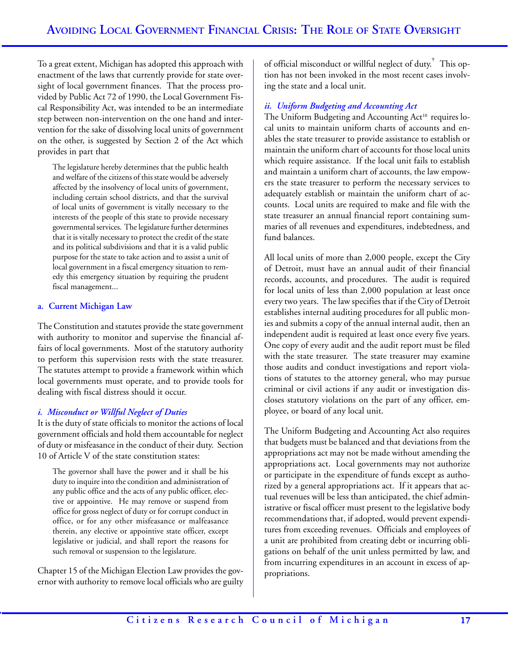To a great extent, Michigan has adopted this approach with enactment of the laws that currently provide for state oversight of local government finances. That the process provided by Public Act 72 of 1990, the Local Government Fiscal Responsibility Act, was intended to be an intermediate step between non-intervention on the one hand and intervention for the sake of dissolving local units of government on the other, is suggested by Section 2 of the Act which provides in part that

The legislature hereby determines that the public health and welfare of the citizens of this state would be adversely affected by the insolvency of local units of government, including certain school districts, and that the survival of local units of government is vitally necessary to the interests of the people of this state to provide necessary governmental services. The legislature further determines that it is vitally necessary to protect the credit of the state and its political subdivisions and that it is a valid public purpose for the state to take action and to assist a unit of local government in a fiscal emergency situation to remedy this emergency situation by requiring the prudent fiscal management...

### **a. Current Michigan Law**

The Constitution and statutes provide the state government with authority to monitor and supervise the financial affairs of local governments. Most of the statutory authority to perform this supervision rests with the state treasurer. The statutes attempt to provide a framework within which local governments must operate, and to provide tools for dealing with fiscal distress should it occur.

# *i. Misconduct or Willful Neglect of Duties*

It is the duty of state officials to monitor the actions of local government officials and hold them accountable for neglect of duty or misfeasance in the conduct of their duty. Section 10 of Article V of the state constitution states:

The governor shall have the power and it shall be his duty to inquire into the condition and administration of any public office and the acts of any public officer, elective or appointive. He may remove or suspend from office for gross neglect of duty or for corrupt conduct in office, or for any other misfeasance or malfeasance therein, any elective or appointive state officer, except legislative or judicial, and shall report the reasons for such removal or suspension to the legislature.

Chapter 15 of the Michigan Election Law provides the governor with authority to remove local officials who are guilty of official misconduct or willful neglect of duty.<sup>9</sup> This option has not been invoked in the most recent cases involving the state and a local unit.

# *ii. Uniform Budgeting and Accounting Act*

The Uniform Budgeting and Accounting Act<sup>10</sup> requires local units to maintain uniform charts of accounts and enables the state treasurer to provide assistance to establish or maintain the uniform chart of accounts for those local units which require assistance. If the local unit fails to establish and maintain a uniform chart of accounts, the law empowers the state treasurer to perform the necessary services to adequately establish or maintain the uniform chart of accounts. Local units are required to make and file with the state treasurer an annual financial report containing summaries of all revenues and expenditures, indebtedness, and fund balances.

All local units of more than 2,000 people, except the City of Detroit, must have an annual audit of their financial records, accounts, and procedures. The audit is required for local units of less than 2,000 population at least once every two years. The law specifies that if the City of Detroit establishes internal auditing procedures for all public monies and submits a copy of the annual internal audit, then an independent audit is required at least once every five years. One copy of every audit and the audit report must be filed with the state treasurer. The state treasurer may examine those audits and conduct investigations and report violations of statutes to the attorney general, who may pursue criminal or civil actions if any audit or investigation discloses statutory violations on the part of any officer, employee, or board of any local unit.

The Uniform Budgeting and Accounting Act also requires that budgets must be balanced and that deviations from the appropriations act may not be made without amending the appropriations act. Local governments may not authorize or participate in the expenditure of funds except as authorized by a general appropriations act. If it appears that actual revenues will be less than anticipated, the chief administrative or fiscal officer must present to the legislative body recommendations that, if adopted, would prevent expenditures from exceeding revenues. Officials and employees of a unit are prohibited from creating debt or incurring obligations on behalf of the unit unless permitted by law, and from incurring expenditures in an account in excess of appropriations.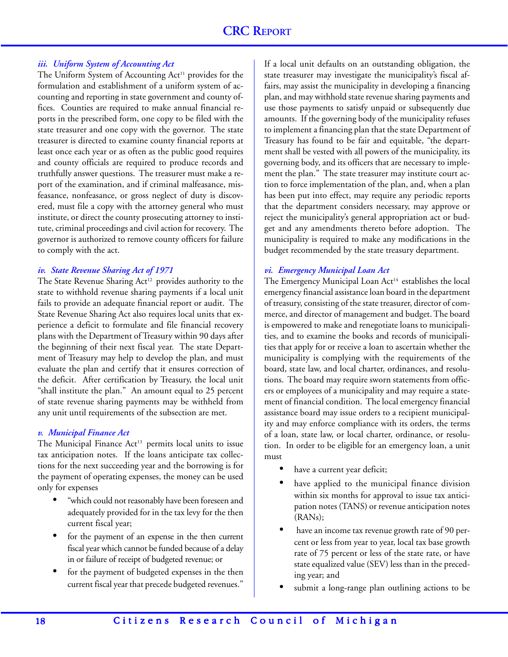### *iii. Uniform System of Accounting Act*

The Uniform System of Accounting Act<sup>11</sup> provides for the formulation and establishment of a uniform system of accounting and reporting in state government and county offices. Counties are required to make annual financial reports in the prescribed form, one copy to be filed with the state treasurer and one copy with the governor. The state treasurer is directed to examine county financial reports at least once each year or as often as the public good requires and county officials are required to produce records and truthfully answer questions. The treasurer must make a report of the examination, and if criminal malfeasance, misfeasance, nonfeasance, or gross neglect of duty is discovered, must file a copy with the attorney general who must institute, or direct the county prosecuting attorney to institute, criminal proceedings and civil action for recovery. The governor is authorized to remove county officers for failure to comply with the act.

#### *iv. State Revenue Sharing Act of 1971*

The State Revenue Sharing Act<sup>12</sup> provides authority to the state to withhold revenue sharing payments if a local unit fails to provide an adequate financial report or audit. The State Revenue Sharing Act also requires local units that experience a deficit to formulate and file financial recovery plans with the Department of Treasury within 90 days after the beginning of their next fiscal year. The state Department of Treasury may help to develop the plan, and must evaluate the plan and certify that it ensures correction of the deficit. After certification by Treasury, the local unit "shall institute the plan." An amount equal to 25 percent of state revenue sharing payments may be withheld from any unit until requirements of the subsection are met.

#### *v. Municipal Finance Act*

The Municipal Finance  $Act<sup>13</sup>$  permits local units to issue tax anticipation notes. If the loans anticipate tax collections for the next succeeding year and the borrowing is for the payment of operating expenses, the money can be used only for expenses

- "which could not reasonably have been foreseen and adequately provided for in the tax levy for the then current fiscal year;
- for the payment of an expense in the then current fiscal year which cannot be funded because of a delay in or failure of receipt of budgeted revenue; or
- for the payment of budgeted expenses in the then current fiscal year that precede budgeted revenues."

If a local unit defaults on an outstanding obligation, the state treasurer may investigate the municipality's fiscal affairs, may assist the municipality in developing a financing plan, and may withhold state revenue sharing payments and use those payments to satisfy unpaid or subsequently due amounts. If the governing body of the municipality refuses to implement a financing plan that the state Department of Treasury has found to be fair and equitable, "the department shall be vested with all powers of the municipality, its governing body, and its officers that are necessary to implement the plan." The state treasurer may institute court action to force implementation of the plan, and, when a plan has been put into effect, may require any periodic reports that the department considers necessary, may approve or reject the municipality's general appropriation act or budget and any amendments thereto before adoption. The municipality is required to make any modifications in the budget recommended by the state treasury department.

#### *vi. Emergency Municipal Loan Act*

The Emergency Municipal Loan Act<sup>14</sup> establishes the local emergency financial assistance loan board in the department of treasury, consisting of the state treasurer, director of commerce, and director of management and budget. The board is empowered to make and renegotiate loans to municipalities, and to examine the books and records of municipalities that apply for or receive a loan to ascertain whether the municipality is complying with the requirements of the board, state law, and local charter, ordinances, and resolutions. The board may require sworn statements from officers or employees of a municipality and may require a statement of financial condition. The local emergency financial assistance board may issue orders to a recipient municipality and may enforce compliance with its orders, the terms of a loan, state law, or local charter, ordinance, or resolution. In order to be eligible for an emergency loan, a unit must

- have a current year deficit;
- have applied to the municipal finance division within six months for approval to issue tax anticipation notes (TANS) or revenue anticipation notes (RANs);
- have an income tax revenue growth rate of 90 percent or less from year to year, local tax base growth rate of 75 percent or less of the state rate, or have state equalized value (SEV) less than in the preceding year; and
- submit a long-range plan outlining actions to be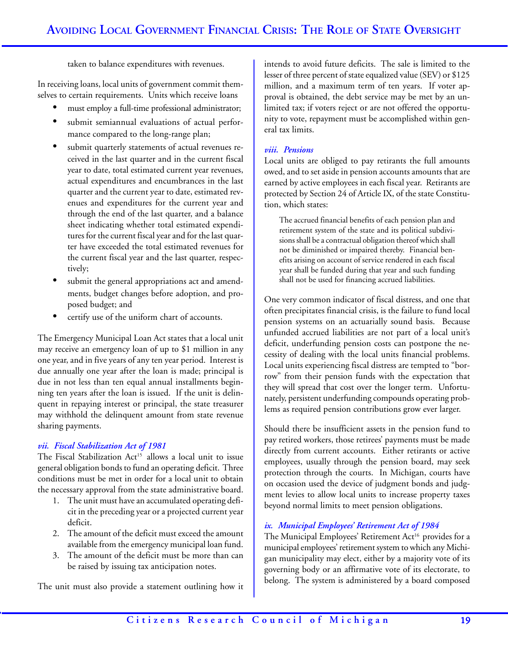taken to balance expenditures with revenues.

In receiving loans, local units of government commit themselves to certain requirements. Units which receive loans

- must employ a full-time professional administrator;
- submit semiannual evaluations of actual performance compared to the long-range plan;
- submit quarterly statements of actual revenues received in the last quarter and in the current fiscal year to date, total estimated current year revenues, actual expenditures and encumbrances in the last quarter and the current year to date, estimated revenues and expenditures for the current year and through the end of the last quarter, and a balance sheet indicating whether total estimated expenditures for the current fiscal year and for the last quarter have exceeded the total estimated revenues for the current fiscal year and the last quarter, respectively;
- submit the general appropriations act and amendments, budget changes before adoption, and proposed budget; and
- certify use of the uniform chart of accounts.

The Emergency Municipal Loan Act states that a local unit may receive an emergency loan of up to \$1 million in any one year, and in five years of any ten year period. Interest is due annually one year after the loan is made; principal is due in not less than ten equal annual installments beginning ten years after the loan is issued. If the unit is delinquent in repaying interest or principal, the state treasurer may withhold the delinquent amount from state revenue sharing payments.

# *vii. Fiscal Stabilization Act of 1981*

The Fiscal Stabilization Act<sup>15</sup> allows a local unit to issue general obligation bonds to fund an operating deficit. Three conditions must be met in order for a local unit to obtain the necessary approval from the state administrative board.

- 1. The unit must have an accumulated operating deficit in the preceding year or a projected current year deficit.
- 2. The amount of the deficit must exceed the amount available from the emergency municipal loan fund.
- 3. The amount of the deficit must be more than can be raised by issuing tax anticipation notes.

The unit must also provide a statement outlining how it

intends to avoid future deficits. The sale is limited to the lesser of three percent of state equalized value (SEV) or \$125 million, and a maximum term of ten years. If voter approval is obtained, the debt service may be met by an unlimited tax; if voters reject or are not offered the opportunity to vote, repayment must be accomplished within general tax limits.

# *viii. Pensions*

Local units are obliged to pay retirants the full amounts owed, and to set aside in pension accounts amounts that are earned by active employees in each fiscal year. Retirants are protected by Section 24 of Article IX, of the state Constitution, which states:

The accrued financial benefits of each pension plan and retirement system of the state and its political subdivisions shall be a contractual obligation thereof which shall not be diminished or impaired thereby. Financial benefits arising on account of service rendered in each fiscal year shall be funded during that year and such funding shall not be used for financing accrued liabilities.

One very common indicator of fiscal distress, and one that often precipitates financial crisis, is the failure to fund local pension systems on an actuarially sound basis. Because unfunded accrued liabilities are not part of a local unit's deficit, underfunding pension costs can postpone the necessity of dealing with the local units financial problems. Local units experiencing fiscal distress are tempted to "borrow" from their pension funds with the expectation that they will spread that cost over the longer term. Unfortunately, persistent underfunding compounds operating problems as required pension contributions grow ever larger.

Should there be insufficient assets in the pension fund to pay retired workers, those retirees' payments must be made directly from current accounts. Either retirants or active employees, usually through the pension board, may seek protection through the courts. In Michigan, courts have on occasion used the device of judgment bonds and judgment levies to allow local units to increase property taxes beyond normal limits to meet pension obligations.

# *ix. Municipal Employees' Retirement Act of 1984*

The Municipal Employees' Retirement Act<sup>16</sup> provides for a municipal employees' retirement system to which any Michigan municipality may elect, either by a majority vote of its governing body or an affirmative vote of its electorate, to belong. The system is administered by a board composed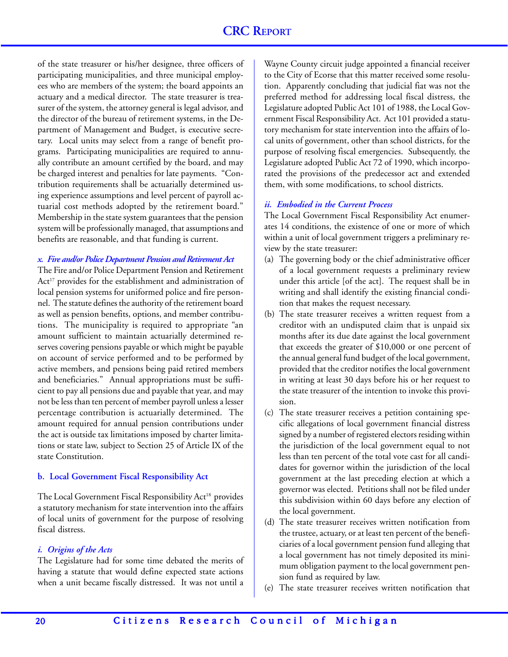of the state treasurer or his/her designee, three officers of participating municipalities, and three municipal employees who are members of the system; the board appoints an actuary and a medical director. The state treasurer is treasurer of the system, the attorney general is legal advisor, and the director of the bureau of retirement systems, in the Department of Management and Budget, is executive secretary. Local units may select from a range of benefit programs. Participating municipalities are required to annually contribute an amount certified by the board, and may be charged interest and penalties for late payments. "Contribution requirements shall be actuarially determined using experience assumptions and level percent of payroll actuarial cost methods adopted by the retirement board." Membership in the state system guarantees that the pension system will be professionally managed, that assumptions and benefits are reasonable, and that funding is current.

#### *x. Fire and/or Police Department Pension and Retirement Act*

The Fire and/or Police Department Pension and Retirement Act<sup>17</sup> provides for the establishment and administration of local pension systems for uniformed police and fire personnel. The statute defines the authority of the retirement board as well as pension benefits, options, and member contributions. The municipality is required to appropriate "an amount sufficient to maintain actuarially determined reserves covering pensions payable or which might be payable on account of service performed and to be performed by active members, and pensions being paid retired members and beneficiaries." Annual appropriations must be sufficient to pay all pensions due and payable that year, and may not be less than ten percent of member payroll unless a lesser percentage contribution is actuarially determined. The amount required for annual pension contributions under the act is outside tax limitations imposed by charter limitations or state law, subject to Section 25 of Article IX of the state Constitution.

#### **b. Local Government Fiscal Responsibility Act**

The Local Government Fiscal Responsibility Act<sup>18</sup> provides a statutory mechanism for state intervention into the affairs of local units of government for the purpose of resolving fiscal distress.

#### *i. Origins of the Acts*

The Legislature had for some time debated the merits of having a statute that would define expected state actions when a unit became fiscally distressed. It was not until a

Wayne County circuit judge appointed a financial receiver to the City of Ecorse that this matter received some resolution. Apparently concluding that judicial fiat was not the preferred method for addressing local fiscal distress, the Legislature adopted Public Act 101 of 1988, the Local Government Fiscal Responsibility Act. Act 101 provided a statutory mechanism for state intervention into the affairs of local units of government, other than school districts, for the purpose of resolving fiscal emergencies. Subsequently, the Legislature adopted Public Act 72 of 1990, which incorporated the provisions of the predecessor act and extended them, with some modifications, to school districts.

#### *ii. Embodied in the Current Process*

The Local Government Fiscal Responsibility Act enumerates 14 conditions, the existence of one or more of which within a unit of local government triggers a preliminary review by the state treasurer:

- (a) The governing body or the chief administrative officer of a local government requests a preliminary review under this article [of the act]. The request shall be in writing and shall identify the existing financial condition that makes the request necessary.
- (b) The state treasurer receives a written request from a creditor with an undisputed claim that is unpaid six months after its due date against the local government that exceeds the greater of \$10,000 or one percent of the annual general fund budget of the local government, provided that the creditor notifies the local government in writing at least 30 days before his or her request to the state treasurer of the intention to invoke this provision.
- (c) The state treasurer receives a petition containing specific allegations of local government financial distress signed by a number of registered electors residing within the jurisdiction of the local government equal to not less than ten percent of the total vote cast for all candidates for governor within the jurisdiction of the local government at the last preceding election at which a governor was elected. Petitions shall not be filed under this subdivision within 60 days before any election of the local government.
- (d) The state treasurer receives written notification from the trustee, actuary, or at least ten percent of the beneficiaries of a local government pension fund alleging that a local government has not timely deposited its minimum obligation payment to the local government pension fund as required by law.
- (e) The state treasurer receives written notification that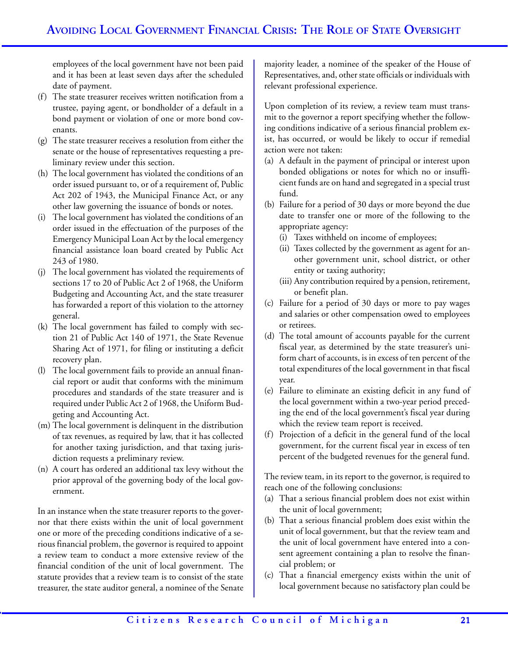employees of the local government have not been paid and it has been at least seven days after the scheduled date of payment.

- (f) The state treasurer receives written notification from a trustee, paying agent, or bondholder of a default in a bond payment or violation of one or more bond covenants.
- (g) The state treasurer receives a resolution from either the senate or the house of representatives requesting a preliminary review under this section.
- (h) The local government has violated the conditions of an order issued pursuant to, or of a requirement of, Public Act 202 of 1943, the Municipal Finance Act, or any other law governing the issuance of bonds or notes.
- (i) The local government has violated the conditions of an order issued in the effectuation of the purposes of the Emergency Municipal Loan Act by the local emergency financial assistance loan board created by Public Act 243 of 1980.
- (j) The local government has violated the requirements of sections 17 to 20 of Public Act 2 of 1968, the Uniform Budgeting and Accounting Act, and the state treasurer has forwarded a report of this violation to the attorney general.
- (k) The local government has failed to comply with section 21 of Public Act 140 of 1971, the State Revenue Sharing Act of 1971, for filing or instituting a deficit recovery plan.
- (l) The local government fails to provide an annual financial report or audit that conforms with the minimum procedures and standards of the state treasurer and is required under Public Act 2 of 1968, the Uniform Budgeting and Accounting Act.
- (m) The local government is delinquent in the distribution of tax revenues, as required by law, that it has collected for another taxing jurisdiction, and that taxing jurisdiction requests a preliminary review.
- (n) A court has ordered an additional tax levy without the prior approval of the governing body of the local government.

In an instance when the state treasurer reports to the governor that there exists within the unit of local government one or more of the preceding conditions indicative of a serious financial problem, the governor is required to appoint a review team to conduct a more extensive review of the financial condition of the unit of local government. The statute provides that a review team is to consist of the state treasurer, the state auditor general, a nominee of the Senate

majority leader, a nominee of the speaker of the House of Representatives, and, other state officials or individuals with relevant professional experience.

Upon completion of its review, a review team must transmit to the governor a report specifying whether the following conditions indicative of a serious financial problem exist, has occurred, or would be likely to occur if remedial action were not taken:

- (a) A default in the payment of principal or interest upon bonded obligations or notes for which no or insufficient funds are on hand and segregated in a special trust fund.
- (b) Failure for a period of 30 days or more beyond the due date to transfer one or more of the following to the appropriate agency:
	- (i) Taxes withheld on income of employees;
	- (ii) Taxes collected by the government as agent for another government unit, school district, or other entity or taxing authority;
	- (iii) Any contribution required by a pension, retirement, or benefit plan.
- (c) Failure for a period of 30 days or more to pay wages and salaries or other compensation owed to employees or retirees.
- (d) The total amount of accounts payable for the current fiscal year, as determined by the state treasurer's uniform chart of accounts, is in excess of ten percent of the total expenditures of the local government in that fiscal year.
- (e) Failure to eliminate an existing deficit in any fund of the local government within a two-year period preceding the end of the local government's fiscal year during which the review team report is received.
- (f) Projection of a deficit in the general fund of the local government, for the current fiscal year in excess of ten percent of the budgeted revenues for the general fund.

The review team, in its report to the governor, is required to reach one of the following conclusions:

- (a) That a serious financial problem does not exist within the unit of local government;
- (b) That a serious financial problem does exist within the unit of local government, but that the review team and the unit of local government have entered into a consent agreement containing a plan to resolve the financial problem; or
- (c) That a financial emergency exists within the unit of local government because no satisfactory plan could be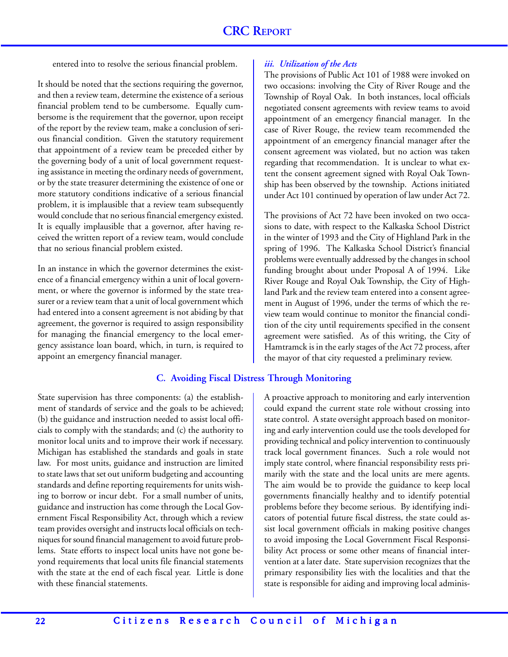entered into to resolve the serious financial problem.

It should be noted that the sections requiring the governor, and then a review team, determine the existence of a serious financial problem tend to be cumbersome. Equally cumbersome is the requirement that the governor, upon receipt of the report by the review team, make a conclusion of serious financial condition. Given the statutory requirement that appointment of a review team be preceded either by the governing body of a unit of local government requesting assistance in meeting the ordinary needs of government, or by the state treasurer determining the existence of one or more statutory conditions indicative of a serious financial problem, it is implausible that a review team subsequently would conclude that no serious financial emergency existed. It is equally implausible that a governor, after having received the written report of a review team, would conclude that no serious financial problem existed.

In an instance in which the governor determines the existence of a financial emergency within a unit of local government, or where the governor is informed by the state treasurer or a review team that a unit of local government which had entered into a consent agreement is not abiding by that agreement, the governor is required to assign responsibility for managing the financial emergency to the local emergency assistance loan board, which, in turn, is required to appoint an emergency financial manager*.*

#### *iii. Utilization of the Acts*

The provisions of Public Act 101 of 1988 were invoked on two occasions: involving the City of River Rouge and the Township of Royal Oak. In both instances, local officials negotiated consent agreements with review teams to avoid appointment of an emergency financial manager. In the case of River Rouge, the review team recommended the appointment of an emergency financial manager after the consent agreement was violated, but no action was taken regarding that recommendation. It is unclear to what extent the consent agreement signed with Royal Oak Township has been observed by the township. Actions initiated under Act 101 continued by operation of law under Act 72.

The provisions of Act 72 have been invoked on two occasions to date, with respect to the Kalkaska School District in the winter of 1993 and the City of Highland Park in the spring of 1996. The Kalkaska School District's financial problems were eventually addressed by the changes in school funding brought about under Proposal A of 1994. Like River Rouge and Royal Oak Township, the City of Highland Park and the review team entered into a consent agreement in August of 1996, under the terms of which the review team would continue to monitor the financial condition of the city until requirements specified in the consent agreement were satisfied. As of this writing, the City of Hamtramck is in the early stages of the Act 72 process, after the mayor of that city requested a preliminary review.

#### **C. Avoiding Fiscal Distress Through Monitoring**

State supervision has three components: (a) the establishment of standards of service and the goals to be achieved; (b) the guidance and instruction needed to assist local officials to comply with the standards; and (c) the authority to monitor local units and to improve their work if necessary. Michigan has established the standards and goals in state law. For most units, guidance and instruction are limited to state laws that set out uniform budgeting and accounting standards and define reporting requirements for units wishing to borrow or incur debt. For a small number of units, guidance and instruction has come through the Local Government Fiscal Responsibility Act, through which a review team provides oversight and instructs local officials on techniques for sound financial management to avoid future problems. State efforts to inspect local units have not gone beyond requirements that local units file financial statements with the state at the end of each fiscal year. Little is done with these financial statements.

A proactive approach to monitoring and early intervention could expand the current state role without crossing into state control. A state oversight approach based on monitoring and early intervention could use the tools developed for providing technical and policy intervention to continuously track local government finances. Such a role would not imply state control, where financial responsibility rests primarily with the state and the local units are mere agents. The aim would be to provide the guidance to keep local governments financially healthy and to identify potential problems before they become serious. By identifying indicators of potential future fiscal distress, the state could assist local government officials in making positive changes to avoid imposing the Local Government Fiscal Responsibility Act process or some other means of financial intervention at a later date. State supervision recognizes that the primary responsibility lies with the localities and that the state is responsible for aiding and improving local adminis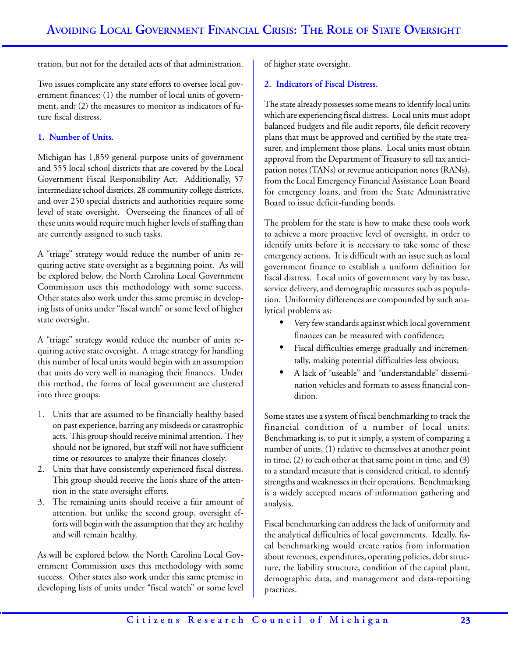tration, but not for the detailed acts of that administration.

Two issues complicate any state efforts to oversee local government finances: (1) the number of local units of government, and; (2) the measures to monitor as indicators of future fiscal distress.

# **1. Number of Units.**

Michigan has 1,859 general-purpose units of government and 555 local school districts that are covered by the Local Government Fiscal Responsibility Act. Additionally, 57 intermediate school districts, 28 community college districts, and over 250 special districts and authorities require some level of state oversight. Overseeing the finances of all of these units would require much higher levels of staffing than are currently assigned to such tasks.

A "triage" strategy would reduce the number of units requiring active state oversight as a beginning point. As will be explored below, the North Carolina Local Government Commission uses this methodology with some success. Other states also work under this same premise in developing lists of units under "fiscal watch" or some level of higher state oversight.

A "triage" strategy would reduce the number of units requiring active state oversight. A triage strategy for handling this number of local units would begin with an assumption that units do very well in managing their finances. Under this method, the forms of local government are clustered into three groups.

- 1. Units that are assumed to be financially healthy based on past experience, barring any misdeeds or catastrophic acts. This group should receive minimal attention. They should not be ignored, but staff will not have sufficient time or resources to analyze their finances closely.
- 2. Units that have consistently experienced fiscal distress. This group should receive the lion's share of the attention in the state oversight efforts.
- 3. The remaining units should receive a fair amount of attention, but unlike the second group, oversight efforts will begin with the assumption that they are healthy and will remain healthy.

As will be explored below, the North Carolina Local Government Commission uses this methodology with some success. Other states also work under this same premise in developing lists of units under "fiscal watch" or some level of higher state oversight.

### **2. Indicators of Fiscal Distress.**

The state already possesses some means to identify local units which are experiencing fiscal distress. Local units must adopt balanced budgets and file audit reports, file deficit recovery plans that must be approved and certified by the state treasurer, and implement those plans. Local units must obtain approval from the Department of Treasury to sell tax anticipation notes (TANs) or revenue anticipation notes (RANs), from the Local Emergency Financial Assistance Loan Board for emergency loans, and from the State Administrative Board to issue deficit-funding bonds.

The problem for the state is how to make these tools work to achieve a more proactive level of oversight, in order to identify units before it is necessary to take some of these emergency actions. It is difficult with an issue such as local government finance to establish a uniform definition for fiscal distress. Local units of government vary by tax base, service delivery, and demographic measures such as population. Uniformity differences are compounded by such analytical problems as:

- Very few standards against which local government finances can be measured with confidence;
- Fiscal difficulties emerge gradually and incrementally, making potential difficulties less obvious;
- A lack of "useable" and "understandable" dissemination vehicles and formats to assess financial condition

Some states use a system of fiscal benchmarking to track the financial condition of a number of local units. Benchmarking is, to put it simply, a system of comparing a number of units, (1) relative to themselves at another point in time, (2) to each other at that same point in time, and (3) to a standard measure that is considered critical, to identify strengths and weaknesses in their operations. Benchmarking is a widely accepted means of information gathering and analysis.

Fiscal benchmarking can address the lack of uniformity and the analytical difficulties of local governments. Ideally, fiscal benchmarking would create ratios from information about revenues, expenditures, operating policies, debt structure, the liability structure, condition of the capital plant, demographic data, and management and data-reporting practices.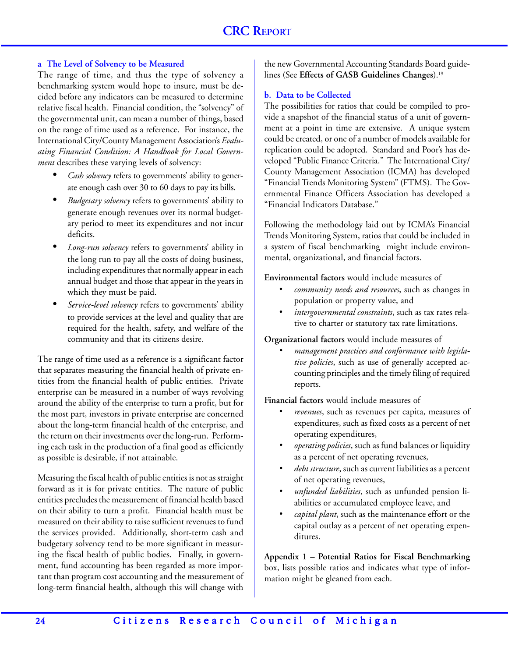# **a The Level of Solvency to be Measured**

The range of time, and thus the type of solvency a benchmarking system would hope to insure, must be decided before any indicators can be measured to determine relative fiscal health. Financial condition, the "solvency" of the governmental unit, can mean a number of things, based on the range of time used as a reference. For instance, the International City/County Management Association's *Evaluating Financial Condition: A Handbook for Local Government* describes these varying levels of solvency:

- *Cash solvency* refers to governments' ability to generate enough cash over 30 to 60 days to pay its bills.
- *Budgetary solvency* refers to governments' ability to generate enough revenues over its normal budgetary period to meet its expenditures and not incur deficits.
- *Long-run solvency* refers to governments' ability in the long run to pay all the costs of doing business, including expenditures that normally appear in each annual budget and those that appear in the years in which they must be paid.
- *Service-level solvency* refers to governments' ability to provide services at the level and quality that are required for the health, safety, and welfare of the community and that its citizens desire.

The range of time used as a reference is a significant factor that separates measuring the financial health of private entities from the financial health of public entities. Private enterprise can be measured in a number of ways revolving around the ability of the enterprise to turn a profit, but for the most part, investors in private enterprise are concerned about the long-term financial health of the enterprise, and the return on their investments over the long-run. Performing each task in the production of a final good as efficiently as possible is desirable, if not attainable.

Measuring the fiscal health of public entities is not as straight forward as it is for private entities. The nature of public entities precludes the measurement of financial health based on their ability to turn a profit. Financial health must be measured on their ability to raise sufficient revenues to fund the services provided. Additionally, short-term cash and budgetary solvency tend to be more significant in measuring the fiscal health of public bodies. Finally, in government, fund accounting has been regarded as more important than program cost accounting and the measurement of long-term financial health, although this will change with

the new Governmental Accounting Standards Board guidelines (See **Effects of GASB Guidelines Changes**).19

# **b. Data to be Collected**

The possibilities for ratios that could be compiled to provide a snapshot of the financial status of a unit of government at a point in time are extensive. A unique system could be created, or one of a number of models available for replication could be adopted. Standard and Poor's has developed "Public Finance Criteria." The International City/ County Management Association (ICMA) has developed "Financial Trends Monitoring System" (FTMS). The Governmental Finance Officers Association has developed a "Financial Indicators Database."

Following the methodology laid out by ICMA's Financial Trends Monitoring System, ratios that could be included in a system of fiscal benchmarking might include environmental, organizational, and financial factors.

**Environmental factors** would include measures of

- *community needs and resources*, such as changes in population or property value, and
- *intergovernmental constraints*, such as tax rates relative to charter or statutory tax rate limitations.

**Organizational factors** would include measures of

*• management practices and conformance with legislative policies*, such as use of generally accepted accounting principles and the timely filing of required reports.

**Financial factors** would include measures of

- *revenues*, such as revenues per capita, measures of expenditures, such as fixed costs as a percent of net operating expenditures,
- *• operating policies*, such as fund balances or liquidity as a percent of net operating revenues,
- *• debt structure*, such as current liabilities as a percent of net operating revenues,
- *• unfunded liabilities*, such as unfunded pension liabilities or accumulated employee leave, and
- *• capital plant*, such as the maintenance effort or the capital outlay as a percent of net operating expenditures.

**Appendix 1 – Potential Ratios for Fiscal Benchmarking** box, lists possible ratios and indicates what type of information might be gleaned from each.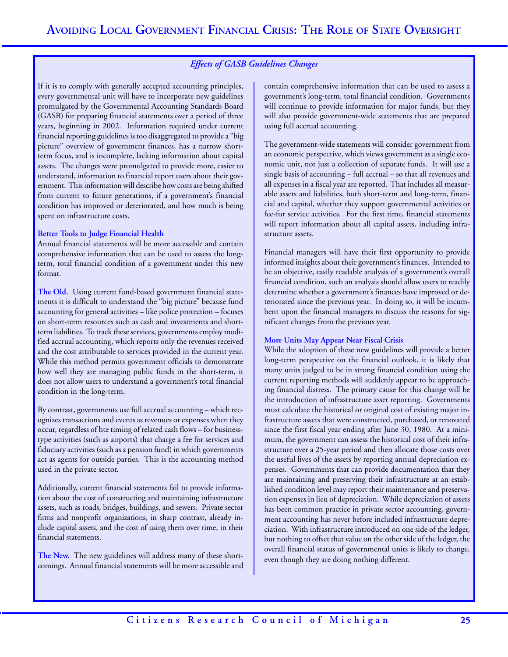# *Effects of GASB Guidelines Changes*

If it is to comply with generally accepted accounting principles, every governmental unit will have to incorporate new guidelines promulgated by the Governmental Accounting Standards Board (GASB) for preparing financial statements over a period of three years, beginning in 2002. Information required under current financial reporting guidelines is too disaggregated to provide a "big picture" overview of government finances, has a narrow shortterm focus, and is incomplete, lacking information about capital assets. The changes were promulgated to provide more, easier to understand, information to financial report users about their government. This information will describe how costs are being shifted from current to future generations, if a government's financial condition has improved or deteriorated, and how much is being spent on infrastructure costs.

#### **Better Tools to Judge Financial Health**

Annual financial statements will be more accessible and contain comprehensive information that can be used to assess the longterm, total financial condition of a government under this new format.

**The Old.** Using current fund-based government financial statements it is difficult to understand the "big picture" because fund accounting for general activities – like police protection – focuses on short-term resources such as cash and investments and shortterm liabilities. To track these services, governments employ modified accrual accounting, which reports only the revenues received and the cost attributable to services provided in the current year. While this method permits government officials to demonstrate how well they are managing public funds in the short-term, it does not allow users to understand a government's total financial condition in the long-term.

By contrast, governments use full accrual accounting – which recognizes transactions and events as revenues or expenses when they occur, regardless of hte timing of related cash flows – for businesstype activities (such as airports) that charge a fee for services and fiduciary activities (such as a pension fund) in which governments act as agents for outside parties. This is the accounting method used in the private sector.

Additionally, current financial statements fail to provide information about the cost of constructing and maintaining infrastructure assets, such as roads, bridges, buildings, and sewers. Private sector firms and nonprofit organizations, in sharp contrast, already include capital assets, and the cost of using them over time, in their financial statements.

**The New.** The new guidelines will address many of these shortcomings. Annual financial statements will be more accessible and contain comprehensive information that can be used to assess a government's long-term, total financial condition. Governments will continue to provide information for major funds, but they will also provide government-wide statements that are prepared using full accrual accounting.

The government-wide statements will consider government from an economic perspective, which views government as a single economic unit, not just a collection of separate funds. It will use a single basis of accounting – full accrual – so that all revenues and all expenses in a fiscal year are reported. That includes all measurable assets and liabilities, both short-term and long-term, financial and capital, whether they support governmental activities or fee-for service activities. For the first time, financial statements will report information about all capital assets, including infrastructure assets.

Financial managers will have their first opportunity to provide informed insights about their government's finances. Intended to be an objective, easily readable analysis of a government's overall financial condition, such an analysis should allow users to readily determine whether a government's finances have improved or deteriorated since the previous year. In doing so, it will be incumbent upon the financial managers to discuss the reasons for significant changes from the previous year.

#### **More Units May Appear Near Fiscal Crisis**

While the adoption of these new guidelines will provide a better long-term perspective on the financial outlook, it is likely that many units judged to be in strong financial condition using the current reporting methods will suddenly appear to be approaching financial distress. The primary cause for this change will be the introduction of infrastructure asset reporting. Governments must calculate the historical or original cost of existing major infrastructure assets that were constructed, purchased, or renovated since the first fiscal year ending after June 30, 1980. At a minimum, the government can assess the historical cost of their infrastructure over a 25-year period and then allocate those costs over the useful lives of the assets by reporting annual depreciation expenses. Governments that can provide documentation that they are maintaining and preserving their infrastructure at an established condition level may report their maintenance and preservation expenses in lieu of depreciation. While depreciation of assets has been common practice in private sector accounting, government accounting has never before included infrastructure depreciation. With infrastructure introduced on one side of the ledger, but nothing to offset that value on the other side of the ledger, the overall financial status of governmental units is likely to change, even though they are doing nothing different.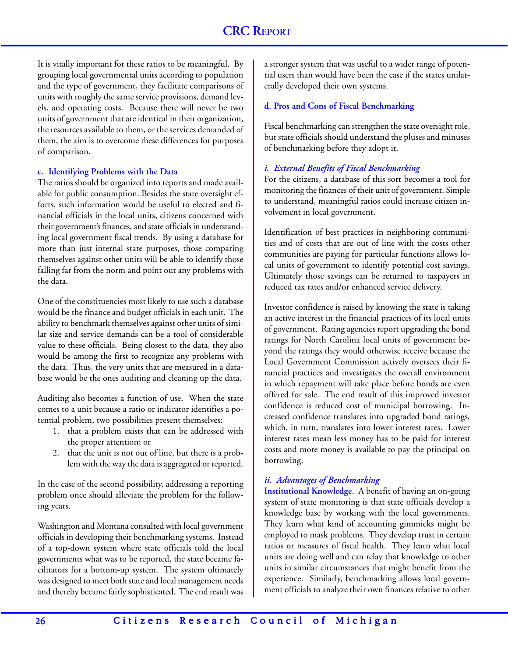It is vitally important for these ratios to be meaningful. By grouping local governmental units according to population and the type of government, they facilitate comparisons of units with roughly the same service provisions, demand levels, and operating costs. Because there will never be two units of government that are identical in their organization, the resources available to them, or the services demanded of them, the aim is to overcome these differences for purposes of comparison.

#### **c. Identifying Problems with the Data**

The ratios should be organized into reports and made available for public consumption. Besides the state oversight efforts, such information would be useful to elected and financial officials in the local units, citizens concerned with their government's finances, and state officials in understanding local government fiscal trends. By using a database for more than just internal state purposes, those comparing themselves against other units will be able to identify those falling far from the norm and point out any problems with the data.

One of the constituencies most likely to use such a database would be the finance and budget officials in each unit. The ability to benchmark themselves against other units of similar size and service demands can be a tool of considerable value to these officials. Being closest to the data, they also would be among the first to recognize any problems with the data. Thus, the very units that are measured in a database would be the ones auditing and cleaning up the data.

Auditing also becomes a function of use. When the state comes to a unit because a ratio or indicator identifies a potential problem, two possibilities present themselves:

- 1. that a problem exists that can be addressed with the proper attention; or
- 2. that the unit is not out of line, but there is a problem with the way the data is aggregated or reported.

In the case of the second possibility, addressing a reporting problem once should alleviate the problem for the following years.

Washington and Montana consulted with local government officials in developing their benchmarking systems. Instead of a top-down system where state officials told the local governments what was to be reported, the state became facilitators for a bottom-up system. The system ultimately was designed to meet both state and local management needs and thereby became fairly sophisticated. The end result was

a stronger system that was useful to a wider range of potential users than would have been the case if the states unilaterally developed their own systems.

#### **d. Pros and Cons of Fiscal Benchmarking**

Fiscal benchmarking can strengthen the state oversight role, but state officials should understand the pluses and minuses of benchmarking before they adopt it.

#### *i. External Benefits of Fiscal Benchmarking*

For the citizens, a database of this sort becomes a tool for monitoring the finances of their unit of government. Simple to understand, meaningful ratios could increase citizen involvement in local government.

Identification of best practices in neighboring communities and of costs that are out of line with the costs other communities are paying for particular functions allows local units of government to identify potential cost savings. Ultimately those savings can be returned to taxpayers in reduced tax rates and/or enhanced service delivery.

Investor confidence is raised by knowing the state is taking an active interest in the financial practices of its local units of government. Rating agencies report upgrading the bond ratings for North Carolina local units of government beyond the ratings they would otherwise receive because the Local Government Commission actively oversees their financial practices and investigates the overall environment in which repayment will take place before bonds are even offered for sale. The end result of this improved investor confidence is reduced cost of municipal borrowing. Increased confidence translates into upgraded bond ratings, which, in turn, translates into lower interest rates. Lower interest rates mean less money has to be paid for interest costs and more money is available to pay the principal on borrowing.

### *ii. Advantages of Benchmarking*

**Institutional Knowledge.** A benefit of having an on-going system of state monitoring is that state officials develop a knowledge base by working with the local governments. They learn what kind of accounting gimmicks might be employed to mask problems. They develop trust in certain ratios or measures of fiscal health. They learn what local units are doing well and can relay that knowledge to other units in similar circumstances that might benefit from the experience. Similarly, benchmarking allows local government officials to analyze their own finances relative to other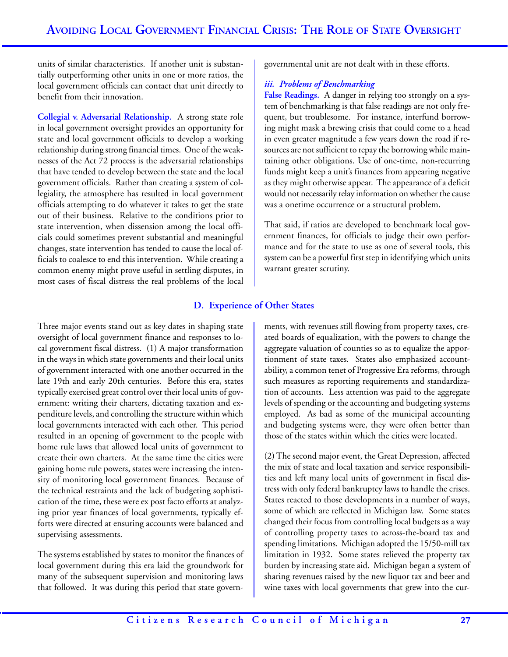units of similar characteristics. If another unit is substantially outperforming other units in one or more ratios, the local government officials can contact that unit directly to benefit from their innovation.

**Collegial v. Adversarial Relationship.** A strong state role in local government oversight provides an opportunity for state and local government officials to develop a working relationship during strong financial times. One of the weaknesses of the Act 72 process is the adversarial relationships that have tended to develop between the state and the local government officials. Rather than creating a system of collegiality, the atmosphere has resulted in local government officials attempting to do whatever it takes to get the state out of their business. Relative to the conditions prior to state intervention, when dissension among the local officials could sometimes prevent substantial and meaningful changes, state intervention has tended to cause the local officials to coalesce to end this intervention. While creating a common enemy might prove useful in settling disputes, in most cases of fiscal distress the real problems of the local

governmental unit are not dealt with in these efforts.

### *iii. Problems of Benchmarking*

**False Readings.** A danger in relying too strongly on a system of benchmarking is that false readings are not only frequent, but troublesome. For instance, interfund borrowing might mask a brewing crisis that could come to a head in even greater magnitude a few years down the road if resources are not sufficient to repay the borrowing while maintaining other obligations. Use of one-time, non-recurring funds might keep a unit's finances from appearing negative as they might otherwise appear. The appearance of a deficit would not necessarily relay information on whether the cause was a onetime occurrence or a structural problem.

That said, if ratios are developed to benchmark local government finances, for officials to judge their own performance and for the state to use as one of several tools, this system can be a powerful first step in identifying which units warrant greater scrutiny.

# **D. Experience of Other States**

Three major events stand out as key dates in shaping state oversight of local government finance and responses to local government fiscal distress. (1) A major transformation in the ways in which state governments and their local units of government interacted with one another occurred in the late 19th and early 20th centuries. Before this era, states typically exercised great control over their local units of government: writing their charters, dictating taxation and expenditure levels, and controlling the structure within which local governments interacted with each other. This period resulted in an opening of government to the people with home rule laws that allowed local units of government to create their own charters. At the same time the cities were gaining home rule powers, states were increasing the intensity of monitoring local government finances. Because of the technical restraints and the lack of budgeting sophistication of the time, these were ex post facto efforts at analyzing prior year finances of local governments, typically efforts were directed at ensuring accounts were balanced and supervising assessments.

The systems established by states to monitor the finances of local government during this era laid the groundwork for many of the subsequent supervision and monitoring laws that followed. It was during this period that state governments, with revenues still flowing from property taxes, created boards of equalization, with the powers to change the aggregate valuation of counties so as to equalize the apportionment of state taxes. States also emphasized accountability, a common tenet of Progressive Era reforms, through such measures as reporting requirements and standardization of accounts. Less attention was paid to the aggregate levels of spending or the accounting and budgeting systems employed. As bad as some of the municipal accounting and budgeting systems were, they were often better than those of the states within which the cities were located.

(2) The second major event, the Great Depression, affected the mix of state and local taxation and service responsibilities and left many local units of government in fiscal distress with only federal bankruptcy laws to handle the crises. States reacted to those developments in a number of ways, some of which are reflected in Michigan law. Some states changed their focus from controlling local budgets as a way of controlling property taxes to across-the-board tax and spending limitations. Michigan adopted the 15/50-mill tax limitation in 1932. Some states relieved the property tax burden by increasing state aid. Michigan began a system of sharing revenues raised by the new liquor tax and beer and wine taxes with local governments that grew into the cur-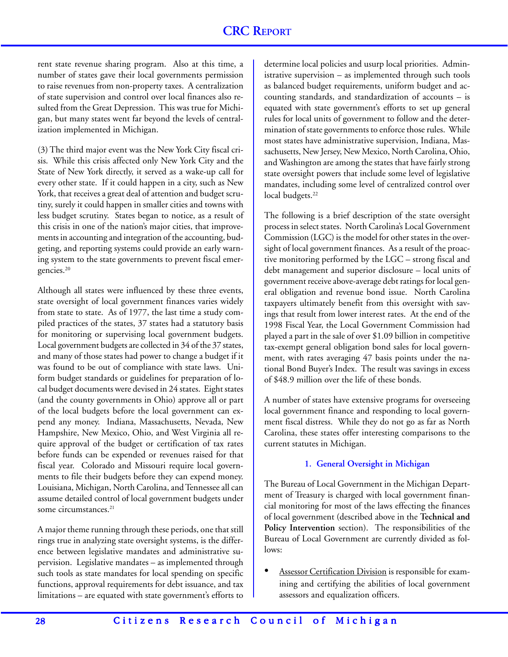rent state revenue sharing program. Also at this time, a number of states gave their local governments permission to raise revenues from non-property taxes. A centralization of state supervision and control over local finances also resulted from the Great Depression. This was true for Michigan, but many states went far beyond the levels of centralization implemented in Michigan.

(3) The third major event was the New York City fiscal crisis. While this crisis affected only New York City and the State of New York directly, it served as a wake-up call for every other state. If it could happen in a city, such as New York, that receives a great deal of attention and budget scrutiny, surely it could happen in smaller cities and towns with less budget scrutiny. States began to notice, as a result of this crisis in one of the nation's major cities, that improvements in accounting and integration of the accounting, budgeting, and reporting systems could provide an early warning system to the state governments to prevent fiscal emergencies.20

Although all states were influenced by these three events, state oversight of local government finances varies widely from state to state. As of 1977, the last time a study compiled practices of the states, 37 states had a statutory basis for monitoring or supervising local government budgets. Local government budgets are collected in 34 of the 37 states, and many of those states had power to change a budget if it was found to be out of compliance with state laws. Uniform budget standards or guidelines for preparation of local budget documents were devised in 24 states. Eight states (and the county governments in Ohio) approve all or part of the local budgets before the local government can expend any money. Indiana, Massachusetts, Nevada, New Hampshire, New Mexico, Ohio, and West Virginia all require approval of the budget or certification of tax rates before funds can be expended or revenues raised for that fiscal year. Colorado and Missouri require local governments to file their budgets before they can expend money. Louisiana, Michigan, North Carolina, and Tennessee all can assume detailed control of local government budgets under some circumstances.<sup>21</sup>

A major theme running through these periods, one that still rings true in analyzing state oversight systems, is the difference between legislative mandates and administrative supervision. Legislative mandates – as implemented through such tools as state mandates for local spending on specific functions, approval requirements for debt issuance, and tax limitations – are equated with state government's efforts to determine local policies and usurp local priorities. Administrative supervision – as implemented through such tools as balanced budget requirements, uniform budget and accounting standards, and standardization of accounts – is equated with state government's efforts to set up general rules for local units of government to follow and the determination of state governments to enforce those rules. While most states have administrative supervision, Indiana, Massachusetts, New Jersey, New Mexico, North Carolina, Ohio, and Washington are among the states that have fairly strong state oversight powers that include some level of legislative mandates, including some level of centralized control over local budgets.<sup>22</sup>

The following is a brief description of the state oversight process in select states. North Carolina's Local Government Commission (LGC) is the model for other states in the oversight of local government finances. As a result of the proactive monitoring performed by the LGC – strong fiscal and debt management and superior disclosure – local units of government receive above-average debt ratings for local general obligation and revenue bond issue. North Carolina taxpayers ultimately benefit from this oversight with savings that result from lower interest rates. At the end of the 1998 Fiscal Year, the Local Government Commission had played a part in the sale of over \$1.09 billion in competitive tax-exempt general obligation bond sales for local government, with rates averaging 47 basis points under the national Bond Buyer's Index. The result was savings in excess of \$48.9 million over the life of these bonds.

A number of states have extensive programs for overseeing local government finance and responding to local government fiscal distress. While they do not go as far as North Carolina, these states offer interesting comparisons to the current statutes in Michigan.

# **1. General Oversight in Michigan**

The Bureau of Local Government in the Michigan Department of Treasury is charged with local government financial monitoring for most of the laws effecting the finances of local government (described above in the **Technical and** Policy Intervention section). The responsibilities of the Bureau of Local Government are currently divided as follows:

Assessor Certification Division is responsible for examining and certifying the abilities of local government assessors and equalization officers.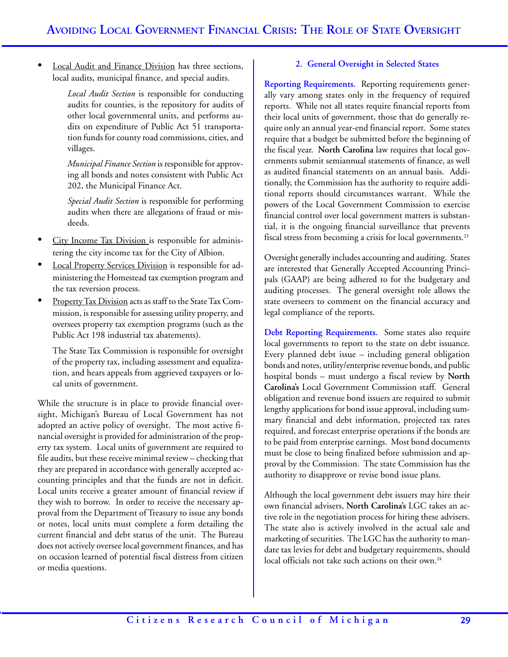Local Audit and Finance Division has three sections, local audits, municipal finance, and special audits.

> *Local Audit Section* is responsible for conducting audits for counties, is the repository for audits of other local governmental units, and performs audits on expenditure of Public Act 51 transportation funds for county road commissions, cities, and villages.

> *Municipal Finance Section* is responsible for approving all bonds and notes consistent with Public Act 202, the Municipal Finance Act.

> *Special Audit Section* is responsible for performing audits when there are allegations of fraud or misdeeds.

- City Income Tax Division is responsible for administering the city income tax for the City of Albion.
- Local Property Services Division is responsible for administering the Homestead tax exemption program and the tax reversion process.
- Property Tax Division acts as staff to the State Tax Commission, is responsible for assessing utility property, and oversees property tax exemption programs (such as the Public Act 198 industrial tax abatements).

The State Tax Commission is responsible for oversight of the property tax, including assessment and equalization, and hears appeals from aggrieved taxpayers or local units of government.

While the structure is in place to provide financial oversight, Michigan's Bureau of Local Government has not adopted an active policy of oversight. The most active financial oversight is provided for administration of the property tax system. Local units of government are required to file audits, but these receive minimal review – checking that they are prepared in accordance with generally accepted accounting principles and that the funds are not in deficit. Local units receive a greater amount of financial review if they wish to borrow. In order to receive the necessary approval from the Department of Treasury to issue any bonds or notes, local units must complete a form detailing the current financial and debt status of the unit. The Bureau does not actively oversee local government finances, and has on occasion learned of potential fiscal distress from citizen or media questions.

# **2. General Oversight in Selected States**

**Reporting Requirements.** Reporting requirements generally vary among states only in the frequency of required reports. While not all states require financial reports from their local units of government, those that do generally require only an annual year-end financial report. Some states require that a budget be submitted before the beginning of the fiscal year. **North Carolina** law requires that local governments submit semiannual statements of finance, as well as audited financial statements on an annual basis. Additionally, the Commission has the authority to require additional reports should circumstances warrant. While the powers of the Local Government Commission to exercise financial control over local government matters is substantial, it is the ongoing financial surveillance that prevents fiscal stress from becoming a crisis for local governments.<sup>23</sup>

Oversight generally includes accounting and auditing. States are interested that Generally Accepted Accounting Principals (GAAP) are being adhered to for the budgetary and auditing processes. The general oversight role allows the state overseers to comment on the financial accuracy and legal compliance of the reports.

**Debt Reporting Requirements.** Some states also require local governments to report to the state on debt issuance. Every planned debt issue – including general obligation bonds and notes, utility/enterprise revenue bonds, and public hospital bonds – must undergo a fiscal review by **North Carolina's** Local Government Commission staff. General obligation and revenue bond issuers are required to submit lengthy applications for bond issue approval, including summary financial and debt information, projected tax rates required, and forecast enterprise operations if the bonds are to be paid from enterprise earnings. Most bond documents must be close to being finalized before submission and approval by the Commission. The state Commission has the authority to disapprove or revise bond issue plans.

Although the local government debt issuers may hire their own financial advisers, **North Carolina's** LGC takes an active role in the negotiation process for hiring these advisers. The state also is actively involved in the actual sale and marketing of securities. The LGC has the authority to mandate tax levies for debt and budgetary requirements, should local officials not take such actions on their own.<sup>24</sup>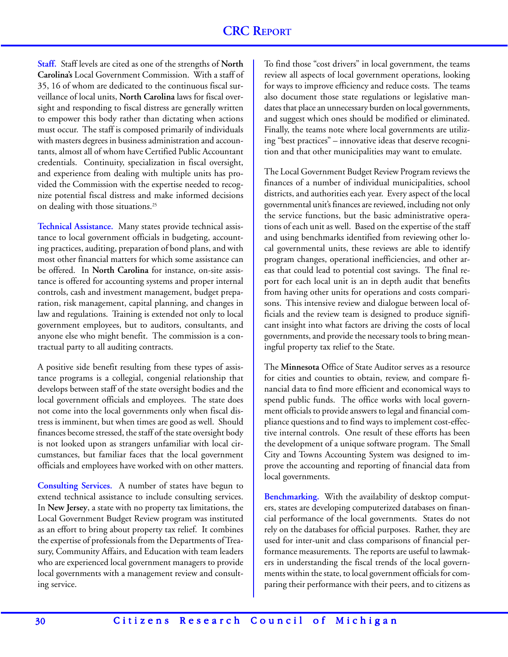**Staff.** Staff levels are cited as one of the strengths of **North Carolina's** Local Government Commission. With a staff of 35, 16 of whom are dedicated to the continuous fiscal surveillance of local units, **North Carolina** laws for fiscal oversight and responding to fiscal distress are generally written to empower this body rather than dictating when actions must occur. The staff is composed primarily of individuals with masters degrees in business administration and accountants, almost all of whom have Certified Public Accountant credentials. Continuity, specialization in fiscal oversight, and experience from dealing with multiple units has provided the Commission with the expertise needed to recognize potential fiscal distress and make informed decisions on dealing with those situations.<sup>25</sup>

**Technical Assistance.** Many states provide technical assistance to local government officials in budgeting, accounting practices, auditing, preparation of bond plans, and with most other financial matters for which some assistance can be offered. In **North Carolina** for instance, on-site assistance is offered for accounting systems and proper internal controls, cash and investment management, budget preparation, risk management, capital planning, and changes in law and regulations. Training is extended not only to local government employees, but to auditors, consultants, and anyone else who might benefit. The commission is a contractual party to all auditing contracts.

A positive side benefit resulting from these types of assistance programs is a collegial, congenial relationship that develops between staff of the state oversight bodies and the local government officials and employees. The state does not come into the local governments only when fiscal distress is imminent, but when times are good as well. Should finances become stressed, the staff of the state oversight body is not looked upon as strangers unfamiliar with local circumstances, but familiar faces that the local government officials and employees have worked with on other matters.

**Consulting Services.** A number of states have begun to extend technical assistance to include consulting services. In **New Jersey**, a state with no property tax limitations, the Local Government Budget Review program was instituted as an effort to bring about property tax relief. It combines the expertise of professionals from the Departments of Treasury, Community Affairs, and Education with team leaders who are experienced local government managers to provide local governments with a management review and consulting service.

To find those "cost drivers" in local government, the teams review all aspects of local government operations, looking for ways to improve efficiency and reduce costs. The teams also document those state regulations or legislative mandates that place an unnecessary burden on local governments, and suggest which ones should be modified or eliminated. Finally, the teams note where local governments are utilizing "best practices" – innovative ideas that deserve recognition and that other municipalities may want to emulate.

The Local Government Budget Review Program reviews the finances of a number of individual municipalities, school districts, and authorities each year. Every aspect of the local governmental unit's finances are reviewed, including not only the service functions, but the basic administrative operations of each unit as well. Based on the expertise of the staff and using benchmarks identified from reviewing other local governmental units, these reviews are able to identify program changes, operational inefficiencies, and other areas that could lead to potential cost savings. The final report for each local unit is an in depth audit that benefits from having other units for operations and costs comparisons. This intensive review and dialogue between local officials and the review team is designed to produce significant insight into what factors are driving the costs of local governments, and provide the necessary tools to bring meaningful property tax relief to the State.

The **Minnesota** Office of State Auditor serves as a resource for cities and counties to obtain, review, and compare financial data to find more efficient and economical ways to spend public funds. The office works with local government officials to provide answers to legal and financial compliance questions and to find ways to implement cost-effective internal controls. One result of these efforts has been the development of a unique software program. The Small City and Towns Accounting System was designed to improve the accounting and reporting of financial data from local governments.

**Benchmarking.** With the availability of desktop computers, states are developing computerized databases on financial performance of the local governments. States do not rely on the databases for official purposes. Rather, they are used for inter-unit and class comparisons of financial performance measurements. The reports are useful to lawmakers in understanding the fiscal trends of the local governments within the state, to local government officials for comparing their performance with their peers, and to citizens as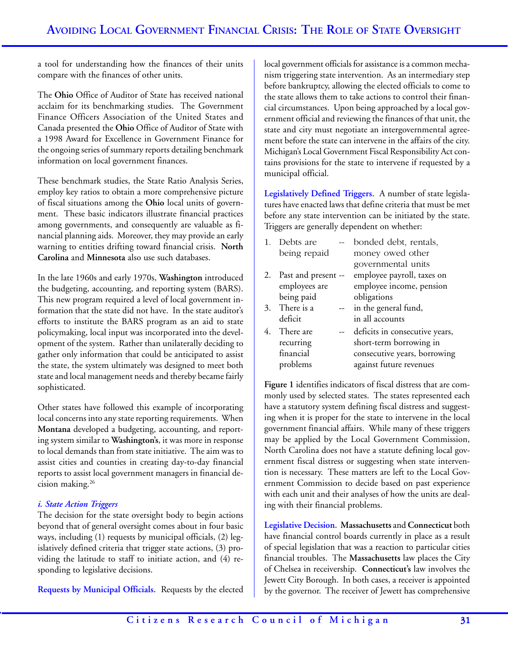a tool for understanding how the finances of their units compare with the finances of other units.

The **Ohio** Office of Auditor of State has received national acclaim for its benchmarking studies. The Government Finance Officers Association of the United States and Canada presented the **Ohio** Office of Auditor of State with a 1998 Award for Excellence in Government Finance for the ongoing series of summary reports detailing benchmark information on local government finances.

These benchmark studies, the State Ratio Analysis Series, employ key ratios to obtain a more comprehensive picture of fiscal situations among the **Ohio** local units of government. These basic indicators illustrate financial practices among governments, and consequently are valuable as financial planning aids. Moreover, they may provide an early warning to entities drifting toward financial crisis. **North Carolina** and **Minnesota** also use such databases.

In the late 1960s and early 1970s, **Washington** introduced the budgeting, accounting, and reporting system (BARS). This new program required a level of local government information that the state did not have. In the state auditor's efforts to institute the BARS program as an aid to state policymaking, local input was incorporated into the development of the system. Rather than unilaterally deciding to gather only information that could be anticipated to assist the state, the system ultimately was designed to meet both state and local management needs and thereby became fairly sophisticated.

Other states have followed this example of incorporating local concerns into any state reporting requirements. When **Montana** developed a budgeting, accounting, and reporting system similar to **Washington's**, it was more in response to local demands than from state initiative. The aim was to assist cities and counties in creating day-to-day financial reports to assist local government managers in financial decision making.26

# *i. State Action Triggers*

The decision for the state oversight body to begin actions beyond that of general oversight comes about in four basic ways, including (1) requests by municipal officials, (2) legislatively defined criteria that trigger state actions, (3) providing the latitude to staff to initiate action, and (4) responding to legislative decisions.

**Requests by Municipal Officials.** Requests by the elected

local government officials for assistance is a common mechanism triggering state intervention. As an intermediary step before bankruptcy, allowing the elected officials to come to the state allows them to take actions to control their financial circumstances. Upon being approached by a local government official and reviewing the finances of that unit, the state and city must negotiate an intergovernmental agreement before the state can intervene in the affairs of the city. Michigan's Local Government Fiscal Responsibility Act contains provisions for the state to intervene if requested by a municipal official.

**Legislatively Defined Triggers.** A number of state legislatures have enacted laws that define criteria that must be met before any state intervention can be initiated by the state. Triggers are generally dependent on whether:

|    | 1. Debts are            | bonded debt, rentals,          |
|----|-------------------------|--------------------------------|
|    | being repaid            | money owed other               |
|    |                         | governmental units             |
| 2. | Past and present --     | employee payroll, taxes on     |
|    | employees are           | employee income, pension       |
|    | being paid              | obligations                    |
|    | 3. There is a<br>$  \,$ | in the general fund,           |
|    | deficit                 | in all accounts                |
| 4. | There are               | deficits in consecutive years, |
|    | recurring               | short-term borrowing in        |
|    | financial               | consecutive years, borrowing   |
|    | problems                | against future revenues        |

**Figure 1** identifies indicators of fiscal distress that are commonly used by selected states. The states represented each have a statutory system defining fiscal distress and suggesting when it is proper for the state to intervene in the local government financial affairs. While many of these triggers may be applied by the Local Government Commission, North Carolina does not have a statute defining local government fiscal distress or suggesting when state intervention is necessary. These matters are left to the Local Government Commission to decide based on past experience with each unit and their analyses of how the units are dealing with their financial problems.

**Legislative Decision. Massachusetts** and **Connecticut** both have financial control boards currently in place as a result of special legislation that was a reaction to particular cities financial troubles. The **Massachusetts** law places the City of Chelsea in receivership. **Connecticut's** law involves the Jewett City Borough. In both cases, a receiver is appointed by the governor. The receiver of Jewett has comprehensive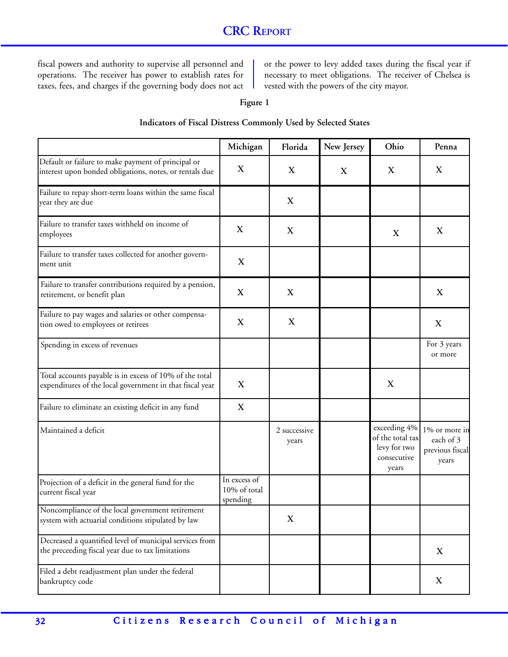fiscal powers and authority to supervise all personnel and operations. The receiver has power to establish rates for taxes, fees, and charges if the governing body does not act or the power to levy added taxes during the fiscal year if necessary to meet obligations. The receiver of Chelsea is vested with the powers of the city mayor.

#### **Figure 1**

#### **Indicators of Fiscal Distress Commonly Used by Selected States**

|                                                                                                                     | Michigan                                 | Florida                   | New Jersey                | Ohio                                                                     | Penna                                                  |
|---------------------------------------------------------------------------------------------------------------------|------------------------------------------|---------------------------|---------------------------|--------------------------------------------------------------------------|--------------------------------------------------------|
| Default or failure to make payment of principal or<br>interest upon bonded obligations, notes, or rentals due       | X                                        | $\boldsymbol{\mathrm{X}}$ | $\boldsymbol{\mathrm{X}}$ | X                                                                        | X                                                      |
| Failure to repay short-term loans within the same fiscal<br>year they are due                                       |                                          | $\mathbf X$               |                           |                                                                          |                                                        |
| Failure to transfer taxes withheld on income of<br>employees                                                        | X                                        | $\mathbf X$               |                           | X                                                                        | X                                                      |
| Failure to transfer taxes collected for another govern-<br>ment unit                                                | $\mathbf X$                              |                           |                           |                                                                          |                                                        |
| Failure to transfer contributions required by a pension,<br>retirement, or benefit plan                             | $\mathbf X$                              | $\mathbf X$               |                           |                                                                          | $\boldsymbol{\mathrm{X}}$                              |
| Failure to pay wages and salaries or other compensa-<br>tion owed to employees or retirees                          | $\mathbf X$                              | $\mathbf X$               |                           |                                                                          | $\boldsymbol{\mathrm{X}}$                              |
| Spending in excess of revenues                                                                                      |                                          |                           |                           |                                                                          | For 3 years<br>or more                                 |
| Total accounts payable is in excess of 10% of the total<br>expenditures of the local government in that fiscal year | $\mathbf X$                              |                           |                           | X                                                                        |                                                        |
| Failure to eliminate an existing deficit in any fund                                                                | $\boldsymbol{\mathrm{X}}$                |                           |                           |                                                                          |                                                        |
| Maintained a deficit                                                                                                |                                          | 2 successive<br>years     |                           | exceeding 4%<br>of the total tax<br>levy for two<br>consecutive<br>years | 1% or more in<br>each of 3<br>previous fiscal<br>years |
| Projection of a deficit in the general fund for the<br>current fiscal year                                          | In excess of<br>10% of total<br>spending |                           |                           |                                                                          |                                                        |
| Noncompliance of the local government retirement<br>system with actuarial conditions stipulated by law              |                                          | X                         |                           |                                                                          |                                                        |
| Decreased a quantified level of municipal services from<br>the preceeding fiscal year due to tax limitations        |                                          |                           |                           |                                                                          | X                                                      |
| Filed a debt readjustment plan under the federal<br>bankruptcy code                                                 |                                          |                           |                           |                                                                          | X                                                      |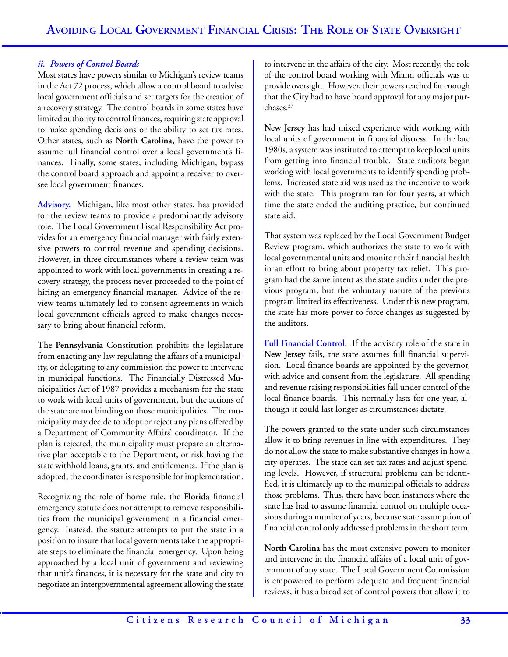# *ii. Powers of Control Boards*

Most states have powers similar to Michigan's review teams in the Act 72 process, which allow a control board to advise local government officials and set targets for the creation of a recovery strategy. The control boards in some states have limited authority to control finances, requiring state approval to make spending decisions or the ability to set tax rates. Other states, such as **North Carolina**, have the power to assume full financial control over a local government's finances. Finally, some states, including Michigan, bypass the control board approach and appoint a receiver to oversee local government finances.

**Advisory.** Michigan, like most other states, has provided for the review teams to provide a predominantly advisory role. The Local Government Fiscal Responsibility Act provides for an emergency financial manager with fairly extensive powers to control revenue and spending decisions. However, in three circumstances where a review team was appointed to work with local governments in creating a recovery strategy, the process never proceeded to the point of hiring an emergency financial manager. Advice of the review teams ultimately led to consent agreements in which local government officials agreed to make changes necessary to bring about financial reform.

The **Pennsylvania** Constitution prohibits the legislature from enacting any law regulating the affairs of a municipality, or delegating to any commission the power to intervene in municipal functions. The Financially Distressed Municipalities Act of 1987 provides a mechanism for the state to work with local units of government, but the actions of the state are not binding on those municipalities. The municipality may decide to adopt or reject any plans offered by a Department of Community Affairs' coordinator. If the plan is rejected, the municipality must prepare an alternative plan acceptable to the Department, or risk having the state withhold loans, grants, and entitlements. If the plan is adopted, the coordinator is responsible for implementation.

Recognizing the role of home rule, the **Florida** financial emergency statute does not attempt to remove responsibilities from the municipal government in a financial emergency. Instead, the statute attempts to put the state in a position to insure that local governments take the appropriate steps to eliminate the financial emergency. Upon being approached by a local unit of government and reviewing that unit's finances, it is necessary for the state and city to negotiate an intergovernmental agreement allowing the state

to intervene in the affairs of the city. Most recently, the role of the control board working with Miami officials was to provide oversight. However, their powers reached far enough that the City had to have board approval for any major purchases.27

**New Jersey** has had mixed experience with working with local units of government in financial distress. In the late 1980s, a system was instituted to attempt to keep local units from getting into financial trouble. State auditors began working with local governments to identify spending problems. Increased state aid was used as the incentive to work with the state. This program ran for four years, at which time the state ended the auditing practice, but continued state aid.

That system was replaced by the Local Government Budget Review program, which authorizes the state to work with local governmental units and monitor their financial health in an effort to bring about property tax relief. This program had the same intent as the state audits under the previous program, but the voluntary nature of the previous program limited its effectiveness. Under this new program, the state has more power to force changes as suggested by the auditors.

**Full Financial Control.** If the advisory role of the state in **New Jersey** fails, the state assumes full financial supervision. Local finance boards are appointed by the governor, with advice and consent from the legislature. All spending and revenue raising responsibilities fall under control of the local finance boards. This normally lasts for one year, although it could last longer as circumstances dictate.

The powers granted to the state under such circumstances allow it to bring revenues in line with expenditures. They do not allow the state to make substantive changes in how a city operates. The state can set tax rates and adjust spending levels. However, if structural problems can be identified, it is ultimately up to the municipal officials to address those problems. Thus, there have been instances where the state has had to assume financial control on multiple occasions during a number of years, because state assumption of financial control only addressed problems in the short term.

**North Carolina** has the most extensive powers to monitor and intervene in the financial affairs of a local unit of government of any state. The Local Government Commission is empowered to perform adequate and frequent financial reviews, it has a broad set of control powers that allow it to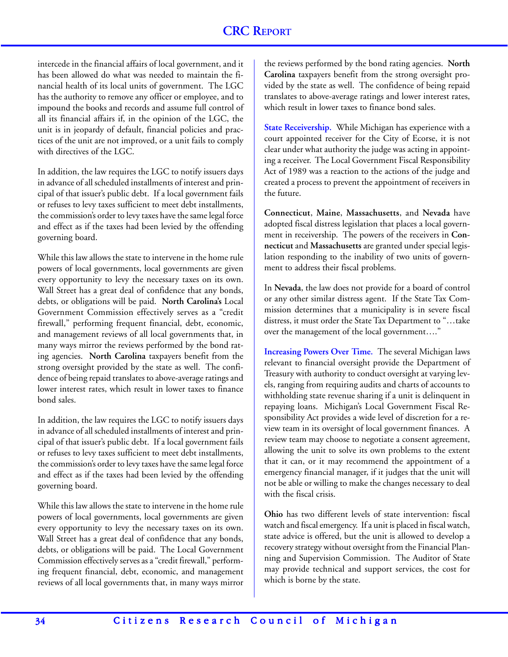intercede in the financial affairs of local government, and it has been allowed do what was needed to maintain the financial health of its local units of government. The LGC has the authority to remove any officer or employee, and to impound the books and records and assume full control of all its financial affairs if, in the opinion of the LGC, the unit is in jeopardy of default, financial policies and practices of the unit are not improved, or a unit fails to comply with directives of the LGC.

In addition, the law requires the LGC to notify issuers days in advance of all scheduled installments of interest and principal of that issuer's public debt. If a local government fails or refuses to levy taxes sufficient to meet debt installments, the commission's order to levy taxes have the same legal force and effect as if the taxes had been levied by the offending governing board.

While this law allows the state to intervene in the home rule powers of local governments, local governments are given every opportunity to levy the necessary taxes on its own. Wall Street has a great deal of confidence that any bonds, debts, or obligations will be paid. **North Carolina's** Local Government Commission effectively serves as a "credit firewall," performing frequent financial, debt, economic, and management reviews of all local governments that, in many ways mirror the reviews performed by the bond rating agencies. **North Carolina** taxpayers benefit from the strong oversight provided by the state as well. The confidence of being repaid translates to above-average ratings and lower interest rates, which result in lower taxes to finance bond sales.

In addition, the law requires the LGC to notify issuers days in advance of all scheduled installments of interest and principal of that issuer's public debt. If a local government fails or refuses to levy taxes sufficient to meet debt installments, the commission's order to levy taxes have the same legal force and effect as if the taxes had been levied by the offending governing board.

While this law allows the state to intervene in the home rule powers of local governments, local governments are given every opportunity to levy the necessary taxes on its own. Wall Street has a great deal of confidence that any bonds, debts, or obligations will be paid. The Local Government Commission effectively serves as a "credit firewall," performing frequent financial, debt, economic, and management reviews of all local governments that, in many ways mirror

the reviews performed by the bond rating agencies. **North Carolina** taxpayers benefit from the strong oversight provided by the state as well. The confidence of being repaid translates to above-average ratings and lower interest rates, which result in lower taxes to finance bond sales.

**State Receivership.** While Michigan has experience with a court appointed receiver for the City of Ecorse, it is not clear under what authority the judge was acting in appointing a receiver. The Local Government Fiscal Responsibility Act of 1989 was a reaction to the actions of the judge and created a process to prevent the appointment of receivers in the future.

**Connecticut**, **Maine**, **Massachusetts**, and **Nevada** have adopted fiscal distress legislation that places a local government in receivership. The powers of the receivers in **Connecticut** and **Massachusetts** are granted under special legislation responding to the inability of two units of government to address their fiscal problems.

In **Nevada**, the law does not provide for a board of control or any other similar distress agent. If the State Tax Commission determines that a municipality is in severe fiscal distress, it must order the State Tax Department to "…take over the management of the local government…."

**Increasing Powers Over Time.** The several Michigan laws relevant to financial oversight provide the Department of Treasury with authority to conduct oversight at varying levels, ranging from requiring audits and charts of accounts to withholding state revenue sharing if a unit is delinquent in repaying loans. Michigan's Local Government Fiscal Responsibility Act provides a wide level of discretion for a review team in its oversight of local government finances. A review team may choose to negotiate a consent agreement, allowing the unit to solve its own problems to the extent that it can, or it may recommend the appointment of a emergency financial manager, if it judges that the unit will not be able or willing to make the changes necessary to deal with the fiscal crisis.

**Ohio** has two different levels of state intervention: fiscal watch and fiscal emergency. If a unit is placed in fiscal watch, state advice is offered, but the unit is allowed to develop a recovery strategy without oversight from the Financial Planning and Supervision Commission. The Auditor of State may provide technical and support services, the cost for which is borne by the state.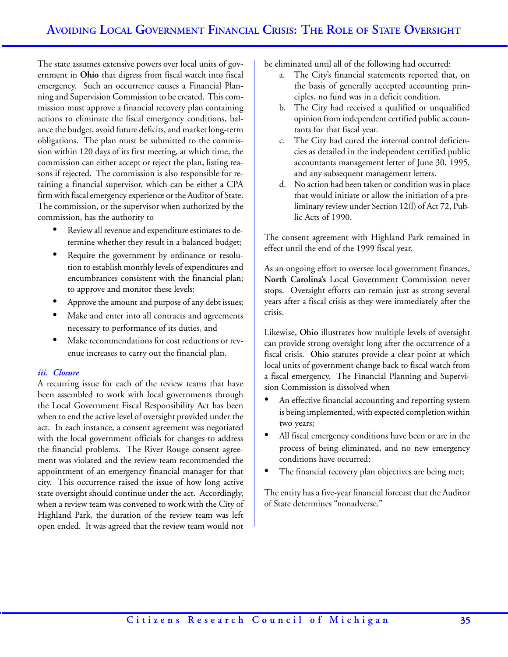The state assumes extensive powers over local units of government in **Ohio** that digress from fiscal watch into fiscal emergency. Such an occurrence causes a Financial Planning and Supervision Commission to be created. This commission must approve a financial recovery plan containing actions to eliminate the fiscal emergency conditions, balance the budget, avoid future deficits, and market long-term obligations. The plan must be submitted to the commission within 120 days of its first meeting, at which time, the commission can either accept or reject the plan, listing reasons if rejected. The commission is also responsible for retaining a financial supervisor, which can be either a CPA firm with fiscal emergency experience or the Auditor of State. The commission, or the supervisor when authorized by the commission, has the authority to

- Review all revenue and expenditure estimates to determine whether they result in a balanced budget;
- Require the government by ordinance or resolution to establish monthly levels of expenditures and encumbrances consistent with the financial plan; to approve and monitor these levels;
- Approve the amount and purpose of any debt issues;
- Make and enter into all contracts and agreements necessary to performance of its duties, and
- Make recommendations for cost reductions or revenue increases to carry out the financial plan.

# *iii. Closure*

A recurring issue for each of the review teams that have been assembled to work with local governments through the Local Government Fiscal Responsibility Act has been when to end the active level of oversight provided under the act. In each instance, a consent agreement was negotiated with the local government officials for changes to address the financial problems. The River Rouge consent agreement was violated and the review team recommended the appointment of an emergency financial manager for that city. This occurrence raised the issue of how long active state oversight should continue under the act. Accordingly, when a review team was convened to work with the City of Highland Park, the duration of the review team was left open ended. It was agreed that the review team would not

be eliminated until all of the following had occurred:

- a. The City's financial statements reported that, on the basis of generally accepted accounting principles, no fund was in a deficit condition.
- b. The City had received a qualified or unqualified opinion from independent certified public accountants for that fiscal year.
- c. The City had cured the internal control deficiencies as detailed in the independent certified public accountants management letter of June 30, 1995, and any subsequent management letters.
- d. No action had been taken or condition was in place that would initiate or allow the initiation of a preliminary review under Section 12(l) of Act 72, Public Acts of 1990.

The consent agreement with Highland Park remained in effect until the end of the 1999 fiscal year.

As an ongoing effort to oversee local government finances, **North Carolina's** Local Government Commission never stops. Oversight efforts can remain just as strong several years after a fiscal crisis as they were immediately after the crisis.

Likewise, **Ohio** illustrates how multiple levels of oversight can provide strong oversight long after the occurrence of a fiscal crisis. **Ohio** statutes provide a clear point at which local units of government change back to fiscal watch from a fiscal emergency. The Financial Planning and Supervision Commission is dissolved when

- An effective financial accounting and reporting system is being implemented, with expected completion within two years;
- All fiscal emergency conditions have been or are in the process of being eliminated, and no new emergency conditions have occurred;
- The financial recovery plan objectives are being met;

The entity has a five-year financial forecast that the Auditor of State determines "nonadverse."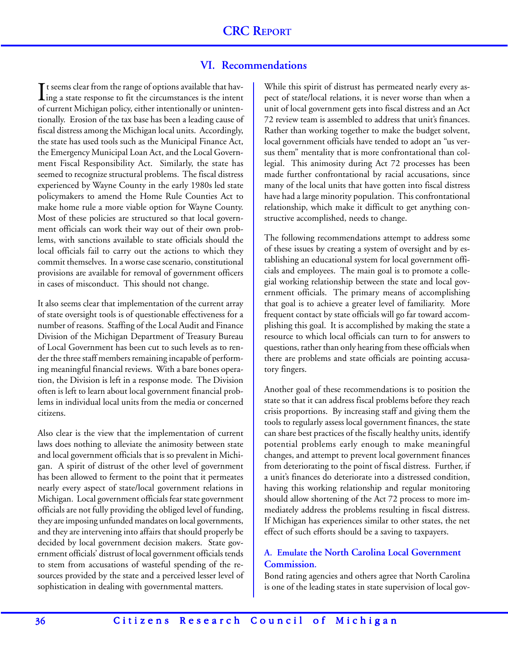# **VI. Recommendations**

 $\prod$ t seems clear from the range of options available that having a state response to fit the circumstances is the intent  $\mathsf T$  t seems clear from the range of options available that havof current Michigan policy, either intentionally or unintentionally. Erosion of the tax base has been a leading cause of fiscal distress among the Michigan local units. Accordingly, the state has used tools such as the Municipal Finance Act, the Emergency Municipal Loan Act, and the Local Government Fiscal Responsibility Act. Similarly, the state has seemed to recognize structural problems. The fiscal distress experienced by Wayne County in the early 1980s led state policymakers to amend the Home Rule Counties Act to make home rule a more viable option for Wayne County. Most of these policies are structured so that local government officials can work their way out of their own problems, with sanctions available to state officials should the local officials fail to carry out the actions to which they commit themselves. In a worse case scenario, constitutional provisions are available for removal of government officers in cases of misconduct. This should not change.

It also seems clear that implementation of the current array of state oversight tools is of questionable effectiveness for a number of reasons. Staffing of the Local Audit and Finance Division of the Michigan Department of Treasury Bureau of Local Government has been cut to such levels as to render the three staff members remaining incapable of performing meaningful financial reviews. With a bare bones operation, the Division is left in a response mode. The Division often is left to learn about local government financial problems in individual local units from the media or concerned citizens.

Also clear is the view that the implementation of current laws does nothing to alleviate the animosity between state and local government officials that is so prevalent in Michigan. A spirit of distrust of the other level of government has been allowed to ferment to the point that it permeates nearly every aspect of state/local government relations in Michigan. Local government officials fear state government officials are not fully providing the obliged level of funding, they are imposing unfunded mandates on local governments, and they are intervening into affairs that should properly be decided by local government decision makers. State government officials' distrust of local government officials tends to stem from accusations of wasteful spending of the resources provided by the state and a perceived lesser level of sophistication in dealing with governmental matters.

While this spirit of distrust has permeated nearly every aspect of state/local relations, it is never worse than when a unit of local government gets into fiscal distress and an Act 72 review team is assembled to address that unit's finances. Rather than working together to make the budget solvent, local government officials have tended to adopt an "us versus them" mentality that is more confrontational than collegial. This animosity during Act 72 processes has been made further confrontational by racial accusations, since many of the local units that have gotten into fiscal distress have had a large minority population. This confrontational relationship, which make it difficult to get anything constructive accomplished, needs to change.

The following recommendations attempt to address some of these issues by creating a system of oversight and by establishing an educational system for local government officials and employees. The main goal is to promote a collegial working relationship between the state and local government officials. The primary means of accomplishing that goal is to achieve a greater level of familiarity. More frequent contact by state officials will go far toward accomplishing this goal. It is accomplished by making the state a resource to which local officials can turn to for answers to questions, rather than only hearing from these officials when there are problems and state officials are pointing accusatory fingers.

Another goal of these recommendations is to position the state so that it can address fiscal problems before they reach crisis proportions. By increasing staff and giving them the tools to regularly assess local government finances, the state can share best practices of the fiscally healthy units, identify potential problems early enough to make meaningful changes, and attempt to prevent local government finances from deteriorating to the point of fiscal distress. Further, if a unit's finances do deteriorate into a distressed condition, having this working relationship and regular monitoring should allow shortening of the Act 72 process to more immediately address the problems resulting in fiscal distress. If Michigan has experiences similar to other states, the net effect of such efforts should be a saving to taxpayers.

# **A. Emulate the North Carolina Local Government Commission.**

Bond rating agencies and others agree that North Carolina is one of the leading states in state supervision of local gov-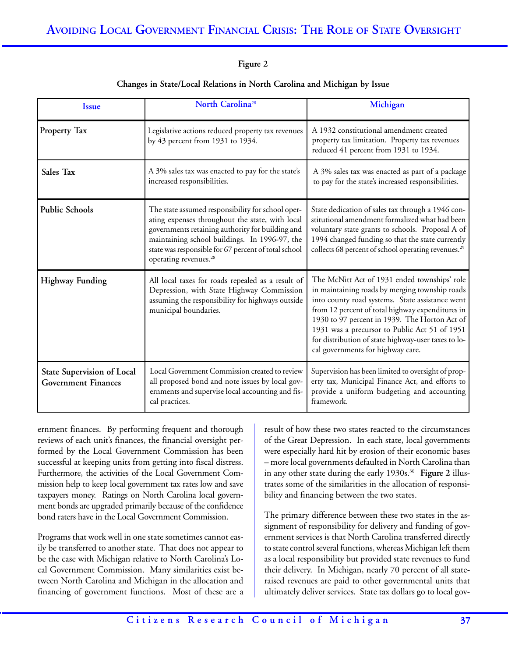### **Figure 2**

| <b>Issue</b>                                                    | North Carolina <sup>28</sup>                                                                                                                                                                                                                                                                           | Michigan                                                                                                                                                                                                                                                                                                                                                                                            |
|-----------------------------------------------------------------|--------------------------------------------------------------------------------------------------------------------------------------------------------------------------------------------------------------------------------------------------------------------------------------------------------|-----------------------------------------------------------------------------------------------------------------------------------------------------------------------------------------------------------------------------------------------------------------------------------------------------------------------------------------------------------------------------------------------------|
| Property Tax                                                    | Legislative actions reduced property tax revenues<br>by 43 percent from 1931 to 1934.                                                                                                                                                                                                                  | A 1932 constitutional amendment created<br>property tax limitation. Property tax revenues<br>reduced 41 percent from 1931 to 1934.                                                                                                                                                                                                                                                                  |
| Sales Tax                                                       | A 3% sales tax was enacted to pay for the state's<br>increased responsibilities.                                                                                                                                                                                                                       | A 3% sales tax was enacted as part of a package<br>to pay for the state's increased responsibilities.                                                                                                                                                                                                                                                                                               |
| <b>Public Schools</b>                                           | The state assumed responsibility for school oper-<br>ating expenses throughout the state, with local<br>governments retaining authority for building and<br>maintaining school buildings. In 1996-97, the<br>state was responsible for 67 percent of total school<br>operating revenues. <sup>28</sup> | State dedication of sales tax through a 1946 con-<br>stitutional amendment formalized what had been<br>voluntary state grants to schools. Proposal A of<br>1994 changed funding so that the state currently<br>collects 68 percent of school operating revenues. <sup>29</sup>                                                                                                                      |
| <b>Highway Funding</b>                                          | All local taxes for roads repealed as a result of<br>Depression, with State Highway Commission<br>assuming the responsibility for highways outside<br>municipal boundaries.                                                                                                                            | The McNitt Act of 1931 ended townships' role<br>in maintaining roads by merging township roads<br>into county road systems. State assistance went<br>from 12 percent of total highway expenditures in<br>1930 to 97 percent in 1939. The Horton Act of<br>1931 was a precursor to Public Act 51 of 1951<br>for distribution of state highway-user taxes to lo-<br>cal governments for highway care. |
| <b>State Supervision of Local</b><br><b>Government Finances</b> | Local Government Commission created to review<br>all proposed bond and note issues by local gov-<br>ernments and supervise local accounting and fis-<br>cal practices.                                                                                                                                 | Supervision has been limited to oversight of prop-<br>erty tax, Municipal Finance Act, and efforts to<br>provide a uniform budgeting and accounting<br>framework.                                                                                                                                                                                                                                   |

#### **Changes in State/Local Relations in North Carolina and Michigan by Issue**

ernment finances. By performing frequent and thorough reviews of each unit's finances, the financial oversight performed by the Local Government Commission has been successful at keeping units from getting into fiscal distress. Furthermore, the activities of the Local Government Commission help to keep local government tax rates low and save taxpayers money. Ratings on North Carolina local government bonds are upgraded primarily because of the confidence bond raters have in the Local Government Commission.

Programs that work well in one state sometimes cannot easily be transferred to another state. That does not appear to be the case with Michigan relative to North Carolina's Local Government Commission. Many similarities exist between North Carolina and Michigan in the allocation and financing of government functions. Most of these are a result of how these two states reacted to the circumstances of the Great Depression. In each state, local governments were especially hard hit by erosion of their economic bases – more local governments defaulted in North Carolina than in any other state during the early 1930s.30 **Figure 2** illustrates some of the similarities in the allocation of responsibility and financing between the two states.

The primary difference between these two states in the assignment of responsibility for delivery and funding of government services is that North Carolina transferred directly to state control several functions, whereas Michigan left them as a local responsibility but provided state revenues to fund their delivery. In Michigan, nearly 70 percent of all stateraised revenues are paid to other governmental units that ultimately deliver services. State tax dollars go to local gov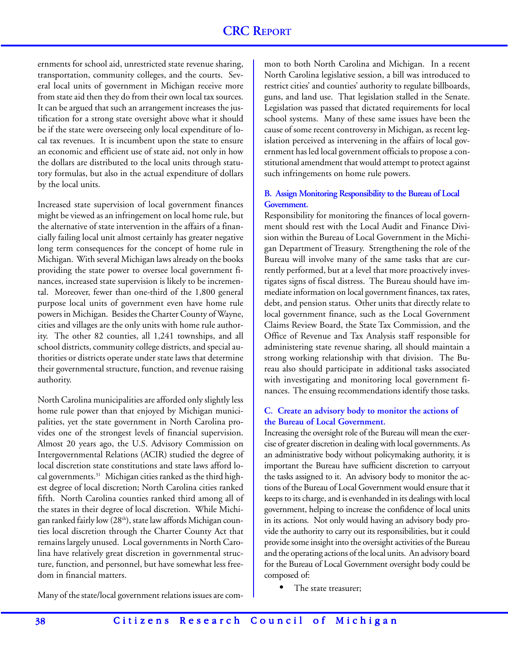ernments for school aid, unrestricted state revenue sharing, transportation, community colleges, and the courts. Several local units of government in Michigan receive more from state aid then they do from their own local tax sources. It can be argued that such an arrangement increases the justification for a strong state oversight above what it should be if the state were overseeing only local expenditure of local tax revenues. It is incumbent upon the state to ensure an economic and efficient use of state aid, not only in how the dollars are distributed to the local units through statutory formulas, but also in the actual expenditure of dollars by the local units.

Increased state supervision of local government finances might be viewed as an infringement on local home rule, but the alternative of state intervention in the affairs of a financially failing local unit almost certainly has greater negative long term consequences for the concept of home rule in Michigan. With several Michigan laws already on the books providing the state power to oversee local government finances, increased state supervision is likely to be incremental. Moreover, fewer than one-third of the 1,800 general purpose local units of government even have home rule powers in Michigan. Besides the Charter County of Wayne, cities and villages are the only units with home rule authority. The other 82 counties, all 1,241 townships, and all school districts, community college districts, and special authorities or districts operate under state laws that determine their governmental structure, function, and revenue raising authority.

North Carolina municipalities are afforded only slightly less home rule power than that enjoyed by Michigan municipalities, yet the state government in North Carolina provides one of the strongest levels of financial supervision. Almost 20 years ago, the U.S. Advisory Commission on Intergovernmental Relations (ACIR) studied the degree of local discretion state constitutions and state laws afford local governments.31 Michigan cities ranked as the third highest degree of local discretion; North Carolina cities ranked fifth. North Carolina counties ranked third among all of the states in their degree of local discretion. While Michigan ranked fairly low (28<sup>th</sup>), state law affords Michigan counties local discretion through the Charter County Act that remains largely unused. Local governments in North Carolina have relatively great discretion in governmental structure, function, and personnel, but have somewhat less freedom in financial matters.

Many of the state/local government relations issues are com-

mon to both North Carolina and Michigan. In a recent North Carolina legislative session, a bill was introduced to restrict cities' and counties' authority to regulate billboards, guns, and land use. That legislation stalled in the Senate. Legislation was passed that dictated requirements for local school systems. Many of these same issues have been the cause of some recent controversy in Michigan, as recent legislation perceived as intervening in the affairs of local government has led local government officials to propose a constitutional amendment that would attempt to protect against such infringements on home rule powers.

# **B. Assign Monitoring Responsibility to the Bureau of Local Government.**

Responsibility for monitoring the finances of local government should rest with the Local Audit and Finance Division within the Bureau of Local Government in the Michigan Department of Treasury. Strengthening the role of the Bureau will involve many of the same tasks that are currently performed, but at a level that more proactively investigates signs of fiscal distress. The Bureau should have immediate information on local government finances, tax rates, debt, and pension status. Other units that directly relate to local government finance, such as the Local Government Claims Review Board, the State Tax Commission, and the Office of Revenue and Tax Analysis staff responsible for administering state revenue sharing, all should maintain a strong working relationship with that division. The Bureau also should participate in additional tasks associated with investigating and monitoring local government finances. The ensuing recommendations identify those tasks.

# **C. Create an advisory body to monitor the actions of the Bureau of Local Government.**

Increasing the oversight role of the Bureau will mean the exercise of greater discretion in dealing with local governments. As an administrative body without policymaking authority, it is important the Bureau have sufficient discretion to carryout the tasks assigned to it. An advisory body to monitor the actions of the Bureau of Local Government would ensure that it keeps to its charge, and is evenhanded in its dealings with local government, helping to increase the confidence of local units in its actions. Not only would having an advisory body provide the authority to carry out its responsibilities, but it could provide some insight into the oversight activities of the Bureau and the operating actions of the local units. An advisory board for the Bureau of Local Government oversight body could be composed of:

The state treasurer;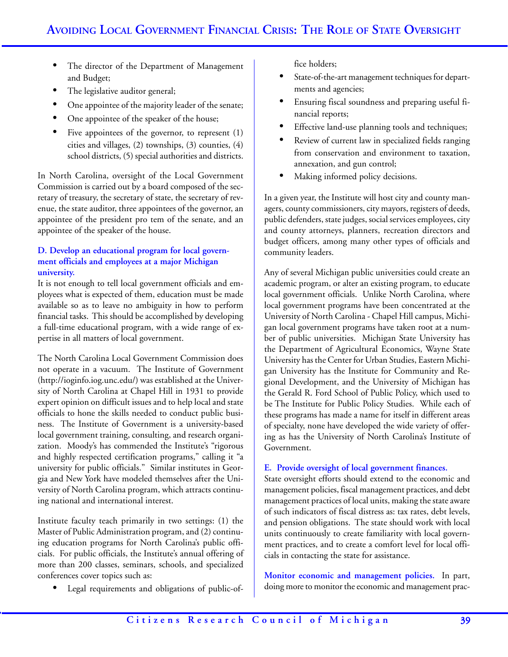- The director of the Department of Management and Budget;
- The legislative auditor general;
- One appointee of the majority leader of the senate;
- One appointee of the speaker of the house;
- Five appointees of the governor, to represent  $(1)$ cities and villages, (2) townships, (3) counties, (4) school districts, (5) special authorities and districts.

In North Carolina, oversight of the Local Government Commission is carried out by a board composed of the secretary of treasury, the secretary of state, the secretary of revenue, the state auditor, three appointees of the governor, an appointee of the president pro tem of the senate, and an appointee of the speaker of the house.

# **D. Develop an educational program for local government officials and employees at a major Michigan university.**

It is not enough to tell local government officials and employees what is expected of them, education must be made available so as to leave no ambiguity in how to perform financial tasks. This should be accomplished by developing a full-time educational program, with a wide range of expertise in all matters of local government.

The North Carolina Local Government Commission does not operate in a vacuum. The Institute of Government (http://ioginfo.iog.unc.edu/) was established at the University of North Carolina at Chapel Hill in 1931 to provide expert opinion on difficult issues and to help local and state officials to hone the skills needed to conduct public business. The Institute of Government is a university-based local government training, consulting, and research organization. Moody's has commended the Institute's "rigorous and highly respected certification programs," calling it "a university for public officials." Similar institutes in Georgia and New York have modeled themselves after the University of North Carolina program, which attracts continuing national and international interest.

Institute faculty teach primarily in two settings: (1) the Master of Public Administration program, and (2) continuing education programs for North Carolina's public officials. For public officials, the Institute's annual offering of more than 200 classes, seminars, schools, and specialized conferences cover topics such as:

• Legal requirements and obligations of public-of-

fice holders;

- State-of-the-art management techniques for departments and agencies;
- Ensuring fiscal soundness and preparing useful financial reports;
- Effective land-use planning tools and techniques;
- Review of current law in specialized fields ranging from conservation and environment to taxation, annexation, and gun control;
- Making informed policy decisions.

In a given year, the Institute will host city and county managers, county commissioners, city mayors, registers of deeds, public defenders, state judges, social services employees, city and county attorneys, planners, recreation directors and budget officers, among many other types of officials and community leaders.

Any of several Michigan public universities could create an academic program, or alter an existing program, to educate local government officials. Unlike North Carolina, where local government programs have been concentrated at the University of North Carolina - Chapel Hill campus, Michigan local government programs have taken root at a number of public universities. Michigan State University has the Department of Agricultural Economics, Wayne State University has the Center for Urban Studies, Eastern Michigan University has the Institute for Community and Regional Development, and the University of Michigan has the Gerald R. Ford School of Public Policy, which used to be The Institute for Public Policy Studies. While each of these programs has made a name for itself in different areas of specialty, none have developed the wide variety of offering as has the University of North Carolina's Institute of Government.

# **E. Provide oversight of local government finances.**

State oversight efforts should extend to the economic and management policies, fiscal management practices, and debt management practices of local units, making the state aware of such indicators of fiscal distress as: tax rates, debt levels, and pension obligations. The state should work with local units continuously to create familiarity with local government practices, and to create a comfort level for local officials in contacting the state for assistance.

**Monitor economic and management policies.** In part, doing more to monitor the economic and management prac-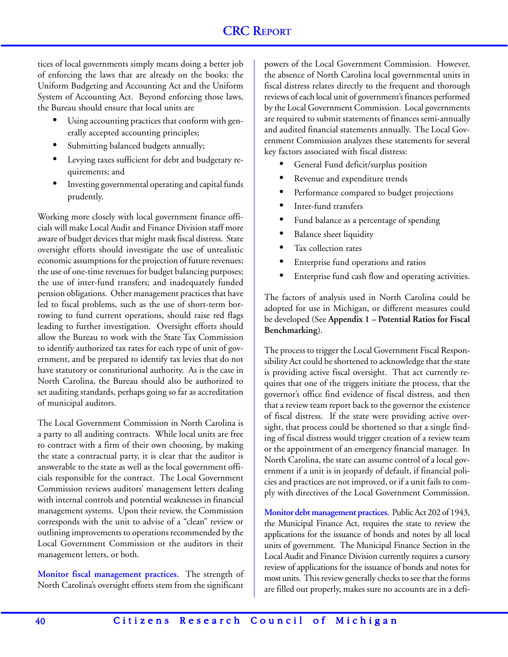tices of local governments simply means doing a better job of enforcing the laws that are already on the books: the Uniform Budgeting and Accounting Act and the Uniform System of Accounting Act. Beyond enforcing those laws, the Bureau should ensure that local units are

- Using accounting practices that conform with generally accepted accounting principles;
- Submitting balanced budgets annually;
- Levying taxes sufficient for debt and budgetary requirements; and
- Investing governmental operating and capital funds prudently.

Working more closely with local government finance officials will make Local Audit and Finance Division staff more aware of budget devices that might mask fiscal distress. State oversight efforts should investigate the use of unrealistic economic assumptions for the projection of future revenues; the use of one-time revenues for budget balancing purposes; the use of inter-fund transfers; and inadequately funded pension obligations. Other management practices that have led to fiscal problems, such as the use of short-term borrowing to fund current operations, should raise red flags leading to further investigation. Oversight efforts should allow the Bureau to work with the State Tax Commission to identify authorized tax rates for each type of unit of government, and be prepared to identify tax levies that do not have statutory or constitutional authority. As is the case in North Carolina, the Bureau should also be authorized to set auditing standards, perhaps going so far as accreditation of municipal auditors.

The Local Government Commission in North Carolina is a party to all auditing contracts. While local units are free to contract with a firm of their own choosing, by making the state a contractual party, it is clear that the auditor is answerable to the state as well as the local government officials responsible for the contract. The Local Government Commission reviews auditors' management letters dealing with internal controls and potential weaknesses in financial management systems. Upon their review, the Commission corresponds with the unit to advise of a "clean" review or outlining improvements to operations recommended by the Local Government Commission or the auditors in their management letters, or both.

**Monitor fiscal management practices.** The strength of North Carolina's oversight efforts stem from the significant

powers of the Local Government Commission. However, the absence of North Carolina local governmental units in fiscal distress relates directly to the frequent and thorough reviews of each local unit of government's finances performed by the Local Government Commission. Local governments are required to submit statements of finances semi-annually and audited financial statements annually. The Local Government Commission analyzes these statements for several key factors associated with fiscal distress:

- General Fund deficit/surplus position
- Revenue and expenditure trends
- Performance compared to budget projections
- Inter-fund transfers
- Fund balance as a percentage of spending
- Balance sheet liquidity
- Tax collection rates
- Enterprise fund operations and ratios
- Enterprise fund cash flow and operating activities.

The factors of analysis used in North Carolina could be adopted for use in Michigan, or different measures could be developed (See **Appendix 1 – Potential Ratios for Fiscal Benchmarking**).

The process to trigger the Local Government Fiscal Responsibility Act could be shortened to acknowledge that the state is providing active fiscal oversight. That act currently requires that one of the triggers initiate the process, that the governor's office find evidence of fiscal distress, and then that a review team report back to the governor the existence of fiscal distress. If the state were providing active oversight, that process could be shortened so that a single finding of fiscal distress would trigger creation of a review team or the appointment of an emergency financial manager. In North Carolina, the state can assume control of a local government if a unit is in jeopardy of default, if financial policies and practices are not improved, or if a unit fails to comply with directives of the Local Government Commission.

**Monitor debt management practices.** Public Act 202 of 1943, the Municipal Finance Act, requires the state to review the applications for the issuance of bonds and notes by all local units of government. The Municipal Finance Section in the Local Audit and Finance Division currently requires a cursory review of applications for the issuance of bonds and notes for most units. This review generally checks to see that the forms are filled out properly, makes sure no accounts are in a defi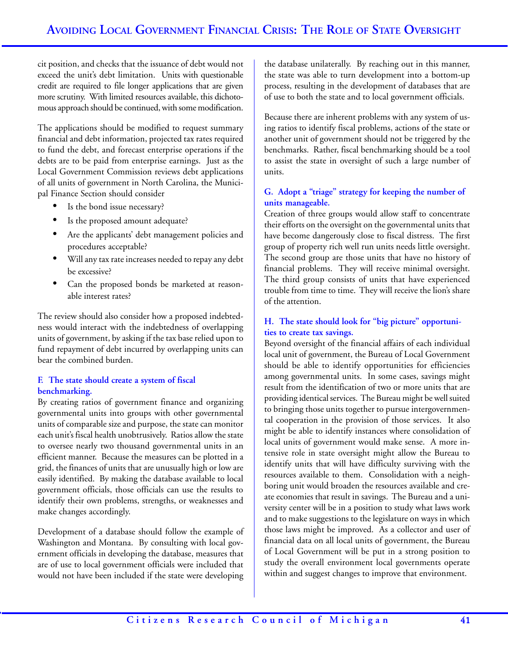cit position, and checks that the issuance of debt would not exceed the unit's debt limitation. Units with questionable credit are required to file longer applications that are given more scrutiny. With limited resources available, this dichotomous approach should be continued, with some modification.

The applications should be modified to request summary financial and debt information, projected tax rates required to fund the debt, and forecast enterprise operations if the debts are to be paid from enterprise earnings. Just as the Local Government Commission reviews debt applications of all units of government in North Carolina, the Municipal Finance Section should consider

- Is the bond issue necessary?
- Is the proposed amount adequate?
- Are the applicants' debt management policies and procedures acceptable?
- Will any tax rate increases needed to repay any debt be excessive?
- Can the proposed bonds be marketed at reasonable interest rates?

The review should also consider how a proposed indebtedness would interact with the indebtedness of overlapping units of government, by asking if the tax base relied upon to fund repayment of debt incurred by overlapping units can bear the combined burden.

# **F. The state should create a system of fiscal benchmarking.**

By creating ratios of government finance and organizing governmental units into groups with other governmental units of comparable size and purpose, the state can monitor each unit's fiscal health unobtrusively. Ratios allow the state to oversee nearly two thousand governmental units in an efficient manner. Because the measures can be plotted in a grid, the finances of units that are unusually high or low are easily identified. By making the database available to local government officials, those officials can use the results to identify their own problems, strengths, or weaknesses and make changes accordingly.

Development of a database should follow the example of Washington and Montana. By consulting with local government officials in developing the database, measures that are of use to local government officials were included that would not have been included if the state were developing

the database unilaterally. By reaching out in this manner, the state was able to turn development into a bottom-up process, resulting in the development of databases that are of use to both the state and to local government officials.

Because there are inherent problems with any system of using ratios to identify fiscal problems, actions of the state or another unit of government should not be triggered by the benchmarks. Rather, fiscal benchmarking should be a tool to assist the state in oversight of such a large number of units.

# **G. Adopt a "triage" strategy for keeping the number of units manageable.**

Creation of three groups would allow staff to concentrate their efforts on the oversight on the governmental units that have become dangerously close to fiscal distress. The first group of property rich well run units needs little oversight. The second group are those units that have no history of financial problems. They will receive minimal oversight. The third group consists of units that have experienced trouble from time to time. They will receive the lion's share of the attention.

# **H. The state should look for "big picture" opportunities to create tax savings.**

Beyond oversight of the financial affairs of each individual local unit of government, the Bureau of Local Government should be able to identify opportunities for efficiencies among governmental units. In some cases, savings might result from the identification of two or more units that are providing identical services. The Bureau might be well suited to bringing those units together to pursue intergovernmental cooperation in the provision of those services. It also might be able to identify instances where consolidation of local units of government would make sense. A more intensive role in state oversight might allow the Bureau to identify units that will have difficulty surviving with the resources available to them. Consolidation with a neighboring unit would broaden the resources available and create economies that result in savings. The Bureau and a university center will be in a position to study what laws work and to make suggestions to the legislature on ways in which those laws might be improved. As a collector and user of financial data on all local units of government, the Bureau of Local Government will be put in a strong position to study the overall environment local governments operate within and suggest changes to improve that environment.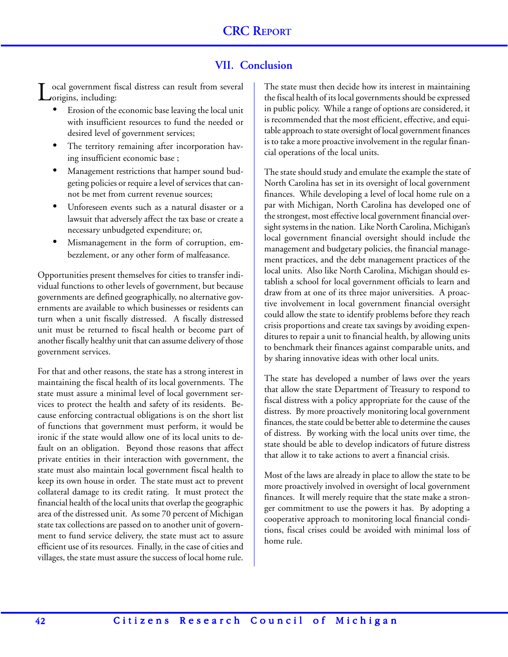# **VII. Conclusion**

ocal government fiscal distress can result from several origins, including:

- Erosion of the economic base leaving the local unit with insufficient resources to fund the needed or desired level of government services;
- The territory remaining after incorporation having insufficient economic base ;
- Management restrictions that hamper sound budgeting policies or require a level of services that cannot be met from current revenue sources;
- Unforeseen events such as a natural disaster or a lawsuit that adversely affect the tax base or create a necessary unbudgeted expenditure; or,
- Mismanagement in the form of corruption, embezzlement, or any other form of malfeasance.

Opportunities present themselves for cities to transfer individual functions to other levels of government, but because governments are defined geographically, no alternative governments are available to which businesses or residents can turn when a unit fiscally distressed. A fiscally distressed unit must be returned to fiscal health or become part of another fiscally healthy unit that can assume delivery of those government services.

For that and other reasons, the state has a strong interest in maintaining the fiscal health of its local governments. The state must assure a minimal level of local government services to protect the health and safety of its residents. Because enforcing contractual obligations is on the short list of functions that government must perform, it would be ironic if the state would allow one of its local units to default on an obligation. Beyond those reasons that affect private entities in their interaction with government, the state must also maintain local government fiscal health to keep its own house in order. The state must act to prevent collateral damage to its credit rating. It must protect the financial health of the local units that overlap the geographic area of the distressed unit. As some 70 percent of Michigan state tax collections are passed on to another unit of government to fund service delivery, the state must act to assure efficient use of its resources. Finally, in the case of cities and villages, the state must assure the success of local home rule.

The state must then decide how its interest in maintaining the fiscal health of its local governments should be expressed in public policy. While a range of options are considered, it is recommended that the most efficient, effective, and equitable approach to state oversight of local government finances is to take a more proactive involvement in the regular financial operations of the local units.

The state should study and emulate the example the state of North Carolina has set in its oversight of local government finances. While developing a level of local home rule on a par with Michigan, North Carolina has developed one of the strongest, most effective local government financial oversight systems in the nation. Like North Carolina, Michigan's local government financial oversight should include the management and budgetary policies, the financial management practices, and the debt management practices of the local units. Also like North Carolina, Michigan should establish a school for local government officials to learn and draw from at one of its three major universities. A proactive involvement in local government financial oversight could allow the state to identify problems before they reach crisis proportions and create tax savings by avoiding expenditures to repair a unit to financial health, by allowing units to benchmark their finances against comparable units, and by sharing innovative ideas with other local units.

The state has developed a number of laws over the years that allow the state Department of Treasury to respond to fiscal distress with a policy appropriate for the cause of the distress. By more proactively monitoring local government finances, the state could be better able to determine the causes of distress. By working with the local units over time, the state should be able to develop indicators of future distress that allow it to take actions to avert a financial crisis.

Most of the laws are already in place to allow the state to be more proactively involved in oversight of local government finances. It will merely require that the state make a stronger commitment to use the powers it has. By adopting a cooperative approach to monitoring local financial conditions, fiscal crises could be avoided with minimal loss of home rule.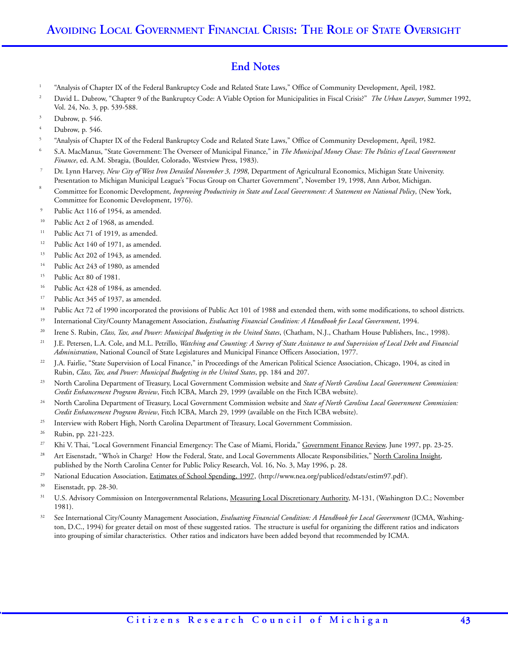# **End Notes**

- <sup>1</sup> "Analysis of Chapter IX of the Federal Bankruptcy Code and Related State Laws," Office of Community Development, April, 1982.
- <sup>2</sup> David L. Dubrow, "Chapter 9 of the Bankruptcy Code: A Viable Option for Municipalities in Fiscal Crisis?" *The Urban Lawyer*, Summer 1992, Vol. 24, No. 3, pp. 539-588.
- Dubrow, p. 546.
- Dubrow, p. 546.
- <sup>5</sup> "Analysis of Chapter IX of the Federal Bankruptcy Code and Related State Laws," Office of Community Development, April, 1982.
- <sup>6</sup> S.A. MacManus, "State Government: The Overseer of Municipal Finance," in *The Municipal Money Chase: The Politics of Local Government Finance*, ed. A.M. Sbragia, (Boulder, Colorado, Westview Press, 1983).
- <sup>7</sup> Dr. Lynn Harvey, *New City of West Iron Derailed November 3, 1998*, Department of Agricultural Economics, Michigan State University. Presentation to Michigan Municipal League's "Focus Group on Charter Government", November 19, 1998, Ann Arbor, Michigan.
- 8 Committee for Economic Development, *Improving Productivity in State and Local Government: A Statement on National Policy*, (New York, Committee for Economic Development, 1976).
- Public Act 116 of 1954, as amended.
- <sup>10</sup> Public Act 2 of 1968, as amended.
- <sup>11</sup> Public Act 71 of 1919, as amended.
- <sup>12</sup> Public Act 140 of 1971, as amended.
- <sup>13</sup> Public Act 202 of 1943, as amended.
- <sup>14</sup> Public Act 243 of 1980, as amended
- <sup>15</sup> Public Act 80 of 1981.
- <sup>16</sup> Public Act 428 of 1984, as amended.
- <sup>17</sup> Public Act 345 of 1937, as amended.
- <sup>18</sup> Public Act 72 of 1990 incorporated the provisions of Public Act 101 of 1988 and extended them, with some modifications, to school districts.
- <sup>19</sup> International City/County Management Association, *Evaluating Financial Condition: A Handbook for Local Government*, 1994.
- <sup>20</sup> Irene S. Rubin, *Class, Tax, and Power: Municipal Budgeting in the United States*, (Chatham, N.J., Chatham House Publishers, Inc., 1998).
- <sup>21</sup> J.E. Petersen, L.A. Cole, and M.L. Petrillo, *Watching and Counting: A Survey of State Assistance to and Supervision of Local Debt and Financial Administration*, National Council of State Legislatures and Municipal Finance Officers Association, 1977.
- <sup>22</sup> J.A. Fairlie, "State Supervision of Local Finance," in Proceedings of the American Political Science Association, Chicago, 1904, as cited in Rubin, *Class, Tax, and Power: Municipal Budgeting in the United States*, pp. 184 and 207.
- <sup>23</sup> North Carolina Department of Treasury, Local Government Commission website and *State of North Carolina Local Government Commission: Credit Enhancement Program Review*, Fitch ICBA, March 29, 1999 (available on the Fitch ICBA website).
- <sup>24</sup> North Carolina Department of Treasury, Local Government Commission website and *State of North Carolina Local Government Commission: Credit Enhancement Program Review*, Fitch ICBA, March 29, 1999 (available on the Fitch ICBA website).
- <sup>25</sup> Interview with Robert High, North Carolina Department of Treasury, Local Government Commission.
- <sup>26</sup> Rubin, pp. 221-223.
- <sup>27</sup> Khi V. Thai, "Local Government Financial Emergency: The Case of Miami, Florida," <u>Government Finance Review</u>, June 1997, pp. 23-25.
- <sup>28</sup> Art Eisenstadt, "Who's in Charge? How the Federal, State, and Local Governments Allocate Responsibilities," North Carolina Insight, published by the North Carolina Center for Public Policy Research, Vol. 16, No. 3, May 1996, p. 28.
- <sup>29</sup> National Education Association, Estimates of School Spending, 1997, (http://www.nea.org/publiced/edstats/estim97.pdf).
- <sup>30</sup> Eisenstadt, pp. 28-30.
- <sup>31</sup> U.S. Advisory Commission on Intergovernmental Relations, Measuring Local Discretionary Authority, M-131, (Washington D.C.; November 1981).
- <sup>32</sup> See International City/County Management Association, *Evaluating Financial Condition: A Handbook for Local Government* (ICMA, Washington, D.C., 1994) for greater detail on most of these suggested ratios. The structure is useful for organizing the different ratios and indicators into grouping of similar characteristics. Other ratios and indicators have been added beyond that recommended by ICMA.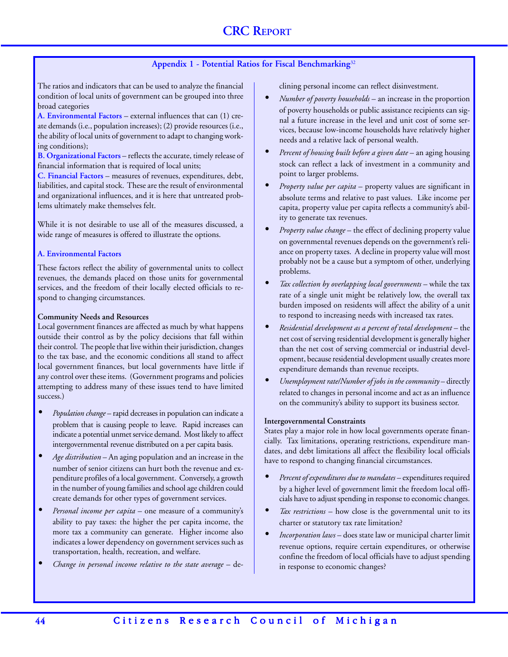# **Appendix 1 - Potential Ratios for Fiscal Benchmarking**<sup>32</sup>

The ratios and indicators that can be used to analyze the financial condition of local units of government can be grouped into three broad categories

**A. Environmental Factors** – external influences that can (1) create demands (i.e., population increases); (2) provide resources (i.e., the ability of local units of government to adapt to changing working conditions);

**B. Organizational Factors** – reflects the accurate, timely release of financial information that is required of local units;

**C. Financial Factors** – measures of revenues, expenditures, debt, liabilities, and capital stock. These are the result of environmental and organizational influences, and it is here that untreated problems ultimately make themselves felt.

While it is not desirable to use all of the measures discussed, a wide range of measures is offered to illustrate the options.

#### **A. Environmental Factors**

These factors reflect the ability of governmental units to collect revenues, the demands placed on those units for governmental services, and the freedom of their locally elected officials to respond to changing circumstances.

#### **Community Needs and Resources**

Local government finances are affected as much by what happens outside their control as by the policy decisions that fall within their control. The people that live within their jurisdiction, changes to the tax base, and the economic conditions all stand to affect local government finances, but local governments have little if any control over these items. (Government programs and policies attempting to address many of these issues tend to have limited success.)

- *• Population change* rapid decreases in population can indicate a problem that is causing people to leave. Rapid increases can indicate a potential unmet service demand. Most likely to affect intergovernmental revenue distributed on a per capita basis.
- *• Age distribution* An aging population and an increase in the number of senior citizens can hurt both the revenue and expenditure profiles of a local government. Conversely, a growth in the number of young families and school age children could create demands for other types of government services.
- *• Personal income per capita* one measure of a community's ability to pay taxes: the higher the per capita income, the more tax a community can generate. Higher income also indicates a lower dependency on government services such as transportation, health, recreation, and welfare.
- *Change in personal income relative to the state average* de-

clining personal income can reflect disinvestment.

- *• Number of poverty households*  an increase in the proportion of poverty households or public assistance recipients can signal a future increase in the level and unit cost of some services, because low-income households have relatively higher needs and a relative lack of personal wealth.
- *• Percent of housing built before a given date*  an aging housing stock can reflect a lack of investment in a community and point to larger problems.
- *• Property value per capita* property values are significant in absolute terms and relative to past values. Like income per capita, property value per capita reflects a community's ability to generate tax revenues.
- *• Property value change*  the effect of declining property value on governmental revenues depends on the government's reliance on property taxes. A decline in property value will most probably not be a cause but a symptom of other, underlying problems.
- *Tax collection by overlapping local governments* while the tax rate of a single unit might be relatively low, the overall tax burden imposed on residents will affect the ability of a unit to respond to increasing needs with increased tax rates.
- *Residential development as a percent of total development* the net cost of serving residential development is generally higher than the net cost of serving commercial or industrial development, because residential development usually creates more expenditure demands than revenue receipts.
- *• Unemployment rate/Number of jobs in the community*  directly related to changes in personal income and act as an influence on the community's ability to support its business sector.

#### **Intergovernmental Constraints**

States play a major role in how local governments operate financially. Tax limitations, operating restrictions, expenditure mandates, and debt limitations all affect the flexibility local officials have to respond to changing financial circumstances.

- *• Percent of expenditures due to mandates*  expenditures required by a higher level of government limit the freedom local officials have to adjust spending in response to economic changes.
- *• Tax restrictions* how close is the governmental unit to its charter or statutory tax rate limitation?
- *• Incorporation laws* does state law or municipal charter limit revenue options, require certain expenditures, or otherwise confine the freedom of local officials have to adjust spending in response to economic changes?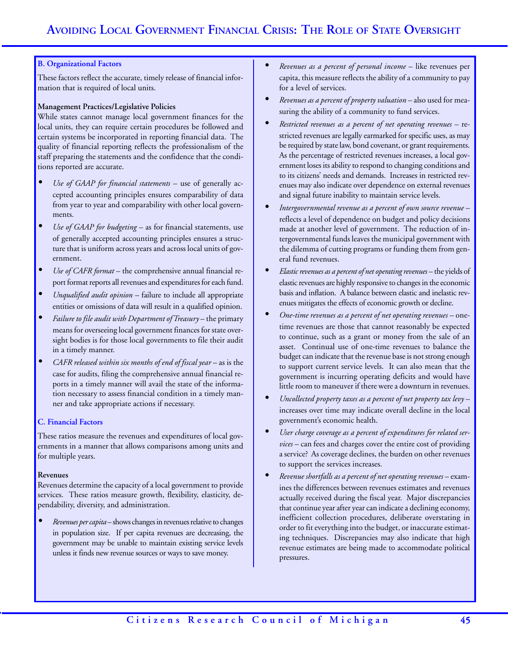#### **B. Organizational Factors**

These factors reflect the accurate, timely release of financial information that is required of local units.

#### **Management Practices/Legislative Policies**

While states cannot manage local government finances for the local units, they can require certain procedures be followed and certain systems be incorporated in reporting financial data. The quality of financial reporting reflects the professionalism of the staff preparing the statements and the confidence that the conditions reported are accurate.

- *• Use of GAAP for financial statements* use of generally accepted accounting principles ensures comparability of data from year to year and comparability with other local governments.
- *• Use of GAAP for budgeting* as for financial statements, use of generally accepted accounting principles ensures a structure that is uniform across years and across local units of government.
- *• Use of CAFR format* the comprehensive annual financial report format reports all revenues and expenditures for each fund.
- *• Unqualified audit opinion* failure to include all appropriate entities or omissions of data will result in a qualified opinion.
- *• Failure to file audit with Department of Treasury* the primary means for overseeing local government finances for state oversight bodies is for those local governments to file their audit in a timely manner.
- *• CAFR released within six months of end of fiscal year* as is the case for audits, filing the comprehensive annual financial reports in a timely manner will avail the state of the information necessary to assess financial condition in a timely manner and take appropriate actions if necessary.

#### **C. Financial Factors**

These ratios measure the revenues and expenditures of local governments in a manner that allows comparisons among units and for multiple years.

#### **Revenues**

Revenues determine the capacity of a local government to provide services. These ratios measure growth, flexibility, elasticity, dependability, diversity, and administration.

*• Revenues per capita* – shows changes in revenues relative to changes in population size. If per capita revenues are decreasing, the government may be unable to maintain existing service levels unless it finds new revenue sources or ways to save money.

- *• Revenues as a percent of personal income*  like revenues per capita, this measure reflects the ability of a community to pay for a level of services.
- *• Revenues as a percent of property valuation* also used for measuring the ability of a community to fund services.
- *• Restricted revenues as a percent of net operating revenues* restricted revenues are legally earmarked for specific uses, as may be required by state law, bond covenant, or grant requirements. As the percentage of restricted revenues increases, a local government loses its ability to respond to changing conditions and to its citizens' needs and demands. Increases in restricted revenues may also indicate over dependence on external revenues and signal future inability to maintain service levels.
- *• Intergovernmental revenue as a percent of own source revenue*  reflects a level of dependence on budget and policy decisions made at another level of government. The reduction of intergovernmental funds leaves the municipal government with the dilemma of cutting programs or funding them from general fund revenues.
- *• Elastic revenues as a percent of net operating revenues* the yields of elastic revenues are highly responsive to changes in the economic basis and inflation. A balance between elastic and inelastic revenues mitigates the effects of economic growth or decline.
- *• One-time revenues as a percent of net operating revenues* onetime revenues are those that cannot reasonably be expected to continue, such as a grant or money from the sale of an asset. Continual use of one-time revenues to balance the budget can indicate that the revenue base is not strong enough to support current service levels. It can also mean that the government is incurring operating deficits and would have little room to maneuver if there were a downturn in revenues.
- *• Uncollected property taxes as a percent of net property tax levy*  increases over time may indicate overall decline in the local government's economic health.
- *• User charge coverage as a percent of expenditures for related services* – can fees and charges cover the entire cost of providing a service? As coverage declines, the burden on other revenues to support the services increases.
- *• Revenue shortfalls as a percent of net operating revenues* examines the differences between revenues estimates and revenues actually received during the fiscal year. Major discrepancies that continue year after year can indicate a declining economy, inefficient collection procedures, deliberate overstating in order to fit everything into the budget, or inaccurate estimating techniques. Discrepancies may also indicate that high revenue estimates are being made to accommodate political pressures.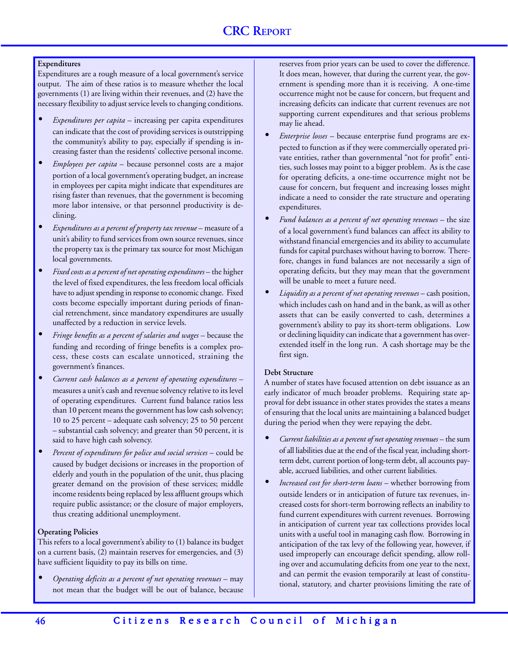#### **Expenditures**

Expenditures are a rough measure of a local government's service output. The aim of these ratios is to measure whether the local governments (1) are living within their revenues, and (2) have the necessary flexibility to adjust service levels to changing conditions.

- *• Expenditures per capita*  increasing per capita expenditures can indicate that the cost of providing services is outstripping the community's ability to pay, especially if spending is increasing faster than the residents' collective personal income.
- *• Employees per capita*  because personnel costs are a major portion of a local government's operating budget, an increase in employees per capita might indicate that expenditures are rising faster than revenues, that the government is becoming more labor intensive, or that personnel productivity is declining.
- *Expenditures as a percent of property tax revenue* measure of a unit's ability to fund services from own source revenues, since the property tax is the primary tax source for most Michigan local governments.
- *Fixed costs as a percent of net operating expenditures* the higher the level of fixed expenditures, the less freedom local officials have to adjust spending in response to economic change. Fixed costs become especially important during periods of financial retrenchment, since mandatory expenditures are usually unaffected by a reduction in service levels.
- *Fringe benefits as a percent of salaries and wages* because the funding and recording of fringe benefits is a complex process, these costs can escalate unnoticed, straining the government's finances.
- *• Current cash balances as a percent of operating expenditures*  measures a unit's cash and revenue solvency relative to its level of operating expenditures. Current fund balance ratios less than 10 percent means the government has low cash solvency; 10 to 25 percent – adequate cash solvency; 25 to 50 percent – substantial cash solvency; and greater than 50 percent, it is said to have high cash solvency.
- *• Percent of expenditures for police and social services* could be caused by budget decisions or increases in the proportion of elderly and youth in the population of the unit, thus placing greater demand on the provision of these services; middle income residents being replaced by less affluent groups which require public assistance; or the closure of major employers, thus creating additional unemployment.

#### **Operating Policies**

This refers to a local government's ability to (1) balance its budget on a current basis, (2) maintain reserves for emergencies, and (3) have sufficient liquidity to pay its bills on time.

*• Operating deficits as a percent of net operating revenues* – may not mean that the budget will be out of balance, because

reserves from prior years can be used to cover the difference. It does mean, however, that during the current year, the government is spending more than it is receiving. A one-time occurrence might not be cause for concern, but frequent and increasing deficits can indicate that current revenues are not supporting current expenditures and that serious problems may lie ahead.

- *• Enterprise losses*  because enterprise fund programs are expected to function as if they were commercially operated private entities, rather than governmental "not for profit" entities, such losses may point to a bigger problem. As is the case for operating deficits, a one-time occurrence might not be cause for concern, but frequent and increasing losses might indicate a need to consider the rate structure and operating expenditures.
- *Fund balances as a percent of net operating revenues* the size of a local government's fund balances can affect its ability to withstand financial emergencies and its ability to accumulate funds for capital purchases without having to borrow. Therefore, changes in fund balances are not necessarily a sign of operating deficits, but they may mean that the government will be unable to meet a future need.
- *• Liquidity as a percent of net operating revenues*  cash position, which includes cash on hand and in the bank, as will as other assets that can be easily converted to cash, determines a government's ability to pay its short-term obligations. Low or declining liquidity can indicate that a government has overextended itself in the long run. A cash shortage may be the first sign.

#### **Debt Structure**

A number of states have focused attention on debt issuance as an early indicator of much broader problems. Requiring state approval for debt issuance in other states provides the states a means of ensuring that the local units are maintaining a balanced budget during the period when they were repaying the debt.

- *Current liabilities as a percent of net operating revenues* the sum of all liabilities due at the end of the fiscal year, including shortterm debt, current portion of long-term debt, all accounts payable, accrued liabilities, and other current liabilities.
- *• Increased cost for short-term loans*  whether borrowing from outside lenders or in anticipation of future tax revenues, increased costs for short-term borrowing reflects an inability to fund current expenditures with current revenues. Borrowing in anticipation of current year tax collections provides local units with a useful tool in managing cash flow. Borrowing in anticipation of the tax levy of the following year, however, if used improperly can encourage deficit spending, allow rolling over and accumulating deficits from one year to the next, and can permit the evasion temporarily at least of constitutional, statutory, and charter provisions limiting the rate of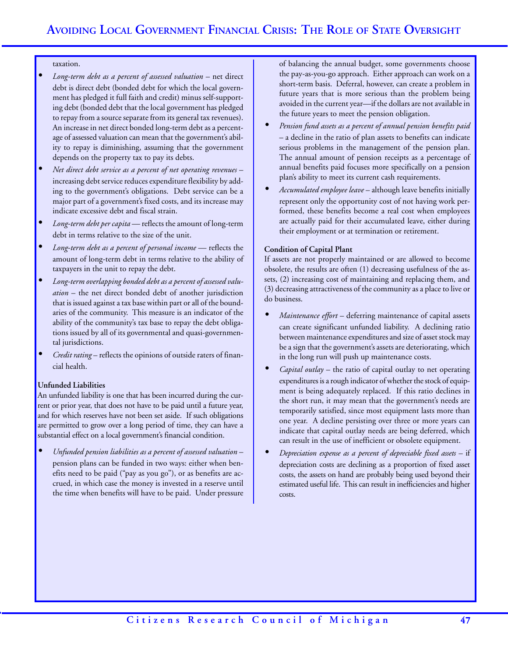#### taxation.

- *Long-term debt as a percent of assessed valuation* net direct debt is direct debt (bonded debt for which the local government has pledged it full faith and credit) minus self-supporting debt (bonded debt that the local government has pledged to repay from a source separate from its general tax revenues). An increase in net direct bonded long-term debt as a percentage of assessed valuation can mean that the government's ability to repay is diminishing, assuming that the government depends on the property tax to pay its debts.
- *• Net direct debt service as a percent of net operating revenues*  increasing debt service reduces expenditure flexibility by adding to the government's obligations. Debt service can be a major part of a government's fixed costs, and its increase may indicate excessive debt and fiscal strain.
- *• Long-term debt per capita*  reflects the amount of long-term debt in terms relative to the size of the unit.
- *Long-term debt as a percent of personal income* reflects the amount of long-term debt in terms relative to the ability of taxpayers in the unit to repay the debt.
- *• Long-term overlapping bonded debt as a percent of assessed valuation* – the net direct bonded debt of another jurisdiction that is issued against a tax base within part or all of the boundaries of the community. This measure is an indicator of the ability of the community's tax base to repay the debt obligations issued by all of its governmental and quasi-governmental jurisdictions.
- *• Credit rating*  reflects the opinions of outside raters of financial health.

#### **Unfunded Liabilities**

An unfunded liability is one that has been incurred during the current or prior year, that does not have to be paid until a future year, and for which reserves have not been set aside. If such obligations are permitted to grow over a long period of time, they can have a substantial effect on a local government's financial condition.

*• Unfunded pension liabilities as a percent of assessed valuation* – pension plans can be funded in two ways: either when benefits need to be paid ("pay as you go"), or as benefits are accrued, in which case the money is invested in a reserve until the time when benefits will have to be paid. Under pressure

of balancing the annual budget, some governments choose the pay-as-you-go approach. Either approach can work on a short-term basis. Deferral, however, can create a problem in future years that is more serious than the problem being avoided in the current year—if the dollars are not available in the future years to meet the pension obligation.

- *• Pension fund assets as a percent of annual pension benefits paid* – a decline in the ratio of plan assets to benefits can indicate serious problems in the management of the pension plan. The annual amount of pension receipts as a percentage of annual benefits paid focuses more specifically on a pension plan's ability to meet its current cash requirements.
- *• Accumulated employee leave*  although leave benefits initially represent only the opportunity cost of not having work performed, these benefits become a real cost when employees are actually paid for their accumulated leave, either during their employment or at termination or retirement.

#### **Condition of Capital Plant**

If assets are not properly maintained or are allowed to become obsolete, the results are often (1) decreasing usefulness of the assets, (2) increasing cost of maintaining and replacing them, and (3) decreasing attractiveness of the community as a place to live or do business.

- *• Maintenance effort*  deferring maintenance of capital assets can create significant unfunded liability. A declining ratio between maintenance expenditures and size of asset stock may be a sign that the government's assets are deteriorating, which in the long run will push up maintenance costs.
- *• Capital outlay*  the ratio of capital outlay to net operating expenditures is a rough indicator of whether the stock of equipment is being adequately replaced. If this ratio declines in the short run, it may mean that the government's needs are temporarily satisfied, since most equipment lasts more than one year. A decline persisting over three or more years can indicate that capital outlay needs are being deferred, which can result in the use of inefficient or obsolete equipment.
- *• Depreciation expense as a percent of depreciable fixed assets*  if depreciation costs are declining as a proportion of fixed asset costs, the assets on hand are probably being used beyond their estimated useful life. This can result in inefficiencies and higher costs.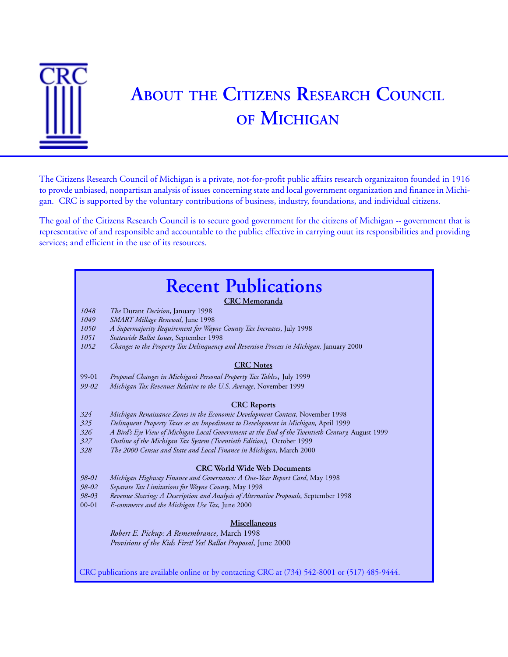

# **ABOUT THE CITIZENS RESEARCH COUNCIL OF MICHIGAN**

The Citizens Research Council of Michigan is a private, not-for-profit public affairs research organizaiton founded in 1916 to provde unbiased, nonpartisan analysis of issues concerning state and local government organization and finance in Michigan. CRC is supported by the voluntary contributions of business, industry, foundations, and individual citizens.

The goal of the Citizens Research Council is to secure good government for the citizens of Michigan -- government that is representative of and responsible and accountable to the public; effective in carrying ouut its responsibilities and providing services; and efficient in the use of its resources.

# **Recent Publications** CRC publications are available online or by contacting CRC at (734) 542-8001 or (517) 485-9444. **CRC Memoranda** *1048 The* Durant *Decision*, January 1998 *1049 SMART Millage Renewal*, June 1998 *1050 A Supermajority Requirement for Wayne County Tax Increases*, July 1998 *1051 Statewide Ballot Issues*, September 1998 *1052 Changes to the Property Tax Delinquency and Reversion Process in Michigan,* January 2000 **CRC Notes** 99-01 *Proposed Changes in Michigan's Personal Property Tax Tables*, July 1999 *99-02 Michigan Tax Revenues Relative to the U.S. Average*, November 1999 **CRC Reports** *324 Michigan Renaissance Zones in the Economic Development Context,* November 1998 *325 Delinquent Property Taxes as an Impediment to Development in Michigan,* April 1999 326 A Bird's Eye View of Michigan Local Government at the End of the Twentieth Century, August 1999 *327 Outline of the Michigan Tax System (Twentieth Edition),* October 1999 *328 The 2000 Census and State and Local Finance in Michigan*, March 2000 **CRC World Wide Web Documents** *98-01 Michigan Highway Finance and Governance: A One-Year Report Card*, May 1998 *98-02 Separate Tax Limitations for Wayne County*, May 1998 *98-03 Revenue Sharing: A Description and Analysis of Alternative Proposals*, September 1998 00-01 *E-commerce and the Michigan Use Tax,* June 2000 **Miscellaneous** *Robert E. Pickup: A Remembrance*, March 1998 *Provisions of the Kids First! Yes! Ballot Proposal*, June 2000